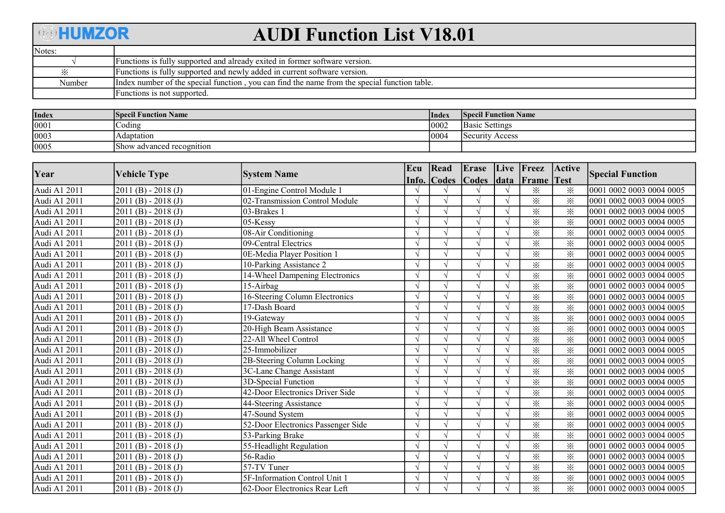## **AHUMZOR**

## AUDI Function List V18.01

| Notes: |                                                                                               |
|--------|-----------------------------------------------------------------------------------------------|
|        | Functions is fully supported and already exited in former software version.                   |
|        | Functions is fully supported and newly added in current software version.                     |
| Number | llndex number of the special function, you can find the name from the special function table. |
|        | Functions is not supported.                                                                   |

| <b>Index</b> | <b>Specil Function Name</b> | Index | <b>Specil Function Name</b>     |
|--------------|-----------------------------|-------|---------------------------------|
| 0001         | $\sim$ oding                | 0002  | <b>Basic Settings</b>           |
| 0003         | Adaptation                  | 10004 | Security.<br>Access <sup></sup> |
| 0005         | Show advanced recognition   |       |                                 |

| Year         |                     | <b>System Name</b>                 | Ecu           | Read         | Erase                     |        | Live Freez        | Active          | <b>Special Function</b>   |
|--------------|---------------------|------------------------------------|---------------|--------------|---------------------------|--------|-------------------|-----------------|---------------------------|
|              | <b>Vehicle Type</b> |                                    | Info.         | <b>Codes</b> | $\overline{\text{Codes}}$ | $data$ | <b>Frame</b> Test |                 |                           |
| Audi A1 2011 | $2011(B) - 2018(J)$ | 01-Engine Control Module 1         |               |              |                           |        | ⋇                 | ⋇               | 0001 0002 0003 0004 0005  |
| Audi A1 2011 | $2011(B) - 2018(J)$ | 02-Transmission Control Module     | $\mathcal{L}$ |              |                           |        | $\times$          | $\ddot{\times}$ | 0001 0002 0003 0004 0005  |
| Audi A1 2011 | $2011(B) - 2018(J)$ | 03-Brakes 1                        |               |              |                           |        | $\times$          | $\times$        | 0001 0002 0003 0004 0005  |
| Audi A1 2011 | $2011(B) - 2018(J)$ | 05-Kessy                           | $\mathcal{N}$ |              |                           |        | $\times$          | $\times$        | 0001 0002 0003 0004 0005  |
| Audi A1 2011 | $2011(B) - 2018(J)$ | 08-Air Conditioning                |               |              |                           |        | $\times$          | ⋇               | 0001 0002 0003 0004 0005  |
| Audi A1 2011 | $2011(B) - 2018(J)$ | 09-Central Electrics               |               |              |                           |        | $\times$          | ⋇               | 0001 0002 0003 0004 0005  |
| Audi A1 2011 | $2011(B) - 2018(J)$ | 0E-Media Player Position 1         |               |              |                           |        | $\times$          | ⋇               | 0001 0002 0003 0004 0005  |
| Audi A1 2011 | $2011(B) - 2018(J)$ | 10-Parking Assistance 2            | $\mathcal{L}$ |              |                           |        | $\times$          | $\times$        | 0001 0002 0003 0004 0005  |
| Audi A1 2011 | $2011(B) - 2018(J)$ | 14-Wheel Dampening Electronics     | $\mathcal{N}$ |              |                           |        | $\times$          | $\times$        | 0001 0002 0003 0004 0005  |
| Audi A1 2011 | $2011(B) - 2018(J)$ | 15-Airbag                          | $\mathcal{N}$ |              |                           |        | $\times$          | ⋇               | 0001 0002 0003 0004 0005  |
| Audi A1 2011 | $2011(B) - 2018(J)$ | 16-Steering Column Electronics     |               |              |                           |        | $\times$          | ⋇               | 0001 0002 0003 0004 0005  |
| Audi A1 2011 | $2011(B) - 2018(J)$ | $17$ -Dash Board                   |               |              |                           |        | $\times$          | $\times$        | 0001 0002 0003 0004 0005  |
| Audi A1 2011 | $2011(B) - 2018(J)$ | 19-Gateway                         |               |              |                           |        | $\times$          | ⋇               | 0001 0002 0003 0004 0005  |
| Audi A1 2011 | $2011(B) - 2018(J)$ | 20-High Beam Assistance            | $\mathcal{N}$ |              |                           |        | $\times$          | $\times$        | 0001 0002 0003 0004 0005  |
| Audi A1 2011 | $2011(B) - 2018(J)$ | 22-All Wheel Control               | $\mathcal{N}$ |              |                           |        | $\times$          | ⋇               | 0001 0002 0003 0004 0005  |
| Audi A1 2011 | $2011(B) - 2018(J)$ | 25-Immobilizer                     |               |              |                           |        | $\times$          | ⋇               | 0001 0002 0003 0004 0005  |
| Audi A1 2011 | $2011(B) - 2018(J)$ | 2B-Steering Column Locking         |               |              |                           |        | $\times$          | ※               | 0001 0002 0003 0004 0005  |
| Audi A1 2011 | $2011(B) - 2018(J)$ | 3C-Lane Change Assistant           |               |              |                           |        | $\times$          | ፠               | 0001 0002 0003 0004 0005  |
| Audi A1 2011 | $2011(B) - 2018(J)$ | 3D-Special Function                | $\mathcal{N}$ |              |                           |        | $\times$          | $\times$        | 0001 0002 0003 0004 0005  |
| Audi A1 2011 | $2011(B) - 2018(J)$ | 42-Door Electronics Driver Side    |               |              |                           |        | $\times$          | ⋇               | 10001 0002 0003 0004 0005 |
| Audi A1 2011 | $2011(B) - 2018(J)$ | 44-Steering Assistance             |               |              |                           |        | $\times$          | ⋇               | 0001 0002 0003 0004 0005  |
| Audi A1 2011 | $2011(B) - 2018(J)$ | 47-Sound System                    |               |              |                           |        | $\times$          | ※               | 0001 0002 0003 0004 0005  |
| Audi A1 2011 | $2011(B) - 2018(J)$ | 52-Door Electronics Passenger Side | $\mathcal{L}$ |              |                           |        | $\times$          | ⋇               | 0001 0002 0003 0004 0005  |
| Audi A1 2011 | $2011(B) - 2018(J)$ | 53-Parking Brake                   |               |              |                           |        | $\times$          | ⋇               | 0001 0002 0003 0004 0005  |
| Audi A1 2011 | $2011(B) - 2018(J)$ | 55-Headlight Regulation            | $\sqrt{}$     |              |                           |        | $\times$          | ፠               | 0001 0002 0003 0004 0005  |
| Audi A1 2011 | $2011(B) - 2018(J)$ | 56-Radio                           |               |              |                           |        | $\times$          | ⋇               | 0001 0002 0003 0004 0005  |
| Audi A1 2011 | $2011(B) - 2018(J)$ | 57-TV Tuner                        |               |              |                           |        | $\times$          | $\times$        | 0001 0002 0003 0004 0005  |
| Audi A1 2011 | $2011(B) - 2018(J)$ | 5F-Information Control Unit 1      |               |              |                           |        | $\times$          | ⋇               | 0001 0002 0003 0004 0005  |
| Audi A1 2011 | $2011(B) - 2018(J)$ | 62-Door Electronics Rear Left      | $\sqrt{}$     |              |                           |        | $\times$          | $\times$        | 0001 0002 0003 0004 0005  |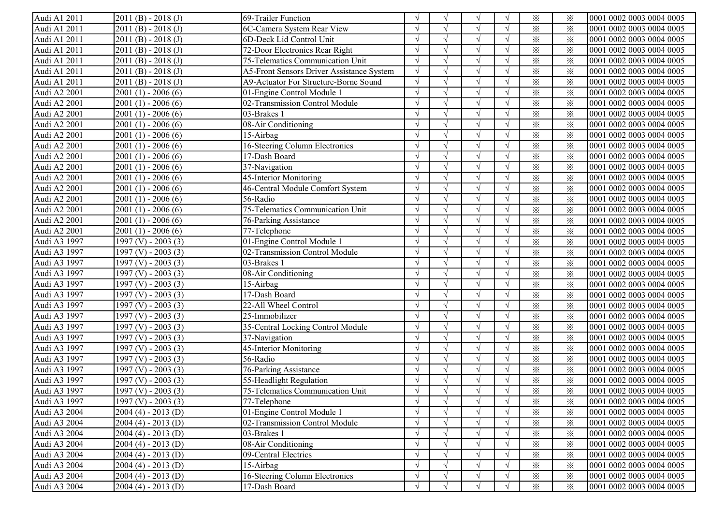| Audi A1 2011 | $2011(B) - 2018(J)$   | 69-Trailer Function                       |               | $\sqrt{ }$ | $\mathcal{N}$ |            | $\times$ | ⋇        | 0001 0002 0003 0004 0005  |
|--------------|-----------------------|-------------------------------------------|---------------|------------|---------------|------------|----------|----------|---------------------------|
| Audi A1 2011 | $2011(B) - 2018(J)$   | 6C-Camera System Rear View                |               |            |               |            | $\times$ | ⋇        | 0001 0002 0003 0004 0005  |
| Audi A1 2011 | $2011(B) - 2018(J)$   | 6D-Deck Lid Control Unit                  |               |            |               |            | $\times$ | $\times$ | 0001 0002 0003 0004 0005  |
| Audi A1 2011 | $2011(B) - 2018(J)$   | 72-Door Electronics Rear Right            |               |            |               |            | $\times$ | $\times$ | 0001 0002 0003 0004 0005  |
| Audi A1 2011 | $2011(B) - 2018(J)$   | 75-Telematics Communication Unit          |               |            |               |            | $\times$ | $\times$ | 0001 0002 0003 0004 0005  |
| Audi A1 2011 | $2011(B) - 2018(J)$   | A5-Front Sensors Driver Assistance System |               |            | $\mathcal{N}$ |            | $\times$ | $\times$ | 0001 0002 0003 0004 0005  |
| Audi A1 2011 | $2011(B) - 2018(J)$   | A9-Actuator For Structure-Borne Sound     |               |            |               |            | $\times$ | $\times$ | 0001 0002 0003 0004 0005  |
| Audi A2 2001 | $2001(1) - 2006(6)$   | 01-Engine Control Module 1                |               | $\Delta$   | $\sqrt{ }$    |            | $\times$ | $\times$ | 0001 0002 0003 0004 0005  |
| Audi A2 2001 | $2001(1) - 2006(6)$   | 02-Transmission Control Module            |               | $\sqrt{ }$ | $\sqrt{ }$    |            | $\times$ | $\times$ | 0001 0002 0003 0004 0005  |
| Audi A2 2001 | $2001(1) - 2006(6)$   | 03-Brakes 1                               |               | $\sqrt{ }$ | $\sqrt{ }$    |            | $\times$ | $\times$ | 0001 0002 0003 0004 0005  |
| Audi A2 2001 | $2001(1) - 2006(6)$   | 08-Air Conditioning                       |               |            |               |            | $\times$ | $\times$ | 0001 0002 0003 0004 0005  |
| Audi A2 2001 | $2001(1) - 2006(6)$   | 15-Airbag                                 |               |            |               |            | $\times$ | $\times$ | 0001 0002 0003 0004 0005  |
| Audi A2 2001 | $2001(1) - 2006(6)$   | 16-Steering Column Electronics            |               | $\sqrt{ }$ |               |            | $\times$ | $\times$ | 0001 0002 0003 0004 0005  |
| Audi A2 2001 | $2001(1) - 2006(6)$   | 17-Dash Board                             |               | $\sqrt{ }$ |               |            | $\times$ | ⋇        | 0001 0002 0003 0004 0005  |
| Audi A2 2001 | $2001(1) - 2006(6)$   | 37-Navigation                             |               | $\sqrt{ }$ |               |            | $\times$ | ⋇        | 0001 0002 0003 0004 0005  |
| Audi A2 2001 | $2001(1) - 2006(6)$   | 45-Interior Monitoring                    |               | $\sqrt{ }$ |               |            | $\times$ | $\times$ | 0001 0002 0003 0004 0005  |
| Audi A2 2001 | $2001(1) - 2006(6)$   | 46-Central Module Comfort System          |               | $\sqrt{ }$ |               |            | $\times$ | $\times$ | 0001 0002 0003 0004 0005  |
| Audi A2 2001 | $2001(1) - 2006(6)$   | 56-Radio                                  |               | $\sqrt{ }$ | $\sqrt{ }$    | $\Delta$   | $\times$ | $\times$ | 0001 0002 0003 0004 0005  |
| Audi A2 2001 | $2001(1) - 2006(6)$   | 75-Telematics Communication Unit          |               | $\sqrt{ }$ | $\sqrt{ }$    |            | $\times$ | $\times$ | 0001 0002 0003 0004 0005  |
| Audi A2 2001 | $2001(1) - 2006(6)$   | 76-Parking Assistance                     |               |            | $\sim$        |            | $\times$ | $\times$ | 0001 0002 0003 0004 0005  |
| Audi A2 2001 | $2001(1) - 2006(6)$   | 77-Telephone                              |               |            |               |            | $\times$ | $\times$ | 0001 0002 0003 0004 0005  |
| Audi A3 1997 | $1997$ (V) - 2003 (3) | 01-Engine Control Module 1                |               |            |               |            | $\times$ | $\times$ | 0001 0002 0003 0004 0005  |
| Audi A3 1997 | $1997$ (V) - 2003 (3) | 02-Transmission Control Module            |               |            |               |            | $\times$ | $\times$ | 0001 0002 0003 0004 0005  |
| Audi A3 1997 | $1997 (V) - 2003 (3)$ | 03-Brakes 1                               |               |            |               |            | $\times$ | $\times$ | 0001 0002 0003 0004 0005  |
| Audi A3 1997 | 1997 (V) - 2003 (3)   | 08-Air Conditioning                       |               | $\sqrt{ }$ | $\sqrt{ }$    |            | $\times$ | $\times$ | 0001 0002 0003 0004 0005  |
| Audi A3 1997 | 1997 (V) - 2003 (3)   | 15-Airbag                                 |               | $\sqrt{ }$ | $\sqrt{ }$    |            | $\times$ | $\times$ | 0001 0002 0003 0004 0005  |
| Audi A3 1997 | $1997$ (V) - 2003 (3) | 17-Dash Board                             |               |            | $\sqrt{ }$    |            | $\times$ | $\times$ | 0001 0002 0003 0004 0005  |
| Audi A3 1997 | 1997 (V) - 2003 (3)   | 22-All Wheel Control                      |               |            |               |            | $\times$ | $\times$ | 0001 0002 0003 0004 0005  |
| Audi A3 1997 | 1997 (V) - 2003 (3)   | 25-Immobilizer                            |               | $\sqrt{ }$ |               |            | $\times$ | $\times$ | 0001 0002 0003 0004 0005  |
| Audi A3 1997 | $1997$ (V) - 2003 (3) | 35-Central Locking Control Module         | $\gamma$      | $\sqrt{ }$ |               |            | $\times$ | $\times$ | 0001 0002 0003 0004 0005  |
| Audi A3 1997 | $1997$ (V) - 2003 (3) | 37-Navigation                             | $\mathcal{L}$ | $\sqrt{ }$ |               | $\sqrt{ }$ | $\times$ | $\times$ | 0001 0002 0003 0004 0005  |
| Audi A3 1997 | $1997 (V) - 2003 (3)$ | 45-Interior Monitoring                    |               | $\sqrt{ }$ |               | $\sqrt{ }$ | $\times$ | $\times$ | 0001 0002 0003 0004 0005  |
| Audi A3 1997 | 1997 (V) - 2003 (3)   | 56-Radio                                  | $\Delta$      | $\sqrt{ }$ | $\sqrt{ }$    | $\sqrt{ }$ | $\times$ | $\times$ | 0001 0002 0003 0004 0005  |
| Audi A3 1997 | 1997 (V) - 2003 (3)   | 76-Parking Assistance                     |               | $\sqrt{ }$ | $\sqrt{ }$    | $\sqrt{ }$ | $\times$ | $\times$ | 0001 0002 0003 0004 0005  |
| Audi A3 1997 | $1997$ (V) - 2003 (3) | 55-Headlight Regulation                   |               | $\sqrt{ }$ |               |            | $\times$ | $\times$ | 0001 0002 0003 0004 0005  |
| Audi A3 1997 | $1997 (V) - 2003 (3)$ | 75-Telematics Communication Unit          |               |            |               |            | $\times$ | $\times$ | 0001 0002 0003 0004 0005  |
| Audi A3 1997 | $1997$ (V) - 2003 (3) | 77-Telephone                              | V             | $\sqrt{ }$ | $\sqrt{ }$    | V          | ⋇        | $\times$ | 10001 0002 0003 0004 0005 |
| Audi A3 2004 | $2004(4) - 2013(D)$   | 01-Engine Control Module 1                |               | $\sqrt{ }$ |               |            | $\times$ | $\times$ | 0001 0002 0003 0004 0005  |
| Audi A3 2004 | $2004(4) - 2013(D)$   | 02-Transmission Control Module            |               | $\sqrt{ }$ |               |            | $\times$ | $\times$ | 0001 0002 0003 0004 0005  |
| Audi A3 2004 | $2004(4) - 2013(D)$   | 03-Brakes 1                               |               |            |               |            | $\times$ | $\times$ | 0001 0002 0003 0004 0005  |
| Audi A3 2004 | $2004(4) - 2013(D)$   | 08-Air Conditioning                       |               | $\sqrt{ }$ |               |            | $\times$ | $\times$ | 0001 0002 0003 0004 0005  |
| Audi A3 2004 | $2004(4) - 2013(D)$   | 09-Central Electrics                      |               | $\sqrt{ }$ |               |            | $\times$ | $\times$ | 0001 0002 0003 0004 0005  |
| Audi A3 2004 | $2004(4) - 2013(D)$   | 15-Airbag                                 |               | $\sqrt{ }$ |               |            | $\times$ | $\times$ | 0001 0002 0003 0004 0005  |
| Audi A3 2004 | $2004(4) - 2013(D)$   | 16-Steering Column Electronics            |               |            |               |            | $\times$ | $\times$ | 0001 0002 0003 0004 0005  |
| Audi A3 2004 | $2004(4) - 2013(D)$   | 17-Dash Board                             | $\sqrt{ }$    | $\sqrt{ }$ | $\mathcal{N}$ |            | $\times$ | $\times$ | 0001 0002 0003 0004 0005  |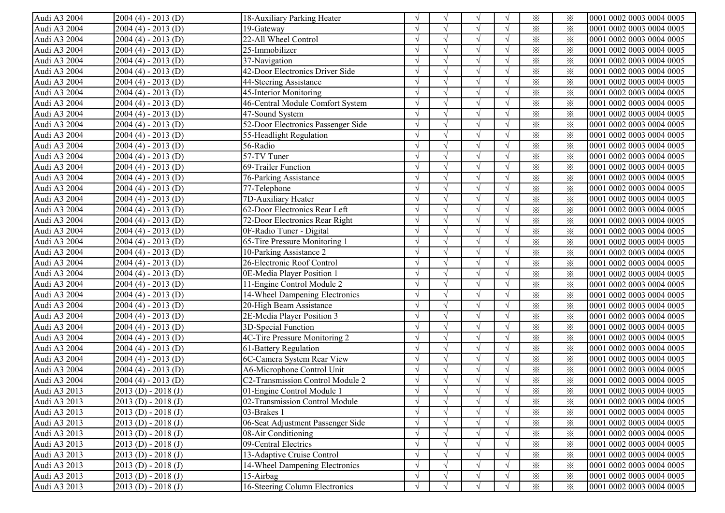| Audi A3 2004 | $2004(4) - 2013(D)$     | 18-Auxiliary Parking Heater             |            | $\sqrt{ }$    | V                 |            | $\times$                | ⋇        | 0001 0002 0003 0004 0005 |
|--------------|-------------------------|-----------------------------------------|------------|---------------|-------------------|------------|-------------------------|----------|--------------------------|
| Audi A3 2004 | $2004(4) - 2013(D)$     | 19-Gateway                              |            |               |                   |            | $\times$                | $\times$ | 0001 0002 0003 0004 0005 |
| Audi A3 2004 | $2004(4) - 2013(D)$     | 22-All Wheel Control                    |            |               |                   |            | $\times$                | $\times$ | 0001 0002 0003 0004 0005 |
| Audi A3 2004 | $2004(4) - 2013(D)$     | 25-Immobilizer                          |            |               |                   |            | $\times$                | $\times$ | 0001 0002 0003 0004 0005 |
| Audi A3 2004 | $2004(4) - 2013(D)$     | 37-Navigation                           |            |               | $\mathbf{\hat{}}$ |            | $\times$                | $\times$ | 0001 0002 0003 0004 0005 |
| Audi A3 2004 | $2004(4) - 2013(D)$     | 42-Door Electronics Driver Side         |            |               |                   |            | $\times$                | $\times$ | 0001 0002 0003 0004 0005 |
| Audi A3 2004 | $2004(4) - 2013(D)$     | 44-Steering Assistance                  |            | $\sqrt{ }$    | $\sqrt{ }$        |            | $\times$                | $\times$ | 0001 0002 0003 0004 0005 |
| Audi A3 2004 | $2004(4) - 2013(D)$     | 45-Interior Monitoring                  |            | $\mathcal{L}$ | $\sqrt{ }$        |            | $\times$                | $\times$ | 0001 0002 0003 0004 0005 |
| Audi A3 2004 | $2004(4) - 2013(D)$     | 46-Central Module Comfort System        |            | $\sqrt{ }$    | $\sqrt{ }$        |            | $\times$                | $\times$ | 0001 0002 0003 0004 0005 |
| Audi A3 2004 | $2004(4) - 2013(D)$     | 47-Sound System                         |            |               |                   |            | $\times$                | $\times$ | 0001 0002 0003 0004 0005 |
| Audi A3 2004 | $2004(4) - 2013(D)$     | 52-Door Electronics Passenger Side      |            | $\sqrt{ }$    |                   |            | $\times$                | $\times$ | 0001 0002 0003 0004 0005 |
| Audi A3 2004 | $2004(4) - 2013(D)$     | 55-Headlight Regulation                 |            | $\sqrt{ }$    |                   |            | $\times$                | $\times$ | 0001 0002 0003 0004 0005 |
| Audi A3 2004 | $2004(4) - 2013(D)$     | 56-Radio                                | $\sqrt{ }$ | $\sqrt{ }$    |                   | $\sqrt{ }$ | $\times$                | $\times$ | 0001 0002 0003 0004 0005 |
| Audi A3 2004 | $2004(4) - 2013(D)$     | 57-TV Tuner                             |            | $\sqrt{ }$    |                   | $\sqrt{ }$ | $\times$                | $\times$ | 0001 0002 0003 0004 0005 |
| Audi A3 2004 | $2004(4) - 2013(D)$     | 69-Trailer Function                     |            | $\sqrt{ }$    |                   |            | $\times$                | $\times$ | 0001 0002 0003 0004 0005 |
| Audi A3 2004 | $2004(4) - 2013(D)$     | 76-Parking Assistance                   |            | $\sqrt{ }$    | $\sqrt{ }$        | $\sqrt{ }$ | $\times$                | $\times$ | 0001 0002 0003 0004 0005 |
| Audi A3 2004 | $2004(4) - 2013(D)$     | 77-Telephone                            | $\sqrt{ }$ | $\sqrt{ }$    | $\sqrt{ }$        | $\sqrt{ }$ | $\times$                | $\times$ | 0001 0002 0003 0004 0005 |
| Audi A3 2004 | $2004(4) - 2013(D)$     | 7D-Auxiliary Heater                     |            |               |                   |            | $\times$                | $\times$ | 0001 0002 0003 0004 0005 |
| Audi A3 2004 | $2004(4) - 2013(D)$     | 62-Door Electronics Rear Left           |            |               |                   |            | $\times$                | $\times$ | 0001 0002 0003 0004 0005 |
| Audi A3 2004 | $2004(4) - 2013(D)$     | 72-Door Electronics Rear Right          |            | $\sqrt{ }$    |                   |            | $\times$                | $\times$ | 0001 0002 0003 0004 0005 |
| Audi A3 2004 | $2004(4) - 2013(D)$     | 0F-Radio Tuner - Digital                |            |               | $\mathcal{L}$     |            | $\times$                | $\times$ | 0001 0002 0003 0004 0005 |
| Audi A3 2004 | $2004(4) - 2013(D)$     | 65-Tire Pressure Monitoring 1           |            | $\sqrt{ }$    | $\mathcal{L}$     |            | $\times$                | $\times$ | 0001 0002 0003 0004 0005 |
| Audi A3 2004 | $2004(4) - 2013(D)$     | 10-Parking Assistance 2                 |            | $\sqrt{ }$    |                   |            | $\times$                | $\times$ | 0001 0002 0003 0004 0005 |
| Audi A3 2004 | $2004(4) - 2013(D)$     | 26-Electronic Roof Control              |            | $\sqrt{ }$    | $\sqrt{ }$        |            | $\times$                | $\times$ | 0001 0002 0003 0004 0005 |
| Audi A3 2004 | $2004(4) - 2013(D)$     | 0E-Media Player Position 1              |            | $\sqrt{ }$    | $\sqrt{ }$        |            | $\times$                | $\times$ | 0001 0002 0003 0004 0005 |
| Audi A3 2004 | $2004(4) - 2013(D)$     | 11-Engine Control Module 2              |            | $\sqrt{ }$    | $\mathcal{L}$     |            | $\times$                | $\times$ | 0001 0002 0003 0004 0005 |
| Audi A3 2004 | $2004(4) - 2013(D)$     | 14-Wheel Dampening Electronics          |            |               |                   |            | $\times$                | $\times$ | 0001 0002 0003 0004 0005 |
| Audi A3 2004 | $2004(4) - 2013(D)$     | 20-High Beam Assistance                 | $\sqrt{ }$ | $\sqrt{ }$    | $\sqrt{ }$        |            | $\overline{\mathbf{x}}$ | $\times$ | 0001 0002 0003 0004 0005 |
| Audi A3 2004 | $2004(4) - 2013(D)$     | 2E-Media Player Position 3              | $\sqrt{ }$ | $\sqrt{ }$    | $\sqrt{ }$        | $\sqrt{ }$ | $\times$                | $\times$ | 0001 0002 0003 0004 0005 |
| Audi A3 2004 | $2004(4) - 2013(D)$     | 3D-Special Function                     | $\sqrt{ }$ | $\sqrt{ }$    | $\sqrt{ }$        | $\sqrt{ }$ | $\times$                | $\times$ | 0001 0002 0003 0004 0005 |
| Audi A3 2004 | $2004(4) - 2013(D)$     | 4C-Tire Pressure Monitoring 2           |            | $\sqrt{ }$    |                   | $\sqrt{ }$ | $\times$                | $\times$ | 0001 0002 0003 0004 0005 |
| Audi A3 2004 | $2004(4) - 2013(D)$     | 61-Battery Regulation                   |            | $\sqrt{ }$    |                   |            | $\times$                | $\times$ | 0001 0002 0003 0004 0005 |
| Audi A3 2004 | $2004(4) - 2013(D)$     | 6C-Camera System Rear View              | $\sqrt{ }$ | $\sqrt{ }$    | $\sqrt{ }$        | $\sqrt{ }$ | $\times$                | $\times$ | 0001 0002 0003 0004 0005 |
| Audi A3 2004 | $2004(4) - 2013(D)$     | A6-Microphone Control Unit              |            | $\sqrt{ }$    | $\sqrt{ }$        | $\sqrt{ }$ | $\times$                | $\times$ | 0001 0002 0003 0004 0005 |
| Audi A3 2004 | $2004(4) - 2013(D)$     | <b>C2-Transmission Control Module 2</b> |            |               |                   |            | $\times$                | $\times$ | 0001 0002 0003 0004 0005 |
| Audi A3 2013 | $2013$ (D) - $2018$ (J) | 01-Engine Control Module 1              |            |               |                   |            | $\times$                | $\times$ | 0001 0002 0003 0004 0005 |
| Audi A3 2013 | $2013$ (D) - $2018$ (J) | 02-Transmission Control Module          | V          | $\sqrt{ }$    | V                 | $\sqrt{}$  | $\times$                | ፠        | 0001 0002 0003 0004 0005 |
| Audi A3 2013 | $2013(D) - 2018(J)$     | 03-Brakes 1                             |            | $\sqrt{ }$    |                   |            | $\times$                | $\times$ | 0001 0002 0003 0004 0005 |
| Audi A3 2013 | $2013(D) - 2018(J)$     | 06-Seat Adjustment Passenger Side       |            |               |                   |            | $\times$                | $\times$ | 0001 0002 0003 0004 0005 |
| Audi A3 2013 | $2013(D) - 2018(J)$     | 08-Air Conditioning                     |            |               |                   |            | $\times$                | $\times$ | 0001 0002 0003 0004 0005 |
| Audi A3 2013 | $2013$ (D) - $2018$ (J) | 09-Central Electrics                    |            |               |                   |            | $\times$                | $\times$ | 0001 0002 0003 0004 0005 |
| Audi A3 2013 | $2013(D) - 2018(J)$     | 13-Adaptive Cruise Control              |            |               | $\sqrt{ }$        |            | $\times$                | $\times$ | 0001 0002 0003 0004 0005 |
| Audi A3 2013 | $2013(D) - 2018(J)$     | 14-Wheel Dampening Electronics          |            |               |                   |            | $\times$                | $\times$ | 0001 0002 0003 0004 0005 |
| Audi A3 2013 | $2013(D) - 2018(J)$     | 15-Airbag                               | $\sqrt{ }$ |               | $\sqrt{ }$        |            | $\times$                | $\times$ | 0001 0002 0003 0004 0005 |
| Audi A3 2013 | $2013(D) - 2018(J)$     | 16-Steering Column Electronics          | $\sqrt{ }$ |               | $\sqrt{ }$        | $\sqrt{ }$ | $\times$                | $\times$ | 0001 0002 0003 0004 0005 |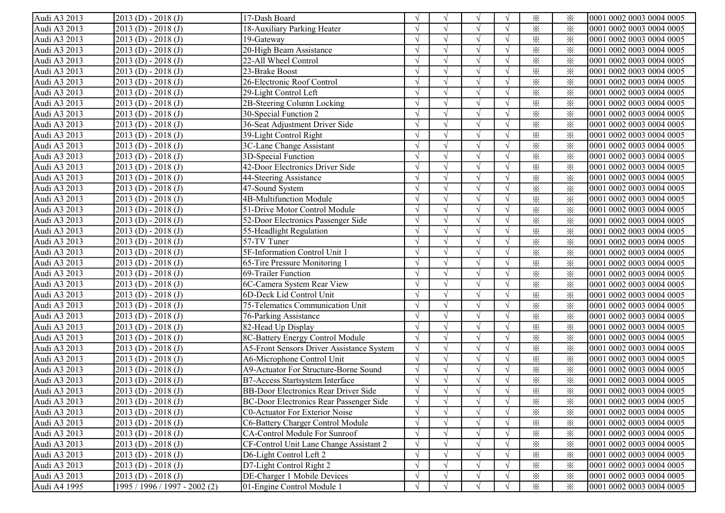| Audi A3 2013 | $2013$ (D) - $2018$ (J)       | 17-Dash Board                                    |               | $\sqrt{ }$    | N             |            | $\times$                | ⋇        | 0001 0002 0003 0004 0005 |
|--------------|-------------------------------|--------------------------------------------------|---------------|---------------|---------------|------------|-------------------------|----------|--------------------------|
| Audi A3 2013 | $2013(D) - 2018(J)$           | 18-Auxiliary Parking Heater                      |               |               |               |            | $\times$                | $\times$ | 0001 0002 0003 0004 0005 |
| Audi A3 2013 | $2013$ (D) - 2018 (J)         | 19-Gateway                                       |               |               |               |            | $\times$                | $\times$ | 0001 0002 0003 0004 0005 |
| Audi A3 2013 | $2013$ (D) - 2018 (J)         | 20-High Beam Assistance                          |               |               |               |            | $\times$                | $\times$ | 0001 0002 0003 0004 0005 |
| Audi A3 2013 | $2013(D) - 2018(J)$           | 22-All Wheel Control                             |               |               | $\mathcal{N}$ |            | $\times$                | $\times$ | 0001 0002 0003 0004 0005 |
| Audi A3 2013 | $2013(D) - 2018(J)$           | 23-Brake Boost                                   |               |               |               |            | $\times$                | $\times$ | 0001 0002 0003 0004 0005 |
| Audi A3 2013 | $2013$ (D) - 2018 (J)         | 26-Electronic Roof Control                       |               |               | $\sqrt{ }$    |            | $\times$                | $\times$ | 0001 0002 0003 0004 0005 |
| Audi A3 2013 | $2013$ (D) - 2018 (J)         | 29-Light Control Left                            |               | $\mathcal{L}$ | $\sim$        |            | $\times$                | $\times$ | 0001 0002 0003 0004 0005 |
| Audi A3 2013 | $2013$ (D) - 2018 (J)         | 2B-Steering Column Locking                       |               | $\sqrt{ }$    | $\sqrt{ }$    |            | $\times$                | $\times$ | 0001 0002 0003 0004 0005 |
| Audi A3 2013 | $2013(D) - 2018(J)$           | 30-Special Function 2                            |               |               |               |            | $\times$                | $\times$ | 0001 0002 0003 0004 0005 |
| Audi A3 2013 | $2013$ (D) - $2018$ (J)       | 36-Seat Adjustment Driver Side                   |               | $\sqrt{ }$    |               |            | $\times$                | $\times$ | 0001 0002 0003 0004 0005 |
| Audi A3 2013 | $2013$ (D) - $2018$ (J)       | 39-Light Control Right                           |               | $\sqrt{ }$    |               |            | $\times$                | $\times$ | 0001 0002 0003 0004 0005 |
| Audi A3 2013 | $2013(D) - 2018(J)$           | 3C-Lane Change Assistant                         | $\mathcal{L}$ | $\sqrt{ }$    |               | $\sqrt{ }$ | $\times$                | ⋇        | 0001 0002 0003 0004 0005 |
| Audi A3 2013 | $2013$ (D) - $2018$ (J)       | 3D-Special Function                              |               | $\sqrt{ }$    |               | $\sqrt{ }$ | $\times$                | $\times$ | 0001 0002 0003 0004 0005 |
| Audi A3 2013 | $2013(D) - 2018(J)$           | 42-Door Electronics Driver Side                  |               | $\sqrt{ }$    |               |            | $\times$                | $\times$ | 0001 0002 0003 0004 0005 |
| Audi A3 2013 | $2013(D) - 2018(J)$           | 44-Steering Assistance                           |               | $\sqrt{ }$    |               |            | $\times$                | $\times$ | 0001 0002 0003 0004 0005 |
| Audi A3 2013 | $2013(D) - 2018(J)$           | 47-Sound System                                  |               | $\sqrt{ }$    | $\sqrt{ }$    | $\sqrt{ }$ | $\times$                | $\times$ | 0001 0002 0003 0004 0005 |
| Audi A3 2013 | $2013(D) - 2018(J)$           | 4B-Multifunction Module                          |               | $\sqrt{ }$    |               |            | $\times$                | $\times$ | 0001 0002 0003 0004 0005 |
| Audi A3 2013 | $2013$ (D) - $2018$ (J)       | 51-Drive Motor Control Module                    |               |               |               |            | $\times$                | $\times$ | 0001 0002 0003 0004 0005 |
| Audi A3 2013 | $2013(D) - 2018(J)$           | 52-Door Electronics Passenger Side               |               | $\sqrt{ }$    |               |            | $\times$                | $\times$ | 0001 0002 0003 0004 0005 |
| Audi A3 2013 | $2013(D) - 2018(J)$           | 55-Headlight Regulation                          |               |               |               |            | $\times$                | $\times$ | 0001 0002 0003 0004 0005 |
| Audi A3 2013 | $2013(D) - 2018(J)$           | 57-TV Tuner                                      |               | $\mathcal{L}$ | $\mathcal{N}$ |            | $\times$                | $\times$ | 0001 0002 0003 0004 0005 |
| Audi A3 2013 | $2013(D) - 2018(J)$           | 5F-Information Control Unit 1                    |               | $\mathcal{L}$ |               |            | $\times$                | $\times$ | 0001 0002 0003 0004 0005 |
| Audi A3 2013 | $2013$ (D) - 2018 (J)         | 65-Tire Pressure Monitoring 1                    |               | $\sqrt{ }$    | $\sqrt{ }$    |            | $\times$                | $\times$ | 0001 0002 0003 0004 0005 |
| Audi A3 2013 | $2013$ (D) - 2018 (J)         | 69-Trailer Function                              |               | $\sqrt{ }$    | $\sqrt{ }$    |            | $\times$                | $\times$ | 0001 0002 0003 0004 0005 |
| Audi A3 2013 | $2013$ (D) - $2018$ (J)       | 6C-Camera System Rear View                       |               |               |               |            | $\times$                | $\times$ | 0001 0002 0003 0004 0005 |
| Audi A3 2013 | $2013(D) - 2018(J)$           | 6D-Deck Lid Control Unit                         |               |               |               |            | $\times$                | $\times$ | 0001 0002 0003 0004 0005 |
| Audi A3 2013 | $2013$ (D) - 2018 (J)         | 75-Telematics Communication Unit                 |               | $\sqrt{ }$    |               |            | $\overline{\mathbf{x}}$ | $\times$ | 0001 0002 0003 0004 0005 |
| Audi A3 2013 | $2013$ (D) - $2018$ (J)       | 76-Parking Assistance                            | $\mathcal{L}$ | $\sqrt{ }$    |               | $\sqrt{ }$ | $\times$                | $\times$ | 0001 0002 0003 0004 0005 |
| Audi A3 2013 | $2013$ (D) - $2018$ (J)       | 82-Head Up Display                               | $\mathcal{L}$ | $\sqrt{ }$    |               | $\sqrt{ }$ | $\times$                | $\times$ | 0001 0002 0003 0004 0005 |
| Audi A3 2013 | $2013$ (D) - 2018 (J)         | 8C-Battery Energy Control Module                 |               | $\sqrt{ }$    |               |            | $\times$                | $\times$ | 0001 0002 0003 0004 0005 |
| Audi A3 2013 | $2013(D) - 2018(J)$           | <b>A5-Front Sensors Driver Assistance System</b> | $\gamma$      | $\sqrt{ }$    |               |            | $\times$                | $\times$ | 0001 0002 0003 0004 0005 |
| Audi A3 2013 | $2013(D) - 2018(J)$           | A6-Microphone Control Unit                       |               | $\sqrt{ }$    | $\sqrt{ }$    |            | $\times$                | $\times$ | 0001 0002 0003 0004 0005 |
| Audi A3 2013 | $2013(D) - 2018(J)$           | A9-Actuator For Structure-Borne Sound            | $\mathcal{L}$ | $\sqrt{ }$    | $\sqrt{ }$    |            | $\times$                | $\times$ | 0001 0002 0003 0004 0005 |
| Audi A3 2013 | $2013(D) - 2018(J)$           | B7-Access Startsystem Interface                  |               |               |               |            | $\times$                | $\times$ | 0001 0002 0003 0004 0005 |
| Audi A3 2013 | $2013$ (D) - $2018$ (J)       | <b>BB-Door Electronics Rear Driver Side</b>      |               |               |               |            | $\times$                | $\times$ | 0001 0002 0003 0004 0005 |
| Audi A3 2013 | $[2013 (D) - 2018 (J)]$       | BC-Door Electronics Rear Passenger Side          | V             | V             | V             | V          | $\times$                | ፠        | 0001 0002 0003 0004 0005 |
| Audi A3 2013 | $2013(D) - 2018(J)$           | <b>C0-Actuator For Exterior Noise</b>            |               | $\sqrt{ }$    |               |            | $\times$                | ⋇        | 0001 0002 0003 0004 0005 |
| Audi A3 2013 | $2013(D) - 2018(J)$           | C6-Battery Charger Control Module                |               |               |               |            | $\times$                | $\times$ | 0001 0002 0003 0004 0005 |
| Audi A3 2013 | $2013$ (D) - 2018 (J)         | CA-Control Module For Sunroof                    |               |               |               |            | $\times$                | $\times$ | 0001 0002 0003 0004 0005 |
| Audi A3 2013 | $2013$ (D) - 2018 (J)         | CF-Control Unit Lane Change Assistant 2          |               | $\sqrt{ }$    |               |            | $\times$                | $\times$ | 0001 0002 0003 0004 0005 |
| Audi A3 2013 | $2013$ (D) - 2018 (J)         | D6-Light Control Left 2                          |               | $\sqrt{ }$    |               |            | $\times$                | $\times$ | 0001 0002 0003 0004 0005 |
| Audi A3 2013 | $2013$ (D) - 2018 (J)         | D7-Light Control Right 2                         |               |               |               |            | $\times$                | $\times$ | 0001 0002 0003 0004 0005 |
| Audi A3 2013 | $2013$ (D) - 2018 (J)         | DE-Charger 1 Mobile Devices                      |               | $\sqrt{ }$    |               |            | $\times$                | $\times$ | 0001 0002 0003 0004 0005 |
| Audi A4 1995 | 1995 / 1996 / 1997 - 2002 (2) | 01-Engine Control Module 1                       | $\sqrt{ }$    | $\sqrt{ }$    |               |            | $\times$                | $\times$ | 0001 0002 0003 0004 0005 |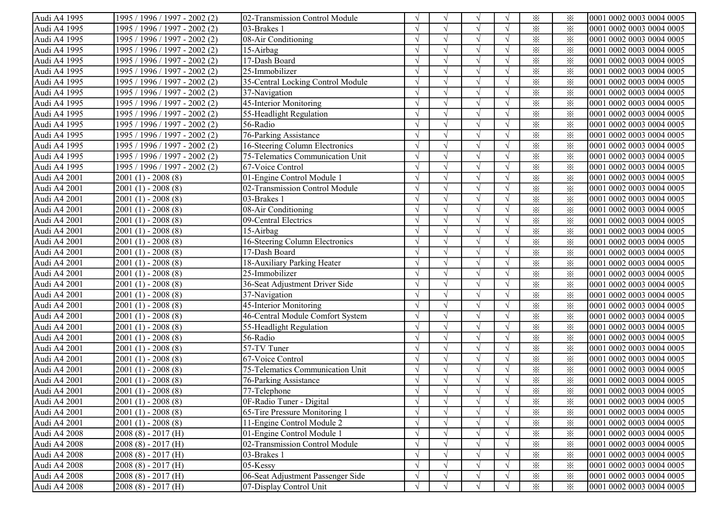| Audi A4 1995 | 1995 / 1996 / 1997 - 2002 (2) | 02-Transmission Control Module    |            |            |               |            | $\times$                | ⋇        | 0001 0002 0003 0004 0005 |
|--------------|-------------------------------|-----------------------------------|------------|------------|---------------|------------|-------------------------|----------|--------------------------|
| Audi A4 1995 | 1995 / 1996 / 1997 - 2002 (2) | 03-Brakes 1                       |            |            |               |            | $\times$                | $\times$ | 0001 0002 0003 0004 0005 |
| Audi A4 1995 | 1995 / 1996 / 1997 - 2002 (2) | 08-Air Conditioning               |            |            |               |            | $\times$                | $\times$ | 0001 0002 0003 0004 0005 |
| Audi A4 1995 | 1995 / 1996 / 1997 - 2002 (2) | 15-Airbag                         |            |            | $\mathcal{L}$ |            | $\times$                | $\times$ | 0001 0002 0003 0004 0005 |
| Audi A4 1995 | 1995 / 1996 / 1997 - 2002 (2) | 17-Dash Board                     |            |            |               |            | $\times$                | $\times$ | 0001 0002 0003 0004 0005 |
| Audi A4 1995 | 1995 / 1996 / 1997 - 2002 (2) | 25-Immobilizer                    |            |            |               |            | $\times$                | $\times$ | 0001 0002 0003 0004 0005 |
| Audi A4 1995 | 1995 / 1996 / 1997 - 2002 (2) | 35-Central Locking Control Module |            |            | $\sqrt{ }$    |            | $\times$                | $\times$ | 0001 0002 0003 0004 0005 |
| Audi A4 1995 | 1995 / 1996 / 1997 - 2002 (2) | 37-Navigation                     |            | $\sqrt{ }$ | $\sqrt{ }$    |            | $\times$                | $\times$ | 0001 0002 0003 0004 0005 |
| Audi A4 1995 | 1995 / 1996 / 1997 - 2002 (2) | 45-Interior Monitoring            |            |            |               |            | $\times$                | $\times$ | 0001 0002 0003 0004 0005 |
| Audi A4 1995 | 1995 / 1996 / 1997 - 2002 (2) | 55-Headlight Regulation           |            | $\sqrt{ }$ |               |            | $\times$                | $\times$ | 0001 0002 0003 0004 0005 |
| Audi A4 1995 | 1995 / 1996 / 1997 - 2002 (2) | 56-Radio                          |            |            |               |            | $\times$                | $\times$ | 0001 0002 0003 0004 0005 |
| Audi A4 1995 | 1995 / 1996 / 1997 - 2002 (2) | 76-Parking Assistance             |            | $\sqrt{ }$ |               |            | $\times$                | $\times$ | 0001 0002 0003 0004 0005 |
| Audi A4 1995 | 1995 / 1996 / 1997 - 2002 (2) | 16-Steering Column Electronics    |            | $\sqrt{ }$ |               |            | $\times$                | $\times$ | 0001 0002 0003 0004 0005 |
| Audi A4 1995 | 1995 / 1996 / 1997 - 2002 (2) | 75-Telematics Communication Unit  |            | $\sqrt{ }$ |               |            | $\times$                | $\times$ | 0001 0002 0003 0004 0005 |
| Audi A4 1995 | 1995 / 1996 / 1997 - 2002 (2) | 67-Voice Control                  |            | $\sqrt{ }$ |               |            | $\overline{\mathbf{x}}$ | $\times$ | 0001 0002 0003 0004 0005 |
| Audi A4 2001 | $2001(1) - 2008(8)$           | 01-Engine Control Module 1        |            | $\sqrt{ }$ | $\sqrt{ }$    |            | $\times$                | $\times$ | 0001 0002 0003 0004 0005 |
| Audi A4 2001 | $2001(1) - 2008(8)$           | 02-Transmission Control Module    |            | $\gamma$   |               |            | $\times$                | $\times$ | 0001 0002 0003 0004 0005 |
| Audi A4 2001 | $2001(1) - 2008(8)$           | 03-Brakes 1                       |            |            |               |            | $\times$                | $\times$ | 0001 0002 0003 0004 0005 |
| Audi A4 2001 | $2001(1) - 2008(8)$           | 08-Air Conditioning               |            | $\sqrt{ }$ | $\sqrt{ }$    |            | $\times$                | $\times$ | 0001 0002 0003 0004 0005 |
| Audi A4 2001 | $2001(1) - 2008(8)$           | 09-Central Electrics              |            |            |               |            | $\times$                | $\times$ | 0001 0002 0003 0004 0005 |
| Audi A4 2001 | $2001(1) - 2008(8)$           | $15-Airbag$                       |            |            |               |            | $\times$                | $\times$ | 0001 0002 0003 0004 0005 |
| Audi A4 2001 | $2001(1) - 2008(8)$           | 16-Steering Column Electronics    |            |            |               |            | $\times$                | $\times$ | 0001 0002 0003 0004 0005 |
| Audi A4 2001 | $2001(1) - 2008(8)$           | 17-Dash Board                     |            | $\sqrt{ }$ |               |            | $\times$                | $\times$ | 0001 0002 0003 0004 0005 |
| Audi A4 2001 | $2001(1) - 2008(8)$           | 18-Auxiliary Parking Heater       |            | $\sqrt{ }$ | $\sqrt{ }$    |            | $\times$                | $\times$ | 0001 0002 0003 0004 0005 |
| Audi A4 2001 | $2001(1) - 2008(8)$           | 25-Immobilizer                    |            | $\sqrt{ }$ | $\mathcal{L}$ |            | $\times$                | $\times$ | 0001 0002 0003 0004 0005 |
| Audi A4 2001 | $2001(1) - 2008(8)$           | 36-Seat Adjustment Driver Side    |            |            |               |            | $\times$                | $\times$ | 0001 0002 0003 0004 0005 |
| Audi A4 2001 | $2001(1) - 2008(8)$           | 37-Navigation                     |            | $\sqrt{ }$ |               |            | $\overline{\mathbf{x}}$ | $\times$ | 0001 0002 0003 0004 0005 |
| Audi A4 2001 | $2001(1) - 2008(8)$           | 45-Interior Monitoring            | $\sqrt{ }$ | $\sqrt{ }$ |               | $\sqrt{ }$ | $\times$                | $\times$ | 0001 0002 0003 0004 0005 |
| Audi A4 2001 | $2001(1) - 2008(8)$           | 46-Central Module Comfort System  | $\sqrt{ }$ | $\sqrt{ }$ |               | $\sqrt{ }$ | $\times$                | $\times$ | 0001 0002 0003 0004 0005 |
| Audi A4 2001 | $2001(1) - 2008(8)$           | 55-Headlight Regulation           |            | $\sqrt{ }$ |               | $\sqrt{ }$ | $\times$                | $\times$ | 0001 0002 0003 0004 0005 |
| Audi A4 2001 | $2001(1) - 2008(8)$           | 56-Radio                          | $\sqrt{ }$ | $\sqrt{ }$ | $\sqrt{ }$    | $\sqrt{ }$ | $\times$                | $\times$ | 0001 0002 0003 0004 0005 |
| Audi A4 2001 | $2001(1) - 2008(8)$           | 57-TV Tuner                       | $\sqrt{ }$ | $\sqrt{ }$ | $\sqrt{ }$    | $\sqrt{ }$ | $\times$                | $\times$ | 0001 0002 0003 0004 0005 |
| Audi A4 2001 | $2001(1) - 2008(8)$           | 67-Voice Control                  |            | $\sqrt{ }$ | $\sqrt{ }$    | $\sqrt{ }$ | $\times$                | $\times$ | 0001 0002 0003 0004 0005 |
| Audi A4 2001 | $2001(1) - 2008(8)$           | 75-Telematics Communication Unit  |            |            |               |            | $\times$                | $\times$ | 0001 0002 0003 0004 0005 |
| Audi A4 2001 | $2001(1) - 2008(8)$           | 76-Parking Assistance             |            |            |               |            | $\times$                | $\times$ | 0001 0002 0003 0004 0005 |
| Audi A4 2001 | $2001(1) - 2008(8)$           | 77-Telephone                      |            |            |               |            | $\times$                | $\times$ | 0001 0002 0003 0004 0005 |
| Audi A4 2001 | $2001(1) - 2008(8)$           | OF-Radio Tuner - Digital          | $\sqrt{ }$ | $\sqrt{ }$ | V             | V          | $\times$                | ፠        | 0001 0002 0003 0004 0005 |
| Audi A4 2001 | $2001(1) - 2008(8)$           | 65-Tire Pressure Monitoring 1     |            |            |               |            | $\times$                | $\times$ | 0001 0002 0003 0004 0005 |
| Audi A4 2001 | $2001(1) - 2008(8)$           | 11-Engine Control Module 2        |            |            |               |            | $\times$                | $\times$ | 0001 0002 0003 0004 0005 |
| Audi A4 2008 | $2008(8) - 2017(H)$           | 01-Engine Control Module 1        |            |            |               |            | $\times$                | $\times$ | 0001 0002 0003 0004 0005 |
| Audi A4 2008 | $2008(8) - 2017(H)$           | 02-Transmission Control Module    |            |            |               |            | $\times$                | $\times$ | 0001 0002 0003 0004 0005 |
| Audi A4 2008 | $2008(8) - 2017(H)$           | 03-Brakes 1                       |            |            |               |            | $\times$                | $\times$ | 0001 0002 0003 0004 0005 |
| Audi A4 2008 | $2008(8) - 2017(H)$           | 05-Kessy                          |            |            |               |            | $\times$                | $\times$ | 0001 0002 0003 0004 0005 |
| Audi A4 2008 | $2008(8) - 2017(H)$           | 06-Seat Adjustment Passenger Side | $\sqrt{ }$ |            |               |            | $\times$                | $\times$ | 0001 0002 0003 0004 0005 |
| Audi A4 2008 | $2008(8) - 2017(H)$           | 07-Display Control Unit           | $\sqrt{ }$ |            |               |            | $\times$                | $\times$ | 0001 0002 0003 0004 0005 |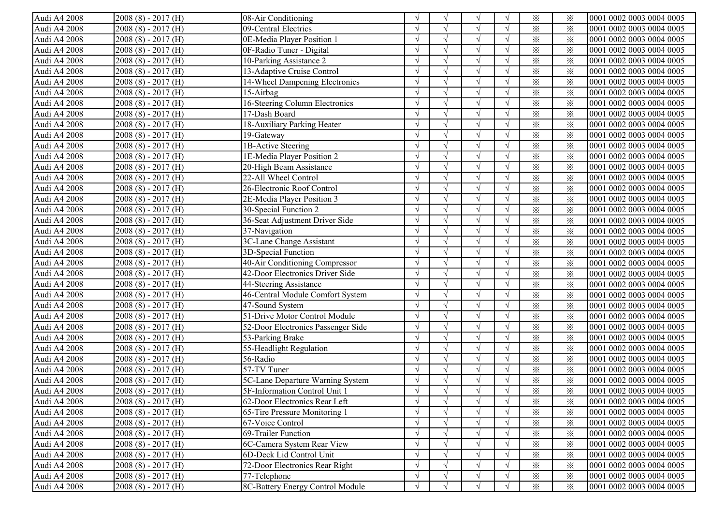| Audi A4 2008 | $2008(8) - 2017(H)$ | 08-Air Conditioning                |               | $\sqrt{ }$ | V             |            | $\times$                | ⋇        | 0001 0002 0003 0004 0005 |
|--------------|---------------------|------------------------------------|---------------|------------|---------------|------------|-------------------------|----------|--------------------------|
| Audi A4 2008 | $2008(8) - 2017(H)$ | 09-Central Electrics               |               |            |               |            | $\times$                | $\times$ | 0001 0002 0003 0004 0005 |
| Audi A4 2008 | $2008(8) - 2017(H)$ | 0E-Media Player Position 1         |               |            |               |            | $\times$                | $\times$ | 0001 0002 0003 0004 0005 |
| Audi A4 2008 | $2008(8) - 2017(H)$ | 0F-Radio Tuner - Digital           |               |            |               |            | $\times$                | $\times$ | 0001 0002 0003 0004 0005 |
| Audi A4 2008 | $2008(8) - 2017(H)$ | 10-Parking Assistance 2            |               |            | $\mathcal{L}$ |            | $\times$                | $\times$ | 0001 0002 0003 0004 0005 |
| Audi A4 2008 | $2008(8) - 2017(H)$ | 13-Adaptive Cruise Control         |               |            |               |            | $\times$                | $\times$ | 0001 0002 0003 0004 0005 |
| Audi A4 2008 | $2008(8) - 2017(H)$ | 14-Wheel Dampening Electronics     |               |            |               |            | $\times$                | $\times$ | 0001 0002 0003 0004 0005 |
| Audi A4 2008 | $2008(8) - 2017(H)$ | 15-Airbag                          |               |            | $\sqrt{ }$    |            | $\times$                | $\times$ | 0001 0002 0003 0004 0005 |
| Audi A4 2008 | $2008(8) - 2017(H)$ | 16-Steering Column Electronics     |               | $\sqrt{ }$ | $\sqrt{ }$    |            | $\times$                | $\times$ | 0001 0002 0003 0004 0005 |
| Audi A4 2008 | $2008(8) - 2017(H)$ | 17-Dash Board                      |               |            |               |            | $\times$                | $\times$ | 0001 0002 0003 0004 0005 |
| Audi A4 2008 | $2008(8) - 2017(H)$ | 18-Auxiliary Parking Heater        |               |            |               |            | $\times$                | $\times$ | 0001 0002 0003 0004 0005 |
| Audi A4 2008 | $2008(8) - 2017(H)$ | 19-Gateway                         |               |            |               |            | $\times$                | $\times$ | 0001 0002 0003 0004 0005 |
| Audi A4 2008 | $2008(8) - 2017(H)$ | 1B-Active Steering                 |               | $\sqrt{ }$ |               |            | $\times$                | $\times$ | 0001 0002 0003 0004 0005 |
| Audi A4 2008 | $2008(8) - 2017(H)$ | 1E-Media Player Position 2         |               | $\sqrt{ }$ |               | $\sqrt{ }$ | $\times$                | $\times$ | 0001 0002 0003 0004 0005 |
| Audi A4 2008 | $2008(8) - 2017(H)$ | 20-High Beam Assistance            |               | $\sqrt{ }$ |               |            | $\times$                | $\times$ | 0001 0002 0003 0004 0005 |
| Audi A4 2008 | $2008(8) - 2017(H)$ | 22-All Wheel Control               |               |            |               |            | $\times$                | $\times$ | 0001 0002 0003 0004 0005 |
| Audi A4 2008 | $2008(8) - 2017(H)$ | 26-Electronic Roof Control         | $\sqrt{ }$    | $\sqrt{ }$ | $\sqrt{ }$    | $\sqrt{ }$ | $\times$                | $\times$ | 0001 0002 0003 0004 0005 |
| Audi A4 2008 | $2008(8) - 2017(H)$ | 2E-Media Player Position 3         |               |            |               |            | $\times$                | $\times$ | 0001 0002 0003 0004 0005 |
| Audi A4 2008 | $2008(8) - 2017(H)$ | 30-Special Function 2              |               |            |               |            | $\times$                | $\times$ | 0001 0002 0003 0004 0005 |
| Audi A4 2008 | $2008(8) - 2017(H)$ | 36-Seat Adjustment Driver Side     |               |            |               |            | $\times$                | $\times$ | 0001 0002 0003 0004 0005 |
| Audi A4 2008 | $2008(8) - 2017(H)$ | 37-Navigation                      |               |            |               |            | $\times$                | $\times$ | 0001 0002 0003 0004 0005 |
| Audi A4 2008 | $2008(8) - 2017(H)$ | 3C-Lane Change Assistant           |               | $\gamma$   | $\mathcal{L}$ |            | $\times$                | $\times$ | 0001 0002 0003 0004 0005 |
| Audi A4 2008 | $2008(8) - 2017(H)$ | 3D-Special Function                |               |            |               |            | $\times$                | $\times$ | 0001 0002 0003 0004 0005 |
| Audi A4 2008 | $2008(8) - 2017(H)$ | 40-Air Conditioning Compressor     |               | $\sqrt{ }$ | $\sqrt{ }$    |            | $\times$                | $\times$ | 0001 0002 0003 0004 0005 |
| Audi A4 2008 | $2008(8) - 2017(H)$ | 42-Door Electronics Driver Side    |               | $\sqrt{ }$ | $\sqrt{ }$    |            | $\times$                | $\times$ | 0001 0002 0003 0004 0005 |
| Audi A4 2008 | $2008(8) - 2017(H)$ | 44-Steering Assistance             |               |            |               |            | $\times$                | $\times$ | 0001 0002 0003 0004 0005 |
| Audi A4 2008 | $2008(8) - 2017(H)$ | 46-Central Module Comfort System   |               |            |               |            | $\times$                | $\times$ | 0001 0002 0003 0004 0005 |
| Audi A4 2008 | $2008(8) - 2017(H)$ | 47-Sound System                    | $\sqrt{ }$    | $\sqrt{ }$ |               |            | $\overline{\mathbf{x}}$ | $\times$ | 0001 0002 0003 0004 0005 |
| Audi A4 2008 | $2008(8) - 2017(H)$ | 51-Drive Motor Control Module      | $\sqrt{ }$    | $\sqrt{ }$ |               | $\sqrt{ }$ | $\times$                | $\times$ | 0001 0002 0003 0004 0005 |
| Audi A4 2008 | $2008(8) - 2017(H)$ | 52-Door Electronics Passenger Side | $\sqrt{ }$    | $\sqrt{ }$ |               | $\sqrt{ }$ | $\times$                | $\times$ | 0001 0002 0003 0004 0005 |
| Audi A4 2008 | $2008(8) - 2017(H)$ | 53-Parking Brake                   |               | $\sqrt{ }$ |               |            | $\times$                | $\times$ | 0001 0002 0003 0004 0005 |
| Audi A4 2008 | $2008(8) - 2017(H)$ | 55-Headlight Regulation            |               | $\sqrt{ }$ |               |            | $\times$                | $\times$ | 0001 0002 0003 0004 0005 |
| Audi A4 2008 | $2008(8) - 2017(H)$ | 56-Radio                           | $\mathcal{L}$ | $\sqrt{ }$ | $\sqrt{ }$    |            | $\times$                | $\times$ | 0001 0002 0003 0004 0005 |
| Audi A4 2008 | $2008(8) - 2017(H)$ | 57-TV Tuner                        |               | $\sqrt{ }$ | $\sqrt{ }$    |            | $\times$                | $\times$ | 0001 0002 0003 0004 0005 |
| Audi A4 2008 | $2008(8) - 2017(H)$ | 5C-Lane Departure Warning System   |               |            |               |            | $\times$                | $\times$ | 0001 0002 0003 0004 0005 |
| Audi A4 2008 | $2008(8) - 2017(H)$ | 5F-Information Control Unit 1      |               |            |               |            | $\times$                | $\times$ | 0001 0002 0003 0004 0005 |
| Audi A4 2008 | $2008(8) - 2017(H)$ | [62-Door Electronics Rear Left     | V             | $\gamma$   | V             | $\sqrt{}$  | $\times$                | ፠        | 0001 0002 0003 0004 0005 |
| Audi A4 2008 | $2008(8) - 2017(H)$ | 65-Tire Pressure Monitoring 1      | $\sqrt{ }$    |            |               |            | $\times$                | ⋇        | 0001 0002 0003 0004 0005 |
| Audi A4 2008 | $2008(8) - 2017(H)$ | 67-Voice Control                   |               |            |               |            | $\times$                | $\times$ | 0001 0002 0003 0004 0005 |
| Audi A4 2008 | $2008(8) - 2017(H)$ | 69-Trailer Function                |               |            |               |            | $\times$                | $\times$ | 0001 0002 0003 0004 0005 |
| Audi A4 2008 | $2008(8) - 2017(H)$ | 6C-Camera System Rear View         |               |            |               |            | $\times$                | $\times$ | 0001 0002 0003 0004 0005 |
| Audi A4 2008 | $2008(8) - 2017(H)$ | 6D-Deck Lid Control Unit           |               | $\sqrt{ }$ | $\sqrt{ }$    |            | $\times$                | $\times$ | 0001 0002 0003 0004 0005 |
| Audi A4 2008 | $2008(8) - 2017(H)$ | 72-Door Electronics Rear Right     |               |            |               |            | $\times$                | $\times$ | 0001 0002 0003 0004 0005 |
| Audi A4 2008 | $2008(8) - 2017(H)$ | 77-Telephone                       |               |            |               |            | $\times$                | $\times$ | 0001 0002 0003 0004 0005 |
| Audi A4 2008 | $2008(8) - 2017(H)$ | 8C-Battery Energy Control Module   | $\sqrt{ }$    |            | $\sqrt{ }$    | $\sqrt{ }$ | $\times$                | $\times$ | 0001 0002 0003 0004 0005 |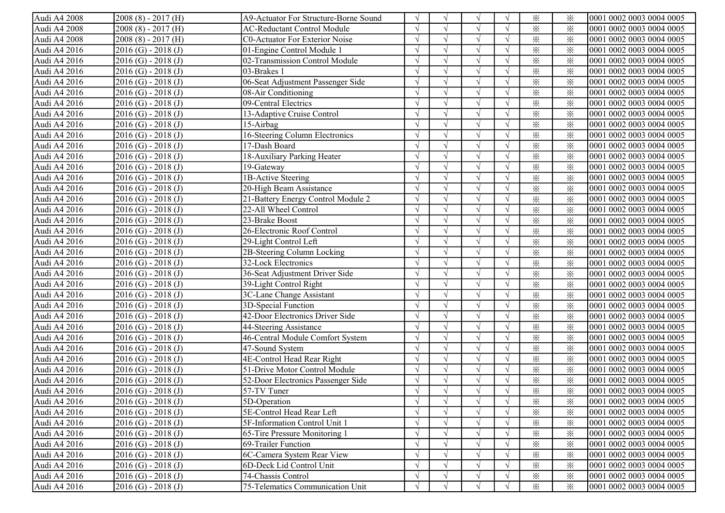| Audi A4 2008 | $2008(8) - 2017(H)$     | A9-Actuator For Structure-Borne Sound | $\sqrt{ }$ | $\mathcal{N}$ | $\sqrt{ }$ | $\sqrt{ }$               | $\times$                | ⋇        | 0001 0002 0003 0004 0005  |
|--------------|-------------------------|---------------------------------------|------------|---------------|------------|--------------------------|-------------------------|----------|---------------------------|
| Audi A4 2008 | $2008(8) - 2017(H)$     | <b>AC-Reductant Control Module</b>    |            |               |            |                          | $\times$                | $\times$ | 0001 0002 0003 0004 0005  |
| Audi A4 2008 | $2008(8) - 2017(H)$     | <b>C0-Actuator For Exterior Noise</b> |            |               |            |                          | $\times$                | $\times$ | 0001 0002 0003 0004 0005  |
| Audi A4 2016 | $2016$ (G) - 2018 (J)   | 01-Engine Control Module 1            |            |               |            |                          | $\times$                | $\times$ | 0001 0002 0003 0004 0005  |
| Audi A4 2016 | $2016$ (G) - $2018$ (J) | 02-Transmission Control Module        |            |               |            |                          | $\times$                | $\times$ | 0001 0002 0003 0004 0005  |
| Audi A4 2016 | $2016$ (G) - $2018$ (J) | 03-Brakes 1                           |            |               |            |                          | $\times$                | $\times$ | 0001 0002 0003 0004 0005  |
| Audi A4 2016 | $2016$ (G) - $2018$ (J) | 06-Seat Adjustment Passenger Side     |            |               |            |                          | $\times$                | $\times$ | 0001 0002 0003 0004 0005  |
| Audi A4 2016 | $2016$ (G) - 2018 (J)   | 08-Air Conditioning                   |            |               |            |                          | $\times$                | $\times$ | 0001 0002 0003 0004 0005  |
| Audi A4 2016 | $2016$ (G) - 2018 (J)   | 09-Central Electrics                  |            |               | $\sqrt{}$  |                          | $\times$                | $\times$ | 0001 0002 0003 0004 0005  |
| Audi A4 2016 | $2016$ (G) - 2018 (J)   | 13-Adaptive Cruise Control            |            | $\sqrt{2}$    | $\sqrt{}$  |                          | $\times$                | $\times$ | 0001 0002 0003 0004 0005  |
| Audi A4 2016 | $2016$ (G) - 2018 (J)   | 15-Airbag                             |            |               |            |                          | $\times$                | $\times$ | 0001 0002 0003 0004 0005  |
| Audi A4 2016 | $2016$ (G) - 2018 (J)   | 16-Steering Column Electronics        |            |               |            |                          | $\times$                | $\times$ | 0001 0002 0003 0004 0005  |
| Audi A4 2016 | $2016$ (G) - 2018 (J)   | 17-Dash Board                         | $\sqrt{ }$ |               |            | $\sqrt{ }$               | $\times$                | $\times$ | 0001 0002 0003 0004 0005  |
| Audi A4 2016 | $2016$ (G) - $2018$ (J) | 18-Auxiliary Parking Heater           | $\sqrt{ }$ |               |            | $\sqrt{ }$               | $\times$                | $\times$ | 0001 0002 0003 0004 0005  |
| Audi A4 2016 | $2016$ (G) - $2018$ (J) | 19-Gateway                            |            |               |            | $\sqrt{ }$               | $\times$                | $\times$ | 0001 0002 0003 0004 0005  |
| Audi A4 2016 | $2016$ (G) - 2018 (J)   | 1B-Active Steering                    |            |               |            | $\sqrt{ }$               | $\times$                | $\times$ | 0001 0002 0003 0004 0005  |
| Audi A4 2016 | $2016$ (G) - 2018 (J)   | 20-High Beam Assistance               |            | $\gamma$      |            | $\sqrt{ }$               | $\overline{\mathbf{x}}$ | $\times$ | 0001 0002 0003 0004 0005  |
| Audi A4 2016 | $2016$ (G) - $2018$ (J) | 21-Battery Energy Control Module 2    | $\sqrt{ }$ | $\sqrt{ }$    | $\sqrt{ }$ | $\sqrt{ }$               | $\times$                | $\times$ | 0001 0002 0003 0004 0005  |
| Audi A4 2016 | $2016$ (G) - $2018$ (J) | 22-All Wheel Control                  | $\sqrt{ }$ | $\sqrt{ }$    | $\sqrt{ }$ | $\sqrt{ }$               | $\times$                | ⋇        | 0001 0002 0003 0004 0005  |
| Audi A4 2016 | $2016$ (G) - $2018$ (J) | 23-Brake Boost                        |            |               | $\sqrt{ }$ | $\overline{\mathcal{N}}$ | $\times$                | $\times$ | 0001 0002 0003 0004 0005  |
| Audi A4 2016 | $2016$ (G) - $2018$ (J) | 26-Electronic Roof Control            |            | $\mathcal{N}$ |            |                          | $\times$                | $\times$ | 0001 0002 0003 0004 0005  |
| Audi A4 2016 | $2016$ (G) - $2018$ (J) | 29-Light Control Left                 |            |               |            |                          | $\times$                | $\times$ | 0001 0002 0003 0004 0005  |
| Audi A4 2016 | $2016$ (G) - $2018$ (J) | 2B-Steering Column Locking            |            |               |            |                          | $\times$                | $\times$ | 0001 0002 0003 0004 0005  |
| Audi A4 2016 | $2016$ (G) - 2018 (J)   | 32-Lock Electronics                   |            |               |            |                          | $\times$                | $\times$ | 0001 0002 0003 0004 0005  |
| Audi A4 2016 | $2016$ (G) - 2018 (J)   | 36-Seat Adjustment Driver Side        |            | $\gamma$      | $\sqrt{ }$ |                          | $\times$                | $\times$ | 0001 0002 0003 0004 0005  |
| Audi A4 2016 | $2016$ (G) - 2018 (J)   | 39-Light Control Right                |            | $\gamma$      | $\sqrt{ }$ |                          | $\times$                | $\times$ | 0001 0002 0003 0004 0005  |
| Audi A4 2016 | $2016$ (G) - 2018 (J)   | 3C-Lane Change Assistant              |            |               | $\sqrt{ }$ |                          | $\times$                | $\times$ | 0001 0002 0003 0004 0005  |
| Audi A4 2016 | $2016$ (G) - 2018 (J)   | 3D-Special Function                   |            |               |            |                          | $\times$                | $\times$ | 0001 0002 0003 0004 0005  |
| Audi A4 2016 | $2016$ (G) - 2018 (J)   | 42-Door Electronics Driver Side       |            | $\sqrt{ }$    |            |                          | $\times$                | $\times$ | 0001 0002 0003 0004 0005  |
| Audi A4 2016 | $2016$ (G) - $2018$ (J) | 44-Steering Assistance                | $\sqrt{ }$ |               |            | $\sqrt{ }$               | $\times$                | $\times$ | 0001 0002 0003 0004 0005  |
| Audi A4 2016 | $2016$ (G) - $2018$ (J) | 46-Central Module Comfort System      | $\sqrt{ }$ | $\sqrt{ }$    |            | $\sqrt{ }$               | $\times$                | $\times$ | 0001 0002 0003 0004 0005  |
| Audi A4 2016 | $2016$ (G) - $2018$ (J) | 47-Sound System                       | $\sqrt{ }$ | $\gamma$      |            | $\sqrt{ }$               | $\times$                | $\times$ | 0001 0002 0003 0004 0005  |
| Audi A4 2016 | $2016$ (G) - $2018$ (J) | 4E-Control Head Rear Right            | $\sqrt{ }$ | $\sqrt{ }$    | $\sqrt{ }$ | $\sqrt{ }$               | $\times$                | $\times$ | 0001 0002 0003 0004 0005  |
| Audi A4 2016 | $2016$ (G) - $2018$ (J) | 51-Drive Motor Control Module         | $\sqrt{ }$ | $\sqrt{2}$    | $\sqrt{ }$ | $\sqrt{ }$               | $\times$                | $\times$ | 0001 0002 0003 0004 0005  |
| Audi A4 2016 | $2016$ (G) - $2018$ (J) | 52-Door Electronics Passenger Side    |            |               | $\sqrt{ }$ |                          | $\times$                | $\times$ | 0001 0002 0003 0004 0005  |
| Audi A4 2016 | $2016$ (G) - 2018 (J)   | 57-TV Tuner                           |            |               |            |                          | $\times$                | $\times$ | 0001 0002 0003 0004 0005  |
| Audi A4 2016 | $2016$ (G) - 2018 (J)   | 5D-Operation                          | $\sqrt{ }$ | $\sqrt{ }$    | $\sqrt{}$  | V                        | ⋇                       | $\times$ | 10001 0002 0003 0004 0005 |
| Audi A4 2016 | $2016$ (G) - 2018 (J)   | 5E-Control Head Rear Left             | $\sqrt{ }$ |               |            | $\sqrt{ }$               | $\times$                | ⋇        | 0001 0002 0003 0004 0005  |
| Audi A4 2016 | $2016$ (G) - $2018$ (J) | 5F-Information Control Unit 1         |            |               |            | $\sqrt{ }$               | $\times$                | ⋇        | 0001 0002 0003 0004 0005  |
| Audi A4 2016 | $2016$ (G) - $2018$ (J) | 65-Tire Pressure Monitoring 1         |            |               |            |                          | $\times$                | $\times$ | 0001 0002 0003 0004 0005  |
| Audi A4 2016 | $2016$ (G) - 2018 (J)   | 69-Trailer Function                   |            |               |            |                          | $\times$                | ⋇        | 0001 0002 0003 0004 0005  |
| Audi A4 2016 | $2016$ (G) - 2018 (J)   | 6C-Camera System Rear View            |            |               |            |                          | $\times$                | $\times$ | 0001 0002 0003 0004 0005  |
| Audi A4 2016 | $2016$ (G) - 2018 (J)   | 6D-Deck Lid Control Unit              |            |               | $\sqrt{}$  |                          | $\times$                | $\times$ | 0001 0002 0003 0004 0005  |
| Audi A4 2016 | $2016$ (G) - $2018$ (J) | 74-Chassis Control                    |            |               |            |                          | $\times$                | $\times$ | 0001 0002 0003 0004 0005  |
| Audi A4 2016 | $2016$ (G) - 2018 (J)   | 75-Telematics Communication Unit      | $\sqrt{ }$ |               | $\sqrt{ }$ | $\sqrt{ }$               | $\times$                | $\times$ | 0001 0002 0003 0004 0005  |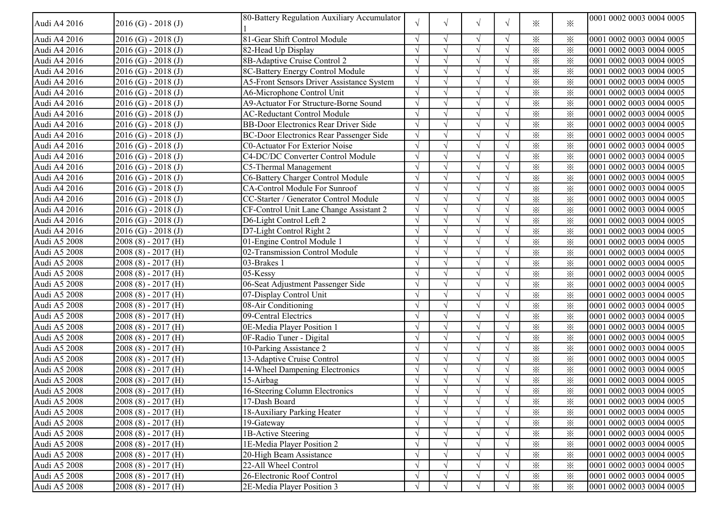| Audi A4 2016 | $2016$ (G) - 2018 (J)   | 80-Battery Regulation Auxiliary Accumulator    | $\sqrt{ }$ | $\sqrt{ }$    | V          | $\sqrt{ }$ | ⋇               | $\ddot{\times}$ | 0001 0002 0003 0004 0005 |
|--------------|-------------------------|------------------------------------------------|------------|---------------|------------|------------|-----------------|-----------------|--------------------------|
| Audi A4 2016 | $2016$ (G) - 2018 (J)   | 81-Gear Shift Control Module                   |            |               | $\sqrt{ }$ |            | ⋇               | ⋇               | 0001 0002 0003 0004 0005 |
| Audi A4 2016 | $2016$ (G) - $2018$ (J) | 82-Head Up Display                             |            |               |            |            | ፠               | $\times$        | 0001 0002 0003 0004 0005 |
| Audi A4 2016 | $2016$ (G) - $2018$ (J) | 8B-Adaptive Cruise Control 2                   |            |               | $\sqrt{ }$ |            | $\times$        | $\times$        | 0001 0002 0003 0004 0005 |
| Audi A4 2016 | $2016$ (G) - $2018$ (J) | 8C-Battery Energy Control Module               |            |               | $\sqrt{ }$ |            | $\times$        | $\times$        | 0001 0002 0003 0004 0005 |
| Audi A4 2016 | $2016$ (G) - $2018$ (J) | A5-Front Sensors Driver Assistance System      |            |               | $\sqrt{ }$ |            | $\times$        | $\times$        | 0001 0002 0003 0004 0005 |
| Audi A4 2016 | $2016$ (G) - $2018$ (J) | A6-Microphone Control Unit                     |            |               |            |            | $\times$        | $\times$        | 0001 0002 0003 0004 0005 |
| Audi A4 2016 | $2016$ (G) - $2018$ (J) | A9-Actuator For Structure-Borne Sound          |            | $\sqrt{2}$    |            |            | $\times$        | $\times$        | 0001 0002 0003 0004 0005 |
| Audi A4 2016 | $2016$ (G) - $2018$ (J) | <b>AC-Reductant Control Module</b>             |            |               |            | $\sqrt{ }$ | $\times$        | $\times$        | 0001 0002 0003 0004 0005 |
| Audi A4 2016 | $2016$ (G) - $2018$ (J) | <b>BB-Door Electronics Rear Driver Side</b>    | $\sqrt{ }$ | $\mathcal{N}$ |            | $\sqrt{ }$ | $\times$        | $\times$        | 0001 0002 0003 0004 0005 |
| Audi A4 2016 | $2016$ (G) - $2018$ (J) | <b>BC-Door Electronics Rear Passenger Side</b> | $\sqrt{ }$ |               |            | $\sqrt{ }$ | $\times$        | $\times$        | 0001 0002 0003 0004 0005 |
| Audi A4 2016 | $2016$ (G) - $2018$ (J) | <b>C0-Actuator For Exterior Noise</b>          |            | $\mathcal{N}$ |            | $\sqrt{ }$ | $\times$        | $\times$        | 0001 0002 0003 0004 0005 |
| Audi A4 2016 | $2016$ (G) - $2018$ (J) | C4-DC/DC Converter Control Module              |            | $\gamma$      | $\sqrt{ }$ | $\sqrt{ }$ | $\times$        | $\times$        | 0001 0002 0003 0004 0005 |
| Audi A4 2016 | $2016$ (G) - $2018$ (J) | C5-Thermal Management                          | $\sqrt{ }$ |               | $\sqrt{ }$ |            | $\times$        | $\times$        | 0001 0002 0003 0004 0005 |
| Audi A4 2016 | $2016$ (G) - $2018$ (J) | C6-Battery Charger Control Module              |            |               |            |            | $\times$        | $\times$        | 0001 0002 0003 0004 0005 |
| Audi A4 2016 | $2016$ (G) - $2018$ (J) | CA-Control Module For Sunroof                  | $\sqrt{ }$ |               |            |            | $\times$        | $\times$        | 0001 0002 0003 0004 0005 |
| Audi A4 2016 | $2016$ (G) - $2018$ (J) | CC-Starter / Generator Control Module          |            | $\gamma$      |            |            | $\times$        | $\times$        | 0001 0002 0003 0004 0005 |
| Audi A4 2016 | $2016$ (G) - $2018$ (J) | CF-Control Unit Lane Change Assistant 2        |            |               |            |            | $\ddot{\times}$ | $\times$        | 0001 0002 0003 0004 0005 |
| Audi A4 2016 | $2016$ (G) - $2018$ (J) | D6-Light Control Left 2                        |            |               |            |            | $\times$        | $\times$        | 0001 0002 0003 0004 0005 |
| Audi A4 2016 | $2016$ (G) - $2018$ (J) | D7-Light Control Right 2                       |            |               |            |            | ፠               | $\times$        | 0001 0002 0003 0004 0005 |
| Audi A5 2008 | $2008(8) - 2017(H)$     | 01-Engine Control Module 1                     |            | $\mathcal{N}$ | $\sqrt{ }$ |            | $\times$        | $\times$        | 0001 0002 0003 0004 0005 |
| Audi A5 2008 | $2008(8) - 2017(H)$     | 02-Transmission Control Module                 |            | $\mathcal{N}$ | $\sqrt{ }$ |            | $\times$        | $\times$        | 0001 0002 0003 0004 0005 |
| Audi A5 2008 | $2008(8) - 2017(H)$     | 03-Brakes 1                                    |            |               | $\sqrt{ }$ |            | $\times$        | $\times$        | 0001 0002 0003 0004 0005 |
| Audi A5 2008 | $2008(8) - 2017(H)$     | 05-Kessy                                       |            |               |            |            | $\times$        | $\times$        | 0001 0002 0003 0004 0005 |
| Audi A5 2008 | $2008(8) - 2017(H)$     | 06-Seat Adjustment Passenger Side              |            | $\sqrt{ }$    |            | $\sqrt{ }$ | $\times$        | $\times$        | 0001 0002 0003 0004 0005 |
| Audi A5 2008 | $2008(8) - 2017(H)$     | 07-Display Control Unit                        | $\sqrt{ }$ | $\mathcal{N}$ |            | $\sqrt{ }$ | $\times$        | $\times$        | 0001 0002 0003 0004 0005 |
| Audi A5 2008 | $2008(8) - 2017(H)$     | 08-Air Conditioning                            | $\sqrt{ }$ | $\sqrt{ }$    |            | $\sqrt{ }$ | $\times$        | $\ddot{\times}$ | 0001 0002 0003 0004 0005 |
| Audi A5 2008 | $2008(8) - 2017(H)$     | 09-Central Electrics                           | $\sqrt{ }$ | $\mathcal{N}$ |            | $\sqrt{ }$ | $\times$        | $\times$        | 0001 0002 0003 0004 0005 |
| Audi A5 2008 | $2008(8) - 2017(H)$     | 0E-Media Player Position 1                     | $\sqrt{ }$ | $\gamma$      | $\sqrt{ }$ | $\sqrt{ }$ | $\times$        | $\times$        | 0001 0002 0003 0004 0005 |
| Audi A5 2008 | $2008(8) - 2017(H)$     | 0F-Radio Tuner - Digital                       | $\sqrt{ }$ | $\gamma$      | $\sqrt{ }$ | $\sqrt{ }$ | $\times$        | $\times$        | 0001 0002 0003 0004 0005 |
| Audi A5 2008 | $2008(8) - 2017(H)$     | 10-Parking Assistance 2                        | $\sqrt{ }$ |               |            |            | $\times$        | $\times$        | 0001 0002 0003 0004 0005 |
| Audi A5 2008 | $2008(8) - 2017(H)$     | 13-Adaptive Cruise Control                     |            |               |            |            | $\times$        | $\times$        | 0001 0002 0003 0004 0005 |
| Audi A5 2008 | $2008(8) - 2017(H)$     | 14-Wheel Dampening Electronics                 |            | $\mathcal{N}$ |            |            | $\times$        | $\times$        | 0001 0002 0003 0004 0005 |
| Audi A5 2008 | $2008(8) - 2017(H)$     | 15-Airbag                                      |            |               |            |            | $\ddot{\times}$ | $\times$        | 0001 0002 0003 0004 0005 |
| Audi A5 2008 | $2008(8) - 2017(H)$     | 16-Steering Column Electronics                 |            |               |            |            | $\ddot{\times}$ | $\times$        | 0001 0002 0003 0004 0005 |
| Audi A5 2008 | $2008(8) - 2017(H)$     | 17-Dash Board                                  | $\sqrt{ }$ | V             | $\sqrt{ }$ | $\sqrt{ }$ | ⋇               | ⋇               | 0001 0002 0003 0004 0005 |
| Audi A5 2008 | $2008(8) - 2017(H)$     | 18-Auxiliary Parking Heater                    |            |               |            |            | $\times$        | $\times$        | 0001 0002 0003 0004 0005 |
| Audi A5 2008 | $2008(8) - 2017(H)$     | 19-Gateway                                     |            |               |            |            | $\times$        | $\times$        | 0001 0002 0003 0004 0005 |
| Audi A5 2008 | $2008(8) - 2017(H)$     | 1B-Active Steering                             |            |               |            |            | $\times$        | $\times$        | 0001 0002 0003 0004 0005 |
| Audi A5 2008 | $2008(8) - 2017(H)$     | 1E-Media Player Position 2                     |            |               |            |            | $\times$        | $\times$        | 0001 0002 0003 0004 0005 |
| Audi A5 2008 | $2008(8) - 2017(H)$     | 20-High Beam Assistance                        |            |               |            |            | $\times$        | $\times$        | 0001 0002 0003 0004 0005 |
| Audi A5 2008 | $2008(8) - 2017(H)$     | 22-All Wheel Control                           | $\sqrt{ }$ |               |            | $\sqrt{ }$ | $\times$        | $\times$        | 0001 0002 0003 0004 0005 |
| Audi A5 2008 | $2008(8) - 2017(H)$     | 26-Electronic Roof Control                     | $\sqrt{ }$ |               |            | $\sqrt{ }$ | ⋇               | $\times$        | 0001 0002 0003 0004 0005 |
| Audi A5 2008 | $2008(8) - 2017(H)$     | 2E-Media Player Position 3                     | $\sqrt{}$  |               |            |            | ⋇               | ⋇               | 0001 0002 0003 0004 0005 |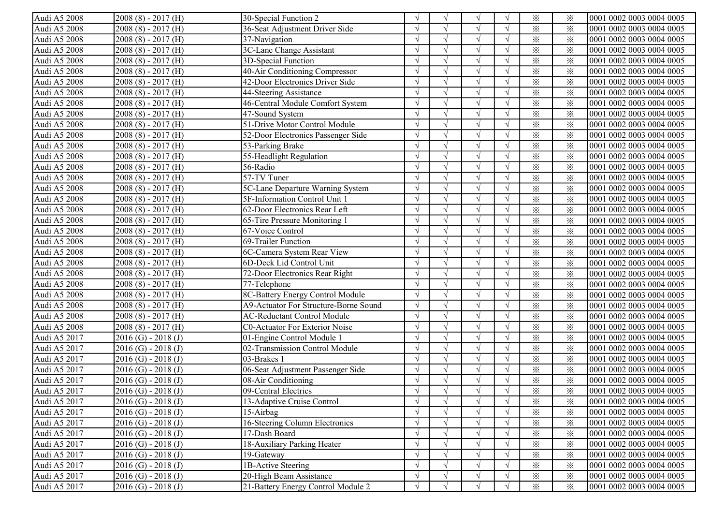| Audi A5 2008 | $2008(8) - 2017(H)$     | 30-Special Function 2                 |            | $\sqrt{ }$ | V             |            | $\times$                | ⋇        | 0001 0002 0003 0004 0005 |
|--------------|-------------------------|---------------------------------------|------------|------------|---------------|------------|-------------------------|----------|--------------------------|
| Audi A5 2008 | $2008(8) - 2017(H)$     | 36-Seat Adjustment Driver Side        |            |            |               |            | $\times$                | $\times$ | 0001 0002 0003 0004 0005 |
| Audi A5 2008 | $2008(8) - 2017(H)$     | 37-Navigation                         |            |            |               |            | $\times$                | $\times$ | 0001 0002 0003 0004 0005 |
| Audi A5 2008 | $2008(8) - 2017(H)$     | 3C-Lane Change Assistant              |            |            |               |            | $\times$                | $\times$ | 0001 0002 0003 0004 0005 |
| Audi A5 2008 | $2008(8) - 2017(H)$     | 3D-Special Function                   |            |            | $\mathcal{L}$ |            | $\times$                | $\times$ | 0001 0002 0003 0004 0005 |
| Audi A5 2008 | $2008(8) - 2017(H)$     | 40-Air Conditioning Compressor        |            |            |               |            | $\times$                | $\times$ | 0001 0002 0003 0004 0005 |
| Audi A5 2008 | $2008(8) - 2017(H)$     | 42-Door Electronics Driver Side       |            |            | $\sqrt{ }$    |            | $\times$                | $\times$ | 0001 0002 0003 0004 0005 |
| Audi A5 2008 | $2008(8) - 2017(H)$     | 44-Steering Assistance                |            |            | $\sqrt{ }$    |            | $\times$                | $\times$ | 0001 0002 0003 0004 0005 |
| Audi A5 2008 | $2008(8) - 2017(H)$     | 46-Central Module Comfort System      |            | $\sqrt{ }$ | $\sqrt{ }$    |            | $\times$                | $\times$ | 0001 0002 0003 0004 0005 |
| Audi A5 2008 | $2008(8) - 2017(H)$     | 47-Sound System                       |            |            |               |            | $\times$                | $\times$ | 0001 0002 0003 0004 0005 |
| Audi A5 2008 | $2008(8) - 2017(H)$     | 51-Drive Motor Control Module         |            |            |               |            | $\times$                | $\times$ | 0001 0002 0003 0004 0005 |
| Audi A5 2008 | $2008(8) - 2017(H)$     | 52-Door Electronics Passenger Side    |            |            |               |            | $\times$                | $\times$ | 0001 0002 0003 0004 0005 |
| Audi A5 2008 | $2008(8) - 2017(H)$     | 53-Parking Brake                      | $\sqrt{ }$ | $\sqrt{ }$ |               | $\sqrt{ }$ | $\times$                | $\times$ | 0001 0002 0003 0004 0005 |
| Audi A5 2008 | $2008(8) - 2017(H)$     | 55-Headlight Regulation               |            | $\sqrt{ }$ |               | $\sqrt{ }$ | $\times$                | $\times$ | 0001 0002 0003 0004 0005 |
| Audi A5 2008 | $2008(8) - 2017(H)$     | 56-Radio                              |            | $\sqrt{ }$ |               |            | $\times$                | $\times$ | 0001 0002 0003 0004 0005 |
| Audi A5 2008 | $2008(8) - 2017(H)$     | 57-TV Tuner                           |            | $\sqrt{ }$ |               |            | $\times$                | $\times$ | 0001 0002 0003 0004 0005 |
| Audi A5 2008 | $2008(8) - 2017(H)$     | 5C-Lane Departure Warning System      | $\sqrt{ }$ | $\sqrt{ }$ | $\sqrt{ }$    | $\sqrt{ }$ | $\times$                | $\times$ | 0001 0002 0003 0004 0005 |
| Audi A5 2008 | $2008(8) - 2017(H)$     | 5F-Information Control Unit 1         |            |            |               |            | $\times$                | $\times$ | 0001 0002 0003 0004 0005 |
| Audi A5 2008 | $2008(8) - 2017(H)$     | 62-Door Electronics Rear Left         |            |            |               |            | $\times$                | $\times$ | 0001 0002 0003 0004 0005 |
| Audi A5 2008 | $2008(8) - 2017(H)$     | 65-Tire Pressure Monitoring 1         |            | $\sqrt{ }$ |               |            | $\times$                | $\times$ | 0001 0002 0003 0004 0005 |
| Audi A5 2008 | $2008(8) - 2017(H)$     | 67-Voice Control                      |            |            |               |            | $\times$                | $\times$ | 0001 0002 0003 0004 0005 |
| Audi A5 2008 | $2008(8) - 2017(H)$     | 69-Trailer Function                   |            | $\sqrt{ }$ | $\mathcal{L}$ |            | $\times$                | $\times$ | 0001 0002 0003 0004 0005 |
| Audi A5 2008 | $2008(8) - 2017(H)$     | 6C-Camera System Rear View            |            |            |               |            | $\times$                | $\times$ | 0001 0002 0003 0004 0005 |
| Audi A5 2008 | $2008(8) - 2017(H)$     | 6D-Deck Lid Control Unit              |            | $\sqrt{ }$ | $\sqrt{ }$    |            | $\times$                | $\times$ | 0001 0002 0003 0004 0005 |
| Audi A5 2008 | $2008(8) - 2017(H)$     | 72-Door Electronics Rear Right        |            | $\sqrt{ }$ | $\sqrt{ }$    |            | $\times$                | $\times$ | 0001 0002 0003 0004 0005 |
| Audi A5 2008 | $2008(8) - 2017(H)$     | 77-Telephone                          |            | $\sqrt{ }$ |               |            | $\times$                | $\times$ | 0001 0002 0003 0004 0005 |
| Audi A5 2008 | $2008(8) - 2017(H)$     | 8C-Battery Energy Control Module      |            |            |               |            | $\times$                | $\times$ | 0001 0002 0003 0004 0005 |
| Audi A5 2008 | $2008(8) - 2017(H)$     | A9-Actuator For Structure-Borne Sound | $\sqrt{ }$ | $\sqrt{ }$ |               |            | $\overline{\mathbf{x}}$ | $\times$ | 0001 0002 0003 0004 0005 |
| Audi A5 2008 | $2008(8) - 2017(H)$     | <b>AC-Reductant Control Module</b>    | $\sqrt{ }$ | $\sqrt{ }$ |               | $\sqrt{ }$ | $\times$                | $\times$ | 0001 0002 0003 0004 0005 |
| Audi A5 2008 | $2008(8) - 2017(H)$     | <b>C0-Actuator For Exterior Noise</b> | $\sqrt{ }$ | $\sqrt{ }$ |               | $\sqrt{ }$ | $\times$                | $\times$ | 0001 0002 0003 0004 0005 |
| Audi A5 2017 | $2016$ (G) - $2018$ (J) | 01-Engine Control Module 1            |            | $\sqrt{ }$ |               | $\sqrt{ }$ | $\times$                | $\times$ | 0001 0002 0003 0004 0005 |
| Audi A5 2017 | $2016$ (G) - $2018$ (J) | 02-Transmission Control Module        |            | $\sqrt{ }$ |               |            | $\times$                | $\times$ | 0001 0002 0003 0004 0005 |
| Audi A5 2017 | $2016$ (G) - $2018$ (J) | 03-Brakes 1                           |            | $\sqrt{ }$ | $\sqrt{ }$    | $\sqrt{ }$ | $\times$                | $\times$ | 0001 0002 0003 0004 0005 |
| Audi A5 2017 | $2016$ (G) - $2018$ (J) | 06-Seat Adjustment Passenger Side     |            | $\sqrt{ }$ | $\sqrt{ }$    | $\sqrt{ }$ | $\times$                | $\times$ | 0001 0002 0003 0004 0005 |
| Audi A5 2017 | $2016$ (G) - $2018$ (J) | 08-Air Conditioning                   |            |            |               |            | $\times$                | $\times$ | 0001 0002 0003 0004 0005 |
| Audi A5 2017 | $2016$ (G) - $2018$ (J) | 09-Central Electrics                  |            |            |               |            | $\times$                | $\times$ | 0001 0002 0003 0004 0005 |
| Audi A5 2017 | $2016$ (G) - 2018 (J)   | 13-Adaptive Cruise Control            | V          | $\gamma$   | V             | $\sqrt{}$  | $\times$                | ⋇        | 0001 0002 0003 0004 0005 |
| Audi A5 2017 | $2016$ (G) - $2018$ (J) | 15-Airbag                             | $\sqrt{ }$ | $\sqrt{ }$ |               |            | $\times$                | $\times$ | 0001 0002 0003 0004 0005 |
| Audi A5 2017 | $2016$ (G) - $2018$ (J) | 16-Steering Column Electronics        |            |            |               |            | $\times$                | $\times$ | 0001 0002 0003 0004 0005 |
| Audi A5 2017 | $2016$ (G) - $2018$ (J) | 17-Dash Board                         |            |            |               |            | $\times$                | $\times$ | 0001 0002 0003 0004 0005 |
| Audi A5 2017 | $2016$ (G) - 2018 (J)   | 18-Auxiliary Parking Heater           |            |            |               |            | $\times$                | $\times$ | 0001 0002 0003 0004 0005 |
| Audi A5 2017 | $2016$ (G) - $2018$ (J) | 19-Gateway                            |            |            | $\sqrt{ }$    |            | $\times$                | $\times$ | 0001 0002 0003 0004 0005 |
| Audi A5 2017 | $2016$ (G) - $2018$ (J) | 1B-Active Steering                    |            |            |               |            | $\times$                | ⋇        | 0001 0002 0003 0004 0005 |
| Audi A5 2017 | $2016$ (G) - $2018$ (J) | 20-High Beam Assistance               |            |            | $\sqrt{ }$    |            | $\times$                | $\times$ | 0001 0002 0003 0004 0005 |
| Audi A5 2017 | $2016$ (G) - $2018$ (J) | 21-Battery Energy Control Module 2    | $\sqrt{ }$ |            | $\sqrt{ }$    | $\sqrt{ }$ | $\times$                | $\times$ | 0001 0002 0003 0004 0005 |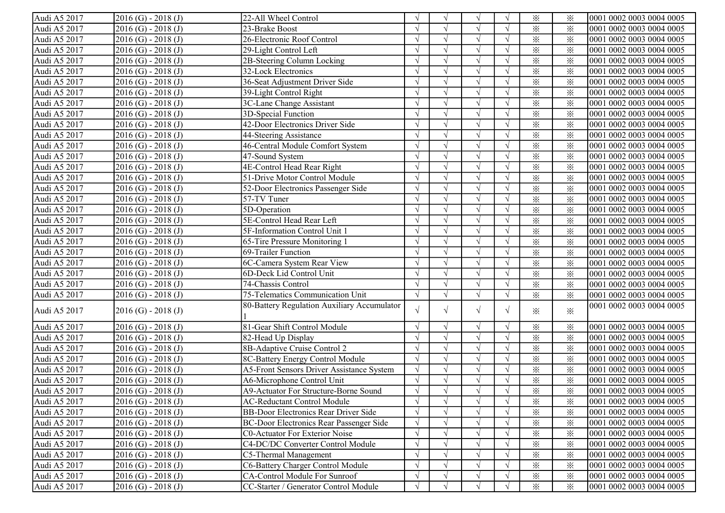| Audi A5 2017 | $2016$ (G) - 2018 (J)   | 22-All Wheel Control                        |            | $\sqrt{ }$ | $\sqrt{ }$    |            | $\times$                | ⋇               | 0001 0002 0003 0004 0005 |
|--------------|-------------------------|---------------------------------------------|------------|------------|---------------|------------|-------------------------|-----------------|--------------------------|
| Audi A5 2017 | $2016$ (G) - $2018$ (J) | 23-Brake Boost                              |            |            |               |            | $\times$                | $\times$        | 0001 0002 0003 0004 0005 |
| Audi A5 2017 | $2016$ (G) - $2018$ (J) | 26-Electronic Roof Control                  |            |            |               |            | $\times$                | $\times$        | 0001 0002 0003 0004 0005 |
| Audi A5 2017 | $2016$ (G) - 2018 (J)   | 29-Light Control Left                       |            |            |               |            | $\times$                | $\times$        | 0001 0002 0003 0004 0005 |
| Audi A5 2017 | $2016$ (G) - $2018$ (J) | 2B-Steering Column Locking                  |            |            | $\mathcal{N}$ |            | $\times$                | ⋇               | 0001 0002 0003 0004 0005 |
| Audi A5 2017 | $2016$ (G) - $2018$ (J) | 32-Lock Electronics                         |            |            |               |            | $\times$                | $\times$        | 0001 0002 0003 0004 0005 |
| Audi A5 2017 | $2016$ (G) - 2018 (J)   | 36-Seat Adjustment Driver Side              |            |            | $\sqrt{ }$    |            | $\times$                | $\times$        | 0001 0002 0003 0004 0005 |
| Audi A5 2017 | $2016$ (G) - 2018 (J)   | 39-Light Control Right                      |            | $\sqrt{ }$ | $\sqrt{ }$    |            | $\times$                | $\times$        | 0001 0002 0003 0004 0005 |
| Audi A5 2017 | $2016$ (G) - 2018 (J)   | 3C-Lane Change Assistant                    |            | $\sqrt{ }$ | $\sqrt{ }$    |            | $\times$                | $\times$        | 0001 0002 0003 0004 0005 |
| Audi A5 2017 | $2016$ (G) - 2018 (J)   | 3D-Special Function                         |            |            |               |            | $\times$                | $\times$        | 0001 0002 0003 0004 0005 |
| Audi A5 2017 | $2016$ (G) - 2018 (J)   | 42-Door Electronics Driver Side             |            | $\sqrt{ }$ |               |            | $\times$                | $\times$        | 0001 0002 0003 0004 0005 |
| Audi A5 2017 | $2016$ (G) - 2018 (J)   | 44-Steering Assistance                      |            | $\sqrt{ }$ |               |            | $\times$                | $\times$        | 0001 0002 0003 0004 0005 |
| Audi A5 2017 | $2016$ (G) - $2018$ (J) | 46-Central Module Comfort System            | $\gamma$   | $\sqrt{ }$ |               |            | $\times$                | ⋇               | 0001 0002 0003 0004 0005 |
| Audi A5 2017 | $2016$ (G) - $2018$ (J) | 47-Sound System                             |            | $\sqrt{ }$ |               | $\sqrt{ }$ | $\times$                | $\times$        | 0001 0002 0003 0004 0005 |
| Audi A5 2017 | $2016$ (G) - $2018$ (J) | 4E-Control Head Rear Right                  |            | $\sqrt{ }$ |               |            | $\times$                | $\times$        | 0001 0002 0003 0004 0005 |
| Audi A5 2017 | $2016$ (G) - $2018$ (J) | 51-Drive Motor Control Module               |            | $\sqrt{ }$ |               |            | $\overline{\mathbf{x}}$ | $\times$        | 0001 0002 0003 0004 0005 |
| Audi A5 2017 | $2016$ (G) - 2018 (J)   | 52-Door Electronics Passenger Side          |            | $\sqrt{ }$ | $\sqrt{ }$    | $\sqrt{ }$ | $\times$                | $\times$        | 0001 0002 0003 0004 0005 |
| Audi A5 2017 | $2016$ (G) - $2018$ (J) | 57-TV Tuner                                 |            | $\sqrt{ }$ |               |            | $\times$                | $\times$        | 0001 0002 0003 0004 0005 |
| Audi A5 2017 | $2016$ (G) - $2018$ (J) | 5D-Operation                                |            |            |               |            | $\times$                | $\times$        | 0001 0002 0003 0004 0005 |
| Audi A5 2017 | $2016$ (G) - $2018$ (J) | 5E-Control Head Rear Left                   |            | $\sqrt{ }$ |               |            | $\times$                | $\times$        | 0001 0002 0003 0004 0005 |
| Audi A5 2017 | $2016$ (G) - $2018$ (J) | 5F-Information Control Unit 1               |            |            |               |            | $\times$                | $\times$        | 0001 0002 0003 0004 0005 |
| Audi A5 2017 | $2016$ (G) - $2018$ (J) | 65-Tire Pressure Monitoring 1               |            | $\sqrt{ }$ | $\mathcal{N}$ |            | $\times$                | $\times$        | 0001 0002 0003 0004 0005 |
| Audi A5 2017 | $2016$ (G) - $2018$ (J) | 69-Trailer Function                         |            | $\sqrt{ }$ | $\sqrt{ }$    |            | $\times$                | $\times$        | 0001 0002 0003 0004 0005 |
| Audi A5 2017 | $2016$ (G) - 2018 (J)   | 6C-Camera System Rear View                  |            | $\sqrt{ }$ | $\sqrt{ }$    |            | $\times$                | $\times$        | 0001 0002 0003 0004 0005 |
| Audi A5 2017 | $2016$ (G) - 2018 (J)   | 6D-Deck Lid Control Unit                    |            | $\sqrt{ }$ | $\sqrt{ }$    |            | $\times$                | $\times$        | 0001 0002 0003 0004 0005 |
| Audi A5 2017 | $2016$ (G) - 2018 (J)   | 74-Chassis Control                          |            | $\sqrt{ }$ | $\sqrt{ }$    |            | $\times$                | $\times$        | 0001 0002 0003 0004 0005 |
| Audi A5 2017 | $2016$ (G) - 2018 (J)   | 75-Telematics Communication Unit            |            | $\sqrt{ }$ | $\sqrt{ }$    |            | $\times$                | $\times$        | 0001 0002 0003 0004 0005 |
| Audi A5 2017 | $2016$ (G) - 2018 (J)   | 80-Battery Regulation Auxiliary Accumulator | $\sqrt{ }$ | $\sqrt{ }$ | $\sqrt{ }$    | $\sqrt{ }$ | $\times$                | $\ddot{\times}$ | 0001 0002 0003 0004 0005 |
| Audi A5 2017 | $2016$ (G) - 2018 (J)   | 81-Gear Shift Control Module                | $\gamma$   | $\sqrt{ }$ | V             | $\sqrt{ }$ | $\times$                | $\times$        | 0001 0002 0003 0004 0005 |
| Audi A5 2017 | $2016$ (G) - $2018$ (J) | 82-Head Up Display                          |            | $\sqrt{ }$ |               |            | $\times$                | $\times$        | 0001 0002 0003 0004 0005 |
| Audi A5 2017 | $2016$ (G) - $2018$ (J) | 8B-Adaptive Cruise Control 2                | $\Delta$   | $\sqrt{ }$ |               |            | $\times$                | $\times$        | 0001 0002 0003 0004 0005 |
| Audi A5 2017 | $2016$ (G) - $2018$ (J) | 8C-Battery Energy Control Module            |            | $\sqrt{ }$ | $\sqrt{ }$    |            | $\times$                | $\times$        | 0001 0002 0003 0004 0005 |
| Audi A5 2017 | $2016$ (G) - $2018$ (J) | A5-Front Sensors Driver Assistance System   |            | $\sqrt{ }$ | $\sqrt{ }$    |            | $\times$                | $\times$        | 0001 0002 0003 0004 0005 |
| Audi A5 2017 | $2016$ (G) - $2018$ (J) | A6-Microphone Control Unit                  |            |            |               |            | $\times$                | $\times$        | 0001 0002 0003 0004 0005 |
| Audi A5 2017 | $2016$ (G) - 2018 (J)   | A9-Actuator For Structure-Borne Sound       |            |            |               |            | $\times$                | $\times$        | 0001 0002 0003 0004 0005 |
| Audi A5 2017 | $[2016 (G) - 2018 (J)]$ | AC-Reductant Control Module                 | V          | V          | V             | V          | $\times$                | ፠               | 0001 0002 0003 0004 0005 |
| Audi A5 2017 | $2016$ (G) - $2018$ (J) | BB-Door Electronics Rear Driver Side        |            | $\sqrt{ }$ |               |            | $\times$                | ⋇               | 0001 0002 0003 0004 0005 |
| Audi A5 2017 | $2016$ (G) - $2018$ (J) | BC-Door Electronics Rear Passenger Side     |            |            |               |            | $\times$                | $\times$        | 0001 0002 0003 0004 0005 |
| Audi A5 2017 | $2016$ (G) - 2018 (J)   | <b>C0-Actuator For Exterior Noise</b>       |            |            |               |            | $\times$                | $\times$        | 0001 0002 0003 0004 0005 |
| Audi A5 2017 | $2016$ (G) - 2018 (J)   | C4-DC/DC Converter Control Module           |            |            |               |            | $\times$                | $\times$        | 0001 0002 0003 0004 0005 |
| Audi A5 2017 | $2016$ (G) - 2018 (J)   | C5-Thermal Management                       |            | $\sqrt{ }$ |               |            | $\times$                | $\times$        | 0001 0002 0003 0004 0005 |
| Audi A5 2017 | $2016$ (G) - 2018 (J)   | C6-Battery Charger Control Module           |            |            |               |            | $\times$                | $\times$        | 0001 0002 0003 0004 0005 |
| Audi A5 2017 | $2016$ (G) - 2018 (J)   | <b>CA-Control Module For Sunroof</b>        |            | $\sqrt{ }$ |               |            | $\times$                | $\times$        | 0001 0002 0003 0004 0005 |
| Audi A5 2017 | $2016$ (G) - 2018 (J)   | CC-Starter / Generator Control Module       | $\sqrt{ }$ |            |               |            | $\times$                | $\times$        | 0001 0002 0003 0004 0005 |
|              |                         |                                             |            |            |               |            |                         |                 |                          |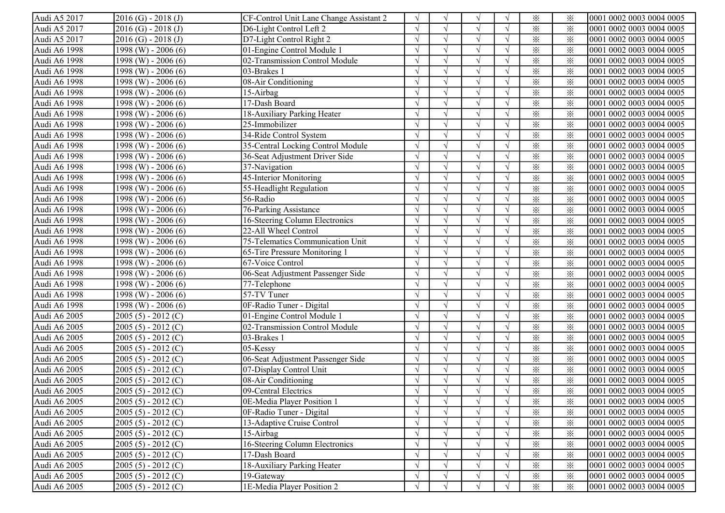| Audi A5 2017 | $2016$ (G) - 2018 (J)   | CF-Control Unit Lane Change Assistant 2 | $\sqrt{ }$ | $\mathcal{N}$ | $\sqrt{ }$ | $\sqrt{ }$ | $\times$ | ⋇               | 0001 0002 0003 0004 0005  |
|--------------|-------------------------|-----------------------------------------|------------|---------------|------------|------------|----------|-----------------|---------------------------|
| Audi A5 2017 | $2016$ (G) - $2018$ (J) | D6-Light Control Left 2                 |            |               |            |            | $\times$ | $\times$        | 0001 0002 0003 0004 0005  |
| Audi A5 2017 | $2016$ (G) - $2018$ (J) | D7-Light Control Right 2                |            |               |            |            | $\times$ | ⋇               | 0001 0002 0003 0004 0005  |
| Audi A6 1998 | 1998 (W) - 2006 (6)     | 01-Engine Control Module 1              |            |               |            |            | $\times$ | $\times$        | 0001 0002 0003 0004 0005  |
| Audi A6 1998 | 1998 (W) - 2006 (6)     | 02-Transmission Control Module          |            |               |            |            | $\times$ | $\times$        | 0001 0002 0003 0004 0005  |
| Audi A6 1998 | 1998 (W) - 2006 (6)     | 03-Brakes 1                             |            |               |            |            | $\times$ | $\times$        | 0001 0002 0003 0004 0005  |
| Audi A6 1998 | 1998 (W) - 2006 (6)     | 08-Air Conditioning                     |            |               |            |            | $\times$ | $\times$        | 0001 0002 0003 0004 0005  |
| Audi A6 1998 | 1998 (W) - 2006 (6)     | 15-Airbag                               |            |               |            |            | $\times$ | $\times$        | 0001 0002 0003 0004 0005  |
| Audi A6 1998 | 1998 (W) - 2006 (6)     | 17-Dash Board                           |            |               | $\sqrt{ }$ |            | $\times$ | $\times$        | 0001 0002 0003 0004 0005  |
| Audi A6 1998 | 1998 (W) - 2006 (6)     | 18-Auxiliary Parking Heater             |            | $\sqrt{2}$    | $\sqrt{}$  |            | $\times$ | $\times$        | 0001 0002 0003 0004 0005  |
| Audi A6 1998 | 1998 (W) - 2006 (6)     | 25-Immobilizer                          |            |               |            |            | $\times$ | $\times$        | 0001 0002 0003 0004 0005  |
| Audi A6 1998 | 1998 (W) - 2006 (6)     | 34-Ride Control System                  |            |               |            |            | $\times$ | $\times$        | 0001 0002 0003 0004 0005  |
| Audi A6 1998 | 1998 (W) - 2006 (6)     | 35-Central Locking Control Module       | $\sqrt{ }$ |               |            | $\sqrt{ }$ | $\times$ | $\times$        | 0001 0002 0003 0004 0005  |
| Audi A6 1998 | $1998$ (W) - 2006 (6)   | 36-Seat Adjustment Driver Side          |            |               |            | $\sqrt{ }$ | $\times$ | ⋇               | 0001 0002 0003 0004 0005  |
| Audi A6 1998 | $1998$ (W) - 2006 (6)   | 37-Navigation                           |            |               |            | $\sqrt{ }$ | $\times$ | ⋇               | 0001 0002 0003 0004 0005  |
| Audi A6 1998 | $1998$ (W) - 2006 (6)   | 45-Interior Monitoring                  |            |               |            |            | $\times$ | ⋇               | 0001 0002 0003 0004 0005  |
| Audi A6 1998 | 1998 (W) - 2006 (6)     | 55-Headlight Regulation                 |            | $\gamma$      |            |            | $\times$ | ⋇               | 0001 0002 0003 0004 0005  |
| Audi A6 1998 | $1998$ (W) - 2006 (6)   | 56-Radio                                | $\sqrt{ }$ | $\mathcal{N}$ | $\sqrt{ }$ | $\sqrt{ }$ | $\times$ | ⋇               | 0001 0002 0003 0004 0005  |
| Audi A6 1998 | 1998 (W) - 2006 (6)     | 76-Parking Assistance                   | $\sqrt{ }$ |               | $\sqrt{ }$ | $\sqrt{ }$ | $\times$ | $\times$        | 0001 0002 0003 0004 0005  |
| Audi A6 1998 | 1998 (W) - 2006 (6)     | 16-Steering Column Electronics          |            |               | $\sqrt{ }$ |            | $\times$ | ⋇               | 0001 0002 0003 0004 0005  |
| Audi A6 1998 | 1998 (W) - 2006 (6)     | 22-All Wheel Control                    |            | $\mathcal{N}$ |            |            | $\times$ | $\times$        | 0001 0002 0003 0004 0005  |
| Audi A6 1998 | 1998 (W) - 2006 (6)     | 75-Telematics Communication Unit        |            |               |            |            | $\times$ | $\times$        | 0001 0002 0003 0004 0005  |
| Audi A6 1998 | $1998$ (W) - 2006 (6)   | 65-Tire Pressure Monitoring 1           |            |               |            |            | $\times$ | $\times$        | 0001 0002 0003 0004 0005  |
| Audi A6 1998 | 1998 (W) - 2006 (6)     | 67-Voice Control                        |            |               |            |            | $\times$ | $\times$        | 0001 0002 0003 0004 0005  |
| Audi A6 1998 | 1998 (W) - 2006 (6)     | 06-Seat Adjustment Passenger Side       |            | $\gamma$      | $\sqrt{ }$ |            | $\times$ | $\times$        | 0001 0002 0003 0004 0005  |
| Audi A6 1998 | 1998 (W) - 2006 (6)     | 77-Telephone                            |            | $\gamma$      | $\sqrt{ }$ |            | $\times$ | $\times$        | 0001 0002 0003 0004 0005  |
| Audi A6 1998 | 1998 (W) - 2006 (6)     | 57-TV Tuner                             |            |               | $\sqrt{ }$ |            | $\times$ | $\times$        | 0001 0002 0003 0004 0005  |
| Audi A6 1998 | 1998 (W) - 2006 (6)     | 0F-Radio Tuner - Digital                |            |               |            |            | $\times$ | $\times$        | 0001 0002 0003 0004 0005  |
| Audi A6 2005 | $2005(5) - 2012(C)$     | 01-Engine Control Module 1              |            | $\sqrt{ }$    |            |            | $\times$ | $\times$        | 0001 0002 0003 0004 0005  |
| Audi A6 2005 | $2005(5) - 2012(C)$     | 02-Transmission Control Module          | $\sqrt{ }$ |               |            | $\sqrt{ }$ | $\times$ | $\times$        | 0001 0002 0003 0004 0005  |
| Audi A6 2005 | $2005(5) - 2012(C)$     | 03-Brakes 1                             | $\sqrt{ }$ | $\sqrt{ }$    |            | $\sqrt{ }$ | $\times$ | $\times$        | 0001 0002 0003 0004 0005  |
| Audi A6 2005 | $2005(5) - 2012(C)$     | 05-Kessy                                | $\sqrt{ }$ | $\mathcal{N}$ |            | $\sqrt{ }$ | $\times$ | $\times$        | 0001 0002 0003 0004 0005  |
| Audi A6 2005 | $2005(5) - 2012(C)$     | 06-Seat Adjustment Passenger Side       | $\sqrt{ }$ | $\sqrt{ }$    | $\sqrt{ }$ | $\sqrt{ }$ | $\times$ | $\times$        | 0001 0002 0003 0004 0005  |
| Audi A6 2005 | $2005(5) - 2012(C)$     | 07-Display Control Unit                 | $\sqrt{ }$ | $\sqrt{2}$    | $\sqrt{ }$ | $\sqrt{ }$ | $\times$ | $\times$        | 0001 0002 0003 0004 0005  |
| Audi A6 2005 | $2005(5) - 2012(C)$     | 08-Air Conditioning                     |            |               | $\sqrt{ }$ |            | $\times$ | $\times$        | 0001 0002 0003 0004 0005  |
| Audi A6 2005 | $2005(5) - 2012(C)$     | 09-Central Electrics                    |            |               |            |            | $\times$ | $\times$        | 0001 0002 0003 0004 0005  |
| Audi A6 2005 | $2005(5) - 2012(C)$     | 0E-Media Player Position 1              | $\sqrt{}$  | $\gamma$      | $\sqrt{}$  | V          | $\times$ | $\times$        | 10001 0002 0003 0004 0005 |
| Audi A6 2005 | $2005(5) - 2012(C)$     | 0F-Radio Tuner - Digital                | $\sqrt{ }$ |               |            | $\sqrt{ }$ | $\times$ | $\times$        | 0001 0002 0003 0004 0005  |
| Audi A6 2005 | $2005(5) - 2012(C)$     | 13-Adaptive Cruise Control              |            |               |            | $\sqrt{ }$ | $\times$ | $\times$        | 0001 0002 0003 0004 0005  |
| Audi A6 2005 | $2005(5) - 2012(C)$     | 15-Airbag                               |            |               |            |            | $\times$ | $\times$        | 0001 0002 0003 0004 0005  |
| Audi A6 2005 | $2005(5) - 2012(C)$     | 16-Steering Column Electronics          |            |               |            |            | $\times$ | ⋇               | 0001 0002 0003 0004 0005  |
| Audi A6 2005 | $2005(5) - 2012(C)$     | 17-Dash Board                           |            |               | $\sqrt{ }$ |            | $\times$ | $\times$        | 0001 0002 0003 0004 0005  |
| Audi A6 2005 | $2005(5) - 2012(C)$     | 18-Auxiliary Parking Heater             |            |               | $\sqrt{}$  |            | $\times$ | $\times$        | 0001 0002 0003 0004 0005  |
| Audi A6 2005 | $2005(5) - 2012(C)$     | 19-Gateway                              |            |               | $\sqrt{ }$ |            | $\times$ | ⋇               | 0001 0002 0003 0004 0005  |
| Audi A6 2005 | $2005(5) - 2012(C)$     | 1E-Media Player Position 2              | $\sqrt{ }$ |               | $\sqrt{ }$ | $\sqrt{ }$ | $\times$ | $\ddot{\times}$ | 0001 0002 0003 0004 0005  |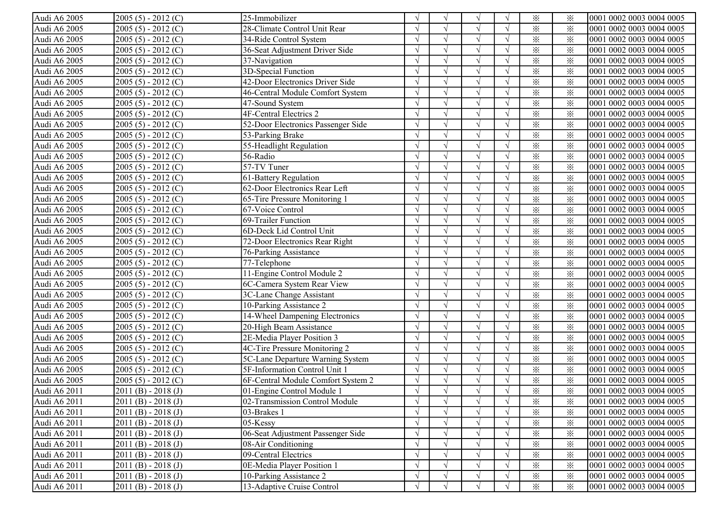| Audi A6 2005 | $2005(5) - 2012(C)$ | 25-Immobilizer                     |            | $\sqrt{ }$    | V             |            | $\times$                | ⋇        | 0001 0002 0003 0004 0005 |
|--------------|---------------------|------------------------------------|------------|---------------|---------------|------------|-------------------------|----------|--------------------------|
| Audi A6 2005 | $2005(5) - 2012(C)$ | 28-Climate Control Unit Rear       |            |               |               |            | $\times$                | $\times$ | 0001 0002 0003 0004 0005 |
| Audi A6 2005 | $2005(5) - 2012(C)$ | 34-Ride Control System             |            |               |               |            | $\times$                | $\times$ | 0001 0002 0003 0004 0005 |
| Audi A6 2005 | $2005(5) - 2012(C)$ | 36-Seat Adjustment Driver Side     |            |               |               |            | $\times$                | $\times$ | 0001 0002 0003 0004 0005 |
| Audi A6 2005 | $2005(5) - 2012(C)$ | 37-Navigation                      |            |               | $\Delta$      |            | $\times$                | $\times$ | 0001 0002 0003 0004 0005 |
| Audi A6 2005 | $2005(5) - 2012(C)$ | 3D-Special Function                |            |               |               |            | $\times$                | $\times$ | 0001 0002 0003 0004 0005 |
| Audi A6 2005 | $2005(5) - 2012(C)$ | 42-Door Electronics Driver Side    |            |               | $\sqrt{ }$    |            | $\times$                | $\times$ | 0001 0002 0003 0004 0005 |
| Audi A6 2005 | $2005(5) - 2012(C)$ | 46-Central Module Comfort System   |            | $\mathcal{L}$ | $\sqrt{ }$    |            | $\times$                | $\times$ | 0001 0002 0003 0004 0005 |
| Audi A6 2005 | $2005(5) - 2012(C)$ | 47-Sound System                    |            | $\sqrt{ }$    | $\sqrt{ }$    |            | $\times$                | $\times$ | 0001 0002 0003 0004 0005 |
| Audi A6 2005 | $2005(5) - 2012(C)$ | 4F-Central Electrics 2             |            |               |               |            | $\times$                | $\times$ | 0001 0002 0003 0004 0005 |
| Audi A6 2005 | $2005(5) - 2012(C)$ | 52-Door Electronics Passenger Side |            | $\sqrt{ }$    |               |            | $\times$                | $\times$ | 0001 0002 0003 0004 0005 |
| Audi A6 2005 | $2005(5) - 2012(C)$ | 53-Parking Brake                   |            | $\sqrt{ }$    |               |            | $\times$                | $\times$ | 0001 0002 0003 0004 0005 |
| Audi A6 2005 | $2005(5) - 2012(C)$ | 55-Headlight Regulation            | $\sqrt{ }$ | $\sqrt{ }$    |               | $\sqrt{ }$ | $\times$                | $\times$ | 0001 0002 0003 0004 0005 |
| Audi A6 2005 | $2005(5) - 2012(C)$ | 56-Radio                           |            | $\sqrt{ }$    |               | $\sqrt{ }$ | $\times$                | $\times$ | 0001 0002 0003 0004 0005 |
| Audi A6 2005 | $2005(5) - 2012(C)$ | 57-TV Tuner                        |            | $\sqrt{ }$    |               |            | $\times$                | $\times$ | 0001 0002 0003 0004 0005 |
| Audi A6 2005 | $2005(5) - 2012(C)$ | 61-Battery Regulation              |            | $\sqrt{ }$    | $\sqrt{ }$    |            | $\times$                | $\times$ | 0001 0002 0003 0004 0005 |
| Audi A6 2005 | $2005(5) - 2012(C)$ | 62-Door Electronics Rear Left      | $\sqrt{ }$ | $\sqrt{ }$    | $\sqrt{ }$    | $\sqrt{ }$ | $\times$                | $\times$ | 0001 0002 0003 0004 0005 |
| Audi A6 2005 | $2005(5) - 2012(C)$ | 65-Tire Pressure Monitoring 1      |            |               |               |            | $\times$                | $\times$ | 0001 0002 0003 0004 0005 |
| Audi A6 2005 | $2005(5) - 2012(C)$ | 67-Voice Control                   |            |               |               |            | $\times$                | $\times$ | 0001 0002 0003 0004 0005 |
| Audi A6 2005 | $2005(5) - 2012(C)$ | 69-Trailer Function                |            | $\sqrt{ }$    |               |            | $\times$                | $\times$ | 0001 0002 0003 0004 0005 |
| Audi A6 2005 | $2005(5) - 2012(C)$ | 6D-Deck Lid Control Unit           |            |               |               |            | $\times$                | $\times$ | 0001 0002 0003 0004 0005 |
| Audi A6 2005 | $2005(5) - 2012(C)$ | 72-Door Electronics Rear Right     |            | $\sqrt{ }$    | $\mathcal{L}$ |            | $\times$                | $\times$ | 0001 0002 0003 0004 0005 |
| Audi A6 2005 | $2005(5) - 2012(C)$ | 76-Parking Assistance              |            | $\sqrt{ }$    |               |            | $\times$                | $\times$ | 0001 0002 0003 0004 0005 |
| Audi A6 2005 | $2005(5) - 2012(C)$ | 77-Telephone                       |            | $\sqrt{ }$    | $\sqrt{ }$    |            | $\times$                | $\times$ | 0001 0002 0003 0004 0005 |
| Audi A6 2005 | $2005(5) - 2012(C)$ | 11-Engine Control Module 2         |            | $\sqrt{ }$    | $\sqrt{ }$    |            | $\times$                | $\times$ | 0001 0002 0003 0004 0005 |
| Audi A6 2005 | $2005(5) - 2012(C)$ | 6C-Camera System Rear View         |            |               |               |            | $\times$                | $\times$ | 0001 0002 0003 0004 0005 |
| Audi A6 2005 | $2005(5) - 2012(C)$ | 3C-Lane Change Assistant           |            |               |               |            | $\times$                | $\times$ | 0001 0002 0003 0004 0005 |
| Audi A6 2005 | $2005(5) - 2012(C)$ | 10-Parking Assistance 2            | $\sqrt{ }$ | $\sqrt{ }$    |               |            | $\overline{\mathbf{x}}$ | $\times$ | 0001 0002 0003 0004 0005 |
| Audi A6 2005 | $2005(5) - 2012(C)$ | 14-Wheel Dampening Electronics     | $\sqrt{ }$ | $\sqrt{ }$    |               | $\sqrt{ }$ | $\times$                | $\times$ | 0001 0002 0003 0004 0005 |
| Audi A6 2005 | $2005(5) - 2012(C)$ | 20-High Beam Assistance            | $\sqrt{ }$ | $\sqrt{ }$    | $\sqrt{ }$    | $\sqrt{ }$ | $\times$                | $\times$ | 0001 0002 0003 0004 0005 |
| Audi A6 2005 | $2005(5) - 2012(C)$ | 2E-Media Player Position 3         |            | $\sqrt{ }$    |               | $\sqrt{ }$ | $\times$                | $\times$ | 0001 0002 0003 0004 0005 |
| Audi A6 2005 | $2005(5) - 2012(C)$ | 4C-Tire Pressure Monitoring 2      |            | $\sqrt{ }$    |               |            | $\times$                | $\times$ | 0001 0002 0003 0004 0005 |
| Audi A6 2005 | $2005(5) - 2012(C)$ | 5C-Lane Departure Warning System   | $\sqrt{ }$ | $\sqrt{ }$    | $\sqrt{ }$    | $\sqrt{ }$ | $\times$                | $\times$ | 0001 0002 0003 0004 0005 |
| Audi A6 2005 | $2005(5) - 2012(C)$ | 5F-Information Control Unit 1      |            | $\sqrt{ }$    | $\sqrt{ }$    | $\sqrt{ }$ | $\times$                | $\times$ | 0001 0002 0003 0004 0005 |
| Audi A6 2005 | $2005(5) - 2012(C)$ | 6F-Central Module Comfort System 2 |            |               |               |            | $\times$                | $\times$ | 0001 0002 0003 0004 0005 |
| Audi A6 2011 | $2011(B) - 2018(J)$ | 01-Engine Control Module 1         |            |               |               |            | $\times$                | $\times$ | 0001 0002 0003 0004 0005 |
| Audi A6 2011 | $2011(B) - 2018(J)$ | 02-Transmission Control Module     | V          | $\gamma$      | V             | $\sqrt{}$  | $\times$                | ⋇        | 0001 0002 0003 0004 0005 |
| Audi A6 2011 | $2011(B) - 2018(J)$ | 03-Brakes 1                        | $\sqrt{ }$ | $\sqrt{ }$    |               |            | $\times$                | $\times$ | 0001 0002 0003 0004 0005 |
| Audi A6 2011 | $2011(B) - 2018(J)$ | $05$ -Kessy                        |            |               |               |            | $\times$                | $\times$ | 0001 0002 0003 0004 0005 |
| Audi A6 2011 | $2011(B) - 2018(J)$ | 06-Seat Adjustment Passenger Side  |            |               |               |            | $\times$                | $\times$ | 0001 0002 0003 0004 0005 |
| Audi A6 2011 | $2011(B) - 2018(J)$ | 08-Air Conditioning                |            |               |               |            | $\times$                | $\times$ | 0001 0002 0003 0004 0005 |
| Audi A6 2011 | $2011(B) - 2018(J)$ | 09-Central Electrics               |            |               | $\sqrt{ }$    |            | $\times$                | $\times$ | 0001 0002 0003 0004 0005 |
| Audi A6 2011 | $2011(B) - 2018(J)$ | 0E-Media Player Position 1         |            |               |               |            | $\times$                | ⋇        | 0001 0002 0003 0004 0005 |
| Audi A6 2011 | $2011(B) - 2018(J)$ | 10-Parking Assistance 2            | $\sqrt{ }$ |               | $\sqrt{ }$    |            | $\times$                | $\times$ | 0001 0002 0003 0004 0005 |
| Audi A6 2011 | $2011(B) - 2018(J)$ | 13-Adaptive Cruise Control         | $\sqrt{ }$ |               | $\sqrt{ }$    |            | $\times$                | $\times$ | 0001 0002 0003 0004 0005 |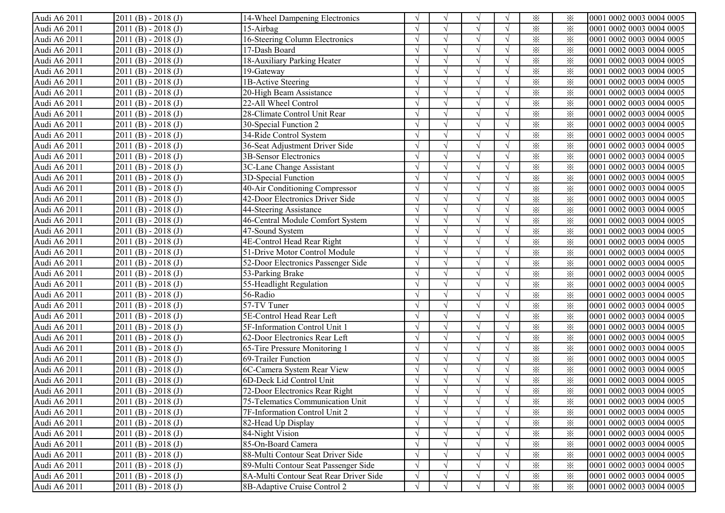| Audi A6 2011 | $2011(B) - 2018(J)$   | 14-Wheel Dampening Electronics         |               | $\sqrt{ }$    | N             |            | $\times$                | ⋇               | 0001 0002 0003 0004 0005 |
|--------------|-----------------------|----------------------------------------|---------------|---------------|---------------|------------|-------------------------|-----------------|--------------------------|
| Audi A6 2011 | $2011(B) - 2018(J)$   | 15-Airbag                              |               |               |               |            | $\times$                | $\times$        | 0001 0002 0003 0004 0005 |
| Audi A6 2011 | $2011(B) - 2018(J)$   | 16-Steering Column Electronics         |               |               |               |            | $\times$                | $\times$        | 0001 0002 0003 0004 0005 |
| Audi A6 2011 | $2011(B) - 2018(J)$   | 17-Dash Board                          |               |               |               |            | $\times$                | $\times$        | 0001 0002 0003 0004 0005 |
| Audi A6 2011 | $2011(B) - 2018(J)$   | 18-Auxiliary Parking Heater            |               |               | $\mathcal{N}$ |            | $\times$                | $\ddot{\times}$ | 0001 0002 0003 0004 0005 |
| Audi A6 2011 | $2011(B) - 2018(J)$   | 19-Gateway                             |               |               |               |            | $\times$                | $\times$        | 0001 0002 0003 0004 0005 |
| Audi A6 2011 | $2011(B) - 2018(J)$   | 1B-Active Steering                     |               |               | $\sqrt{ }$    |            | $\times$                | $\times$        | 0001 0002 0003 0004 0005 |
| Audi A6 2011 | $2011(B) - 2018(J)$   | 20-High Beam Assistance                |               |               | $\sim$        |            | $\times$                | $\times$        | 0001 0002 0003 0004 0005 |
| Audi A6 2011 | $2011(B) - 2018(J)$   | 22-All Wheel Control                   |               | $\sqrt{ }$    | $\sqrt{ }$    |            | $\times$                | $\times$        | 0001 0002 0003 0004 0005 |
| Audi A6 2011 | $2011(B) - 2018(J)$   | 28-Climate Control Unit Rear           |               |               |               |            | $\times$                | $\times$        | 0001 0002 0003 0004 0005 |
| Audi A6 2011 | $2011(B) - 2018(J)$   | 30-Special Function 2                  |               | $\sqrt{ }$    |               |            | $\times$                | $\times$        | 0001 0002 0003 0004 0005 |
| Audi A6 2011 | $2011(B) - 2018(J)$   | 34-Ride Control System                 |               | $\sqrt{ }$    |               |            | $\times$                | $\times$        | 0001 0002 0003 0004 0005 |
| Audi A6 2011 | $2011(B) - 2018(J)$   | 36-Seat Adjustment Driver Side         |               | $\sqrt{ }$    |               | $\sqrt{ }$ | $\times$                | $\times$        | 0001 0002 0003 0004 0005 |
| Audi A6 2011 | $2011(B) - 2018(J)$   | 3B-Sensor Electronics                  |               | $\sqrt{ }$    |               | $\sqrt{ }$ | $\times$                | $\times$        | 0001 0002 0003 0004 0005 |
| Audi A6 2011 | $2011(B) - 2018(J)$   | 3C-Lane Change Assistant               |               | $\sqrt{ }$    |               |            | $\times$                | $\times$        | 0001 0002 0003 0004 0005 |
| Audi A6 2011 | $2011(B) - 2018(J)$   | 3D-Special Function                    |               | $\sqrt{ }$    |               |            | $\times$                | $\times$        | 0001 0002 0003 0004 0005 |
| Audi A6 2011 | $2011(B) - 2018(J)$   | 40-Air Conditioning Compressor         |               | $\sqrt{ }$    | $\sqrt{ }$    | $\sqrt{ }$ | $\times$                | $\times$        | 0001 0002 0003 0004 0005 |
| Audi A6 2011 | $2011(B) - 2018(J)$   | 42-Door Electronics Driver Side        |               | $\mathcal{L}$ |               |            | $\times$                | $\times$        | 0001 0002 0003 0004 0005 |
| Audi A6 2011 | $2011(B) - 2018(J)$   | 44-Steering Assistance                 |               |               |               |            | $\times$                | $\times$        | 0001 0002 0003 0004 0005 |
| Audi A6 2011 | $2011(B) - 2018(J)$   | 46-Central Module Comfort System       |               | $\sqrt{ }$    |               |            | $\times$                | $\times$        | 0001 0002 0003 0004 0005 |
| Audi A6 2011 | $2011(B) - 2018(J)$   | 47-Sound System                        |               |               |               |            | $\times$                | $\times$        | 0001 0002 0003 0004 0005 |
| Audi A6 2011 | $2011(B) - 2018(J)$   | 4E-Control Head Rear Right             |               | $\mathcal{L}$ | $\mathcal{N}$ |            | $\times$                | $\times$        | 0001 0002 0003 0004 0005 |
| Audi A6 2011 | $2011(B) - 2018(J)$   | 51-Drive Motor Control Module          |               | $\mathcal{L}$ |               |            | $\times$                | $\times$        | 0001 0002 0003 0004 0005 |
| Audi A6 2011 | $2011(B) - 2018(J)$   | 52-Door Electronics Passenger Side     |               | $\sqrt{ }$    | $\sqrt{ }$    |            | $\times$                | $\times$        | 0001 0002 0003 0004 0005 |
| Audi A6 2011 | $2011(B) - 2018(J)$   | 53-Parking Brake                       |               | $\sqrt{ }$    | $\sqrt{ }$    |            | $\times$                | $\times$        | 0001 0002 0003 0004 0005 |
| Audi A6 2011 | $2011(B) - 2018(J)$   | 55-Headlight Regulation                |               |               |               |            | $\times$                | $\times$        | 0001 0002 0003 0004 0005 |
| Audi A6 2011 | $2011(B) - 2018(J)$   | 56-Radio                               |               |               |               |            | $\times$                | $\times$        | 0001 0002 0003 0004 0005 |
| Audi A6 2011 | $2011(B) - 2018(J)$   | 57-TV Tuner                            |               | $\sqrt{ }$    |               |            | $\overline{\mathbf{x}}$ | $\times$        | 0001 0002 0003 0004 0005 |
| Audi A6 2011 | $2011(B) - 2018(J)$   | 5E-Control Head Rear Left              | $\mathcal{L}$ | $\sqrt{ }$    |               | $\sqrt{ }$ | $\times$                | $\times$        | 0001 0002 0003 0004 0005 |
| Audi A6 2011 | $2011(B) - 2018(J)$   | 5F-Information Control Unit 1          | $\mathcal{L}$ | $\sqrt{ }$    |               | $\sqrt{ }$ | $\times$                | $\times$        | 0001 0002 0003 0004 0005 |
| Audi A6 2011 | $2011(B) - 2018(J)$   | 62-Door Electronics Rear Left          |               | $\sqrt{ }$    |               |            | $\times$                | $\times$        | 0001 0002 0003 0004 0005 |
| Audi A6 2011 | $2011(B) - 2018(J)$   | 65-Tire Pressure Monitoring 1          |               | $\sqrt{ }$    |               |            | $\times$                | $\times$        | 0001 0002 0003 0004 0005 |
| Audi A6 2011 | $2011(B) - 2018(J)$   | 69-Trailer Function                    |               | $\sqrt{ }$    | $\sqrt{ }$    |            | $\times$                | $\times$        | 0001 0002 0003 0004 0005 |
| Audi A6 2011 | $2011(B) - 2018(J)$   | 6C-Camera System Rear View             |               | $\sqrt{ }$    | $\sqrt{ }$    |            | $\times$                | $\times$        | 0001 0002 0003 0004 0005 |
| Audi A6 2011 | $2011(B) - 2018(J)$   | 6D-Deck Lid Control Unit               |               |               |               |            | $\times$                | $\times$        | 0001 0002 0003 0004 0005 |
| Audi A6 2011 | $2011(B) - 2018(J)$   | 72-Door Electronics Rear Right         |               |               |               |            | $\times$                | $\times$        | 0001 0002 0003 0004 0005 |
| Audi A6 2011 | $[2011(B) - 2018(J)]$ | 75-Telematics Communication Unit       | V             | V             | V             | V          | $\times$                | ፠               | 0001 0002 0003 0004 0005 |
| Audi A6 2011 | $2011(B) - 2018(J)$   | 7F-Information Control Unit 2          |               | $\sqrt{ }$    |               |            | $\times$                | ⋇               | 0001 0002 0003 0004 0005 |
| Audi A6 2011 | $2011(B) - 2018(J)$   | 82-Head Up Display                     |               |               |               |            | $\times$                | $\times$        | 0001 0002 0003 0004 0005 |
| Audi A6 2011 | $2011(B) - 2018(J)$   | 84-Night Vision                        |               |               |               |            | $\times$                | $\times$        | 0001 0002 0003 0004 0005 |
| Audi A6 2011 | $2011(B) - 2018(J)$   | 85-On-Board Camera                     |               |               |               |            | $\times$                | $\times$        | 0001 0002 0003 0004 0005 |
| Audi A6 2011 | $2011(B) - 2018(J)$   | 88-Multi Contour Seat Driver Side      |               | $\sqrt{ }$    |               |            | $\times$                | $\times$        | 0001 0002 0003 0004 0005 |
| Audi A6 2011 | $2011(B) - 2018(J)$   | 89-Multi Contour Seat Passenger Side   |               |               |               |            | $\times$                | $\times$        | 0001 0002 0003 0004 0005 |
| Audi A6 2011 | $2011(B) - 2018(J)$   | 8A-Multi Contour Seat Rear Driver Side | $\gamma$      | $\sqrt{ }$    |               |            | $\times$                | $\times$        | 0001 0002 0003 0004 0005 |
| Audi A6 2011 | $2011(B) - 2018(J)$   | 8B-Adaptive Cruise Control 2           | $\sqrt{ }$    | $\sqrt{ }$    |               |            | $\times$                | $\times$        | 0001 0002 0003 0004 0005 |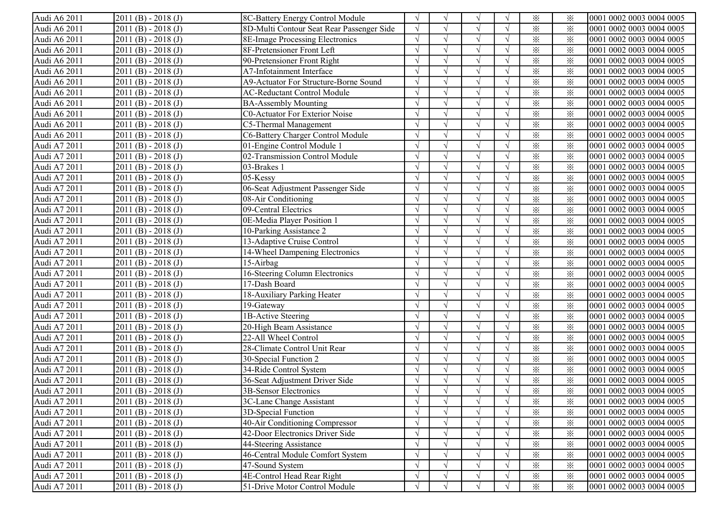| Audi A6 2011 | $2011(B) - 2018(J)$   | 8C-Battery Energy Control Module          | $\sqrt{ }$ | $\mathcal{N}$ | $\sqrt{ }$ |            | $\times$ | ፠        | 0001 0002 0003 0004 0005 |
|--------------|-----------------------|-------------------------------------------|------------|---------------|------------|------------|----------|----------|--------------------------|
| Audi A6 2011 | $2011(B) - 2018(J)$   | 8D-Multi Contour Seat Rear Passenger Side |            |               |            |            | $\times$ | $\times$ | 0001 0002 0003 0004 0005 |
| Audi A6 2011 | $2011(B) - 2018(J)$   | 8E-Image Processing Electronics           |            |               |            |            | $\times$ | $\times$ | 0001 0002 0003 0004 0005 |
| Audi A6 2011 | $2011(B) - 2018(J)$   | 8F-Pretensioner Front Left                |            |               |            |            | $\times$ | $\times$ | 0001 0002 0003 0004 0005 |
| Audi A6 2011 | $2011(B) - 2018(J)$   | 90-Pretensioner Front Right               |            |               |            |            | $\times$ | $\times$ | 0001 0002 0003 0004 0005 |
| Audi A6 2011 | $2011(B) - 2018(J)$   | A7-Infotainment Interface                 |            |               |            |            | $\times$ | $\times$ | 0001 0002 0003 0004 0005 |
| Audi A6 2011 | $2011(B) - 2018(J)$   | A9-Actuator For Structure-Borne Sound     |            |               |            |            | $\times$ | $\times$ | 0001 0002 0003 0004 0005 |
| Audi A6 2011 | $2011(B) - 2018(J)$   | <b>AC-Reductant Control Module</b>        |            |               | $\sqrt{ }$ |            | $\times$ | $\times$ | 0001 0002 0003 0004 0005 |
| Audi A6 2011 | $2011(B) - 2018(J)$   | <b>BA-Assembly Mounting</b>               |            |               | $\sqrt{ }$ |            | $\times$ | $\times$ | 0001 0002 0003 0004 0005 |
| Audi A6 2011 | $2011(B) - 2018(J)$   | <b>C0-Actuator For Exterior Noise</b>     |            |               |            |            | $\times$ | $\times$ | 0001 0002 0003 0004 0005 |
| Audi A6 2011 | $2011(B) - 2018(J)$   | C5-Thermal Management                     |            |               |            |            | $\times$ | $\times$ | 0001 0002 0003 0004 0005 |
| Audi A6 2011 | $2011(B) - 2018(J)$   | C6-Battery Charger Control Module         |            |               |            |            | $\times$ | $\times$ | 0001 0002 0003 0004 0005 |
| Audi A7 2011 | $2011(B) - 2018(J)$   | 01-Engine Control Module 1                | $\sqrt{ }$ | $\gamma$      |            | $\sqrt{ }$ | $\times$ | ⋇        | 0001 0002 0003 0004 0005 |
| Audi A7 2011 | $2011(B) - 2018(J)$   | 02-Transmission Control Module            |            | $\gamma$      |            | $\sqrt{ }$ | $\times$ | ⋇        | 0001 0002 0003 0004 0005 |
| Audi A7 2011 | $2011(B) - 2018(J)$   | 03-Brakes 1                               |            | $\Delta$      |            | $\sqrt{ }$ | $\times$ | $\times$ | 0001 0002 0003 0004 0005 |
| Audi A7 2011 | $2011(B) - 2018(J)$   | 05-Kessy                                  |            |               | $\sqrt{ }$ | $\sqrt{ }$ | $\times$ | $\times$ | 0001 0002 0003 0004 0005 |
| Audi A7 2011 | $2011(B) - 2018(J)$   | 06-Seat Adjustment Passenger Side         | $\sqrt{ }$ | $\gamma$      | $\sqrt{ }$ | $\sqrt{ }$ | $\times$ | ⋇        | 0001 0002 0003 0004 0005 |
| Audi A7 2011 | $2011(B) - 2018(J)$   | 08-Air Conditioning                       |            |               |            |            | $\times$ | ⋇        | 0001 0002 0003 0004 0005 |
| Audi A7 2011 | $2011(B) - 2018(J)$   | 09-Central Electrics                      |            |               |            |            | $\times$ | ⋇        | 0001 0002 0003 0004 0005 |
| Audi A7 2011 | $2011(B) - 2018(J)$   | 0E-Media Player Position 1                |            |               |            |            | $\times$ | $\times$ | 0001 0002 0003 0004 0005 |
| Audi A7 2011 | $2011(B) - 2018(J)$   | 10-Parking Assistance 2                   |            |               |            |            | $\times$ | $\times$ | 0001 0002 0003 0004 0005 |
| Audi A7 2011 | $2011(B) - 2018(J)$   | 13-Adaptive Cruise Control                |            |               |            |            | $\times$ | $\times$ | 0001 0002 0003 0004 0005 |
| Audi A7 2011 | $2011(B) - 2018(J)$   | 14-Wheel Dampening Electronics            |            |               |            |            | $\times$ | $\times$ | 0001 0002 0003 0004 0005 |
| Audi A7 2011 | $2011(B) - 2018(J)$   | 15-Airbag                                 |            | $\gamma$      | $\sqrt{ }$ |            | $\times$ | $\times$ | 0001 0002 0003 0004 0005 |
| Audi A7 2011 | $2011(B) - 2018(J)$   | 16-Steering Column Electronics            |            | $\gamma$      | $\sqrt{ }$ |            | $\times$ | $\times$ | 0001 0002 0003 0004 0005 |
| Audi A7 2011 | $2011(B) - 2018(J)$   | 17-Dash Board                             |            |               |            |            | $\times$ | $\times$ | 0001 0002 0003 0004 0005 |
| Audi A7 2011 | $2011(B) - 2018(J)$   | 18-Auxiliary Parking Heater               |            |               |            |            | $\times$ | $\times$ | 0001 0002 0003 0004 0005 |
| Audi A7 2011 | $2011(B) - 2018(J)$   | 19-Gateway                                | $\sqrt{ }$ | $\gamma$      |            | $\sqrt{ }$ | $\times$ | $\times$ | 0001 0002 0003 0004 0005 |
| Audi A7 2011 | $2011(B) - 2018(J)$   | 1B-Active Steering                        | $\sqrt{ }$ | $\gamma$      |            | $\sqrt{ }$ | $\times$ | $\times$ | 0001 0002 0003 0004 0005 |
| Audi A7 2011 | $2011(B) - 2018(J)$   | 20-High Beam Assistance                   | $\sqrt{ }$ | $\gamma$      |            | $\sqrt{ }$ | $\times$ | $\times$ | 0001 0002 0003 0004 0005 |
| Audi A7 2011 | $2011(B) - 2018(J)$   | 22-All Wheel Control                      |            | $\mathcal{N}$ |            | $\sqrt{ }$ | $\times$ | $\times$ | 0001 0002 0003 0004 0005 |
| Audi A7 2011 | $2011(B) - 2018(J)$   | 28-Climate Control Unit Rear              | $\sqrt{ }$ | $\gamma$      |            |            | $\times$ | $\times$ | 0001 0002 0003 0004 0005 |
| Audi A7 2011 | $2011(B) - 2018(J)$   | 30-Special Function 2                     | $\sqrt{ }$ | $\mathcal{N}$ | $\sqrt{ }$ | $\sqrt{ }$ | $\times$ | $\times$ | 0001 0002 0003 0004 0005 |
| Audi A7 2011 | $2011(B) - 2018(J)$   | 34-Ride Control System                    | $\sqrt{ }$ | $\gamma$      | $\sqrt{ }$ | $\sqrt{ }$ | $\times$ | $\times$ | 0001 0002 0003 0004 0005 |
| Audi A7 2011 | $2011(B) - 2018(J)$   | 36-Seat Adjustment Driver Side            |            |               |            |            | $\times$ | ⋇        | 0001 0002 0003 0004 0005 |
| Audi A7 2011 | $2011(B) - 2018(J)$   | 3B-Sensor Electronics                     |            |               |            |            | $\times$ | $\times$ | 0001 0002 0003 0004 0005 |
| Audi A7 2011 | $[2011(B) - 2018(J)]$ | 3C-Lane Change Assistant                  | V          | V             | V          | $\sqrt{}$  | $\times$ | ⋇        | 0001 0002 0003 0004 0005 |
| Audi A7 2011 | $2011(B) - 2018(J)$   | 3D-Special Function                       | $\sqrt{ }$ |               |            | $\sqrt{ }$ | $\times$ | ⋇        | 0001 0002 0003 0004 0005 |
| Audi A7 2011 | $2011(B) - 2018(J)$   | 40-Air Conditioning Compressor            |            |               |            |            | $\times$ | ⋇        | 0001 0002 0003 0004 0005 |
| Audi A7 2011 | $2011(B) - 2018(J)$   | 42-Door Electronics Driver Side           |            |               |            |            | $\times$ | ⋇        | 0001 0002 0003 0004 0005 |
| Audi A7 2011 | $2011(B) - 2018(J)$   | 44-Steering Assistance                    |            |               | $\sqrt{ }$ |            | $\times$ | $\times$ | 0001 0002 0003 0004 0005 |
| Audi A7 2011 | $2011(B) - 2018(J)$   | 46-Central Module Comfort System          | $\sqrt{ }$ |               | $\sqrt{}$  |            | $\times$ | $\times$ | 0001 0002 0003 0004 0005 |
| Audi A7 2011 | $2011(B) - 2018(J)$   | 47-Sound System                           |            |               |            |            | $\times$ | ⋇        | 0001 0002 0003 0004 0005 |
| Audi A7 2011 | $2011(B) - 2018(J)$   | 4E-Control Head Rear Right                | $\sqrt{ }$ |               | $\sqrt{ }$ |            | $\times$ | $\times$ | 0001 0002 0003 0004 0005 |
| Audi A7 2011 | $2011(B) - 2018(J)$   | 51-Drive Motor Control Module             | $\sqrt{ }$ |               | $\sqrt{ }$ | $\sqrt{ }$ | $\times$ | $\times$ | 0001 0002 0003 0004 0005 |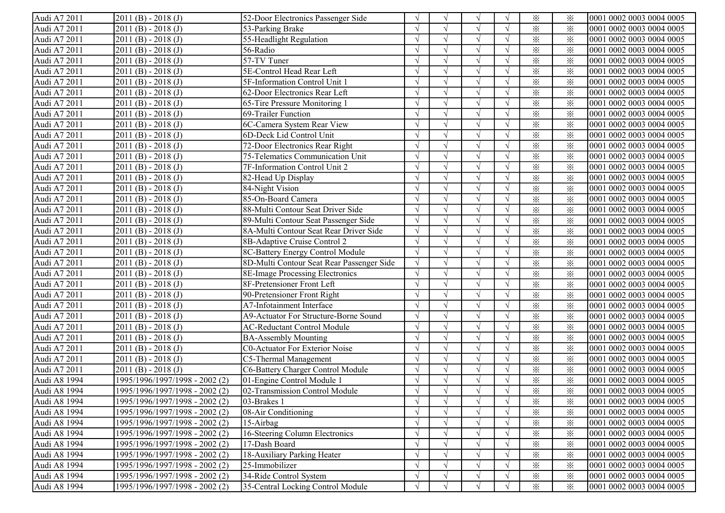| Audi A7 2011 | $2011(B) - 2018(J)$            | 52-Door Electronics Passenger Side        |            |               |               |            | $\times$                | $\times$ | 0001 0002 0003 0004 0005 |
|--------------|--------------------------------|-------------------------------------------|------------|---------------|---------------|------------|-------------------------|----------|--------------------------|
| Audi A7 2011 | $2011(B) - 2018(J)$            | 53-Parking Brake                          |            |               |               |            | $\times$                | $\times$ | 0001 0002 0003 0004 0005 |
| Audi A7 2011 | $2011(B) - 2018(J)$            | 55-Headlight Regulation                   |            |               |               |            | $\times$                | $\times$ | 0001 0002 0003 0004 0005 |
| Audi A7 2011 | $2011(B) - 2018(J)$            | 56-Radio                                  |            |               | $\mathcal{N}$ |            | $\times$                | $\times$ | 0001 0002 0003 0004 0005 |
| Audi A7 2011 | $2011(B) - 2018(J)$            | 57-TV Tuner                               |            |               |               |            | $\times$                | $\times$ | 0001 0002 0003 0004 0005 |
| Audi A7 2011 | $2011(B) - 2018(J)$            | 5E-Control Head Rear Left                 |            | $\Delta$      | $\sqrt{ }$    |            | $\times$                | $\times$ | 0001 0002 0003 0004 0005 |
| Audi A7 2011 | $2011(B) - 2018(J)$            | 5F-Information Control Unit 1             |            | $\sqrt{ }$    | $\sqrt{ }$    |            | $\times$                | $\times$ | 0001 0002 0003 0004 0005 |
| Audi A7 2011 | $2011(B) - 2018(J)$            | 62-Door Electronics Rear Left             |            | $\sqrt{ }$    | $\sqrt{ }$    |            | $\times$                | $\times$ | 0001 0002 0003 0004 0005 |
| Audi A7 2011 | $2011(B) - 2018(J)$            | 65-Tire Pressure Monitoring 1             |            |               |               |            | $\times$                | $\times$ | 0001 0002 0003 0004 0005 |
| Audi A7 2011 | $2011(B) - 2018(J)$            | 69-Trailer Function                       |            | $\sqrt{ }$    |               |            | $\times$                | $\times$ | 0001 0002 0003 0004 0005 |
| Audi A7 2011 | $2011(B) - 2018(J)$            | 6C-Camera System Rear View                |            | $\sqrt{ }$    |               |            | $\times$                | $\times$ | 0001 0002 0003 0004 0005 |
| Audi A7 2011 | $2011(B) - 2018(J)$            | 6D-Deck Lid Control Unit                  |            | $\sqrt{ }$    |               |            | $\times$                | ⋇        | 0001 0002 0003 0004 0005 |
| Audi A7 2011 | $2011(B) - 2018(J)$            | 72-Door Electronics Rear Right            |            | $\sqrt{ }$    |               |            | $\times$                | $\times$ | 0001 0002 0003 0004 0005 |
| Audi A7 2011 | $2011(B) - 2018(J)$            | 75-Telematics Communication Unit          |            | $\sqrt{ }$    | $\sqrt{ }$    |            | $\times$                | $\times$ | 0001 0002 0003 0004 0005 |
| Audi A7 2011 | $2011(B) - 2018(J)$            | 7F-Information Control Unit 2             |            | $\sqrt{ }$    |               |            | $\overline{\mathbf{x}}$ | $\times$ | 0001 0002 0003 0004 0005 |
| Audi A7 2011 | $2011(B) - 2018(J)$            | 82-Head Up Display                        |            | $\sqrt{ }$    | $\sqrt{ }$    |            | $\times$                | $\times$ | 0001 0002 0003 0004 0005 |
| Audi A7 2011 | $2011(B) - 2018(J)$            | 84-Night Vision                           |            | $\sqrt{ }$    | $\sqrt{ }$    |            | $\times$                | $\times$ | 0001 0002 0003 0004 0005 |
| Audi A7 2011 | $2011(B) - 2018(J)$            | 85-On-Board Camera                        |            | $\sqrt{ }$    | $\sqrt{ }$    |            | $\times$                | $\times$ | 0001 0002 0003 0004 0005 |
| Audi A7 2011 | $2011(B) - 2018(J)$            | 88-Multi Contour Seat Driver Side         |            | $\sqrt{ }$    | $\sqrt{ }$    |            | $\times$                | $\times$ | 0001 0002 0003 0004 0005 |
| Audi A7 2011 | $2011(B) - 2018(J)$            | 89-Multi Contour Seat Passenger Side      |            |               |               |            | $\times$                | $\times$ | 0001 0002 0003 0004 0005 |
| Audi A7 2011 | $2011(B) - 2018(J)$            | 8A-Multi Contour Seat Rear Driver Side    |            |               | $\mathcal{N}$ |            | $\times$                | $\times$ | 0001 0002 0003 0004 0005 |
| Audi A7 2011 | $2011(B) - 2018(J)$            | 8B-Adaptive Cruise Control 2              |            | $\mathcal{L}$ | $\mathcal{N}$ |            | $\times$                | $\times$ | 0001 0002 0003 0004 0005 |
| Audi A7 2011 | $2011(B) - 2018(J)$            | 8C-Battery Energy Control Module          |            | $\sqrt{ }$    | $\sqrt{ }$    |            | $\times$                | $\times$ | 0001 0002 0003 0004 0005 |
| Audi A7 2011 | $2011(B) - 2018(J)$            | 8D-Multi Contour Seat Rear Passenger Side |            | $\sqrt{ }$    | $\sqrt{ }$    |            | $\times$                | $\times$ | 0001 0002 0003 0004 0005 |
| Audi A7 2011 | $2011(B) - 2018(J)$            | 8E-Image Processing Electronics           |            | $\sqrt{ }$    | $\sqrt{ }$    |            | $\times$                | $\times$ | 0001 0002 0003 0004 0005 |
| Audi A7 2011 | $2011(B) - 2018(J)$            | 8F-Pretensioner Front Left                |            |               |               |            | $\times$                | $\times$ | 0001 0002 0003 0004 0005 |
| Audi A7 2011 | $2011(B) - 2018(J)$            | 90-Pretensioner Front Right               |            | $\sqrt{ }$    |               |            | $\overline{\mathbf{x}}$ | $\times$ | 0001 0002 0003 0004 0005 |
| Audi A7 2011 | $2011(B) - 2018(J)$            | A7-Infotainment Interface                 | $\gamma$   | $\sqrt{ }$    |               | $\sqrt{ }$ | $\times$                | $\times$ | 0001 0002 0003 0004 0005 |
| Audi A7 2011 | $2011(B) - 2018(J)$            | A9-Actuator For Structure-Borne Sound     | $\sqrt{ }$ | $\sqrt{ }$    |               | $\sqrt{ }$ | $\times$                | $\times$ | 0001 0002 0003 0004 0005 |
| Audi A7 2011 | $2011(B) - 2018(J)$            | <b>AC-Reductant Control Module</b>        | $\gamma$   | $\sqrt{ }$    |               | $\sqrt{ }$ | $\times$                | $\times$ | 0001 0002 0003 0004 0005 |
| Audi A7 2011 | $2011(B) - 2018(J)$            | <b>BA-Assembly Mounting</b>               | $\Delta$   | $\sqrt{ }$    | $\sqrt{ }$    | $\sqrt{ }$ | $\times$                | $\times$ | 0001 0002 0003 0004 0005 |
| Audi A7 2011 | $2011(B) - 2018(J)$            | <b>C0-Actuator For Exterior Noise</b>     | $\Delta$   | $\sqrt{ }$    | $\sqrt{ }$    | $\sqrt{ }$ | $\times$                | $\times$ | 0001 0002 0003 0004 0005 |
| Audi A7 2011 | $2011(B) - 2018(J)$            | C5-Thermal Management                     |            | $\sqrt{ }$    | $\sqrt{ }$    | $\Delta$   | $\times$                | $\times$ | 0001 0002 0003 0004 0005 |
| Audi A7 2011 | $2011(B) - 2018(J)$            | C6-Battery Charger Control Module         |            |               |               |            | $\times$                | $\times$ | 0001 0002 0003 0004 0005 |
| Audi A8 1994 | 1995/1996/1997/1998 - 2002 (2) | 01-Engine Control Module 1                |            |               |               |            | $\times$                | $\times$ | 0001 0002 0003 0004 0005 |
| Audi A8 1994 | 1995/1996/1997/1998 - 2002 (2) | 02-Transmission Control Module            |            |               |               |            | $\times$                | $\times$ | 0001 0002 0003 0004 0005 |
| Audi A8 1994 | 1995/1996/1997/1998 - 2002 (2) | $ 03 - Brakes $                           | V          | V             | V             | V          | $\times$                | ፠        | 0001 0002 0003 0004 0005 |
| Audi A8 1994 | 1995/1996/1997/1998 - 2002 (2) | 08-Air Conditioning                       |            |               |               |            | $\times$                | $\times$ | 0001 0002 0003 0004 0005 |
| Audi A8 1994 | 1995/1996/1997/1998 - 2002 (2) | 15-Airbag                                 |            |               |               |            | $\times$                | $\times$ | 0001 0002 0003 0004 0005 |
| Audi A8 1994 | 1995/1996/1997/1998 - 2002 (2) | 16-Steering Column Electronics            |            | $\sqrt{ }$    |               |            | $\times$                | $\times$ | 0001 0002 0003 0004 0005 |
| Audi A8 1994 | 1995/1996/1997/1998 - 2002 (2) | 17-Dash Board                             |            |               |               |            | $\times$                | $\times$ | 0001 0002 0003 0004 0005 |
| Audi A8 1994 | 1995/1996/1997/1998 - 2002 (2) | 18-Auxiliary Parking Heater               |            |               |               |            | $\times$                | $\times$ | 0001 0002 0003 0004 0005 |
| Audi A8 1994 | 1995/1996/1997/1998 - 2002 (2) | 25-Immobilizer                            |            |               |               | $\sqrt{ }$ | $\times$                | $\times$ | 0001 0002 0003 0004 0005 |
| Audi A8 1994 | 1995/1996/1997/1998 - 2002 (2) | 34-Ride Control System                    | $\gamma$   |               |               |            | $\times$                | $\times$ | 0001 0002 0003 0004 0005 |
| Audi A8 1994 | 1995/1996/1997/1998 - 2002 (2) | 35-Central Locking Control Module         | $\gamma$   | $\mathcal N$  |               |            | $\times$                | $\times$ | 0001 0002 0003 0004 0005 |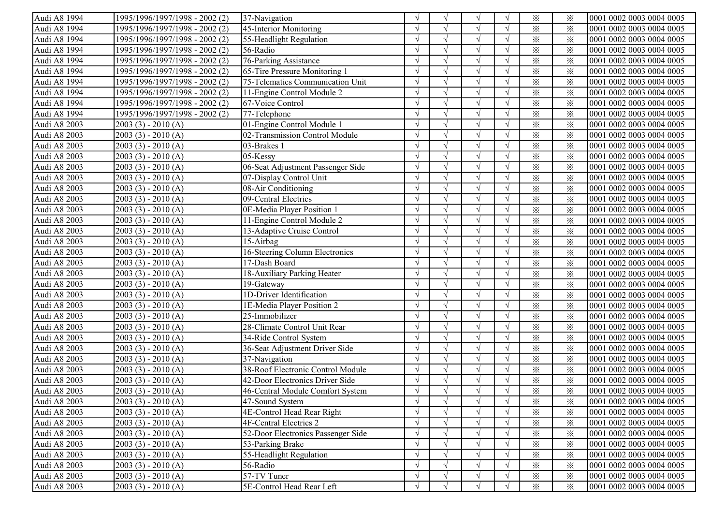| Audi A8 1994 | 1995/1996/1997/1998 - 2002 (2) | 37-Navigation                      |            |            |               |            | $\times$                | ⋇        | 0001 0002 0003 0004 0005 |
|--------------|--------------------------------|------------------------------------|------------|------------|---------------|------------|-------------------------|----------|--------------------------|
| Audi A8 1994 | 1995/1996/1997/1998 - 2002 (2) | 45-Interior Monitoring             |            |            |               |            | $\times$                | $\times$ | 0001 0002 0003 0004 0005 |
| Audi A8 1994 | 1995/1996/1997/1998 - 2002 (2) | 55-Headlight Regulation            |            |            |               |            | $\times$                | $\times$ | 0001 0002 0003 0004 0005 |
| Audi A8 1994 | 1995/1996/1997/1998 - 2002 (2) | 56-Radio                           |            |            | $\mathcal{L}$ |            | $\times$                | $\times$ | 0001 0002 0003 0004 0005 |
| Audi A8 1994 | 1995/1996/1997/1998 - 2002 (2) | 76-Parking Assistance              |            |            |               |            | $\times$                | $\times$ | 0001 0002 0003 0004 0005 |
| Audi A8 1994 | 1995/1996/1997/1998 - 2002 (2) | 65-Tire Pressure Monitoring 1      |            | $\sqrt{ }$ | $\sqrt{ }$    |            | $\times$                | $\times$ | 0001 0002 0003 0004 0005 |
| Audi A8 1994 | 1995/1996/1997/1998 - 2002 (2) | 75-Telematics Communication Unit   |            | $\sqrt{ }$ | $\sqrt{ }$    |            | $\times$                | $\times$ | 0001 0002 0003 0004 0005 |
| Audi A8 1994 | 1995/1996/1997/1998 - 2002 (2) | 11-Engine Control Module 2         |            | $\sqrt{ }$ | $\sqrt{ }$    |            | $\times$                | $\times$ | 0001 0002 0003 0004 0005 |
| Audi A8 1994 | 1995/1996/1997/1998 - 2002 (2) | 67-Voice Control                   |            |            |               |            | $\times$                | $\times$ | 0001 0002 0003 0004 0005 |
| Audi A8 1994 | 1995/1996/1997/1998 - 2002 (2) | 77-Telephone                       |            | $\sqrt{ }$ |               |            | $\times$                | $\times$ | 0001 0002 0003 0004 0005 |
| Audi A8 2003 | $2003(3) - 2010(A)$            | 01-Engine Control Module 1         |            |            |               | $\sqrt{ }$ | $\times$                | $\times$ | 0001 0002 0003 0004 0005 |
| Audi A8 2003 | $2003(3) - 2010(A)$            | 02-Transmission Control Module     |            | $\sqrt{ }$ |               | $\sqrt{ }$ | $\times$                | $\times$ | 0001 0002 0003 0004 0005 |
| Audi A8 2003 | $2003(3) - 2010(A)$            | 03-Brakes 1                        |            | $\sqrt{ }$ |               | $\sqrt{ }$ | $\times$                | $\times$ | 0001 0002 0003 0004 0005 |
| Audi A8 2003 | $2003(3) - 2010(A)$            | 05-Kessy                           | $\Delta$   | $\sqrt{ }$ | $\sqrt{ }$    |            | $\times$                | $\times$ | 0001 0002 0003 0004 0005 |
| Audi A8 2003 | $2003(3) - 2010(A)$            | 06-Seat Adjustment Passenger Side  |            | $\sqrt{ }$ |               |            | $\overline{\mathbf{x}}$ | $\times$ | 0001 0002 0003 0004 0005 |
| Audi A8 2003 | $2003(3) - 2010(A)$            | 07-Display Control Unit            |            | $\sqrt{ }$ | $\sqrt{ }$    | $\sqrt{ }$ | $\times$                | $\times$ | 0001 0002 0003 0004 0005 |
| Audi A8 2003 | $2003(3) - 2010(A)$            | 08-Air Conditioning                |            | $\sqrt{ }$ | $\sqrt{ }$    |            | $\times$                | $\times$ | 0001 0002 0003 0004 0005 |
| Audi A8 2003 | $2003(3) - 2010(A)$            | 09-Central Electrics               |            |            | $\sqrt{ }$    | $\sqrt{ }$ | $\times$                | $\times$ | 0001 0002 0003 0004 0005 |
| Audi A8 2003 | $2003(3) - 2010(A)$            | 0E-Media Player Position 1         |            | $\sqrt{ }$ | $\sqrt{ }$    |            | $\times$                | $\times$ | 0001 0002 0003 0004 0005 |
| Audi A8 2003 | $2003(3) - 2010(A)$            | 11-Engine Control Module 2         |            |            | $\mathcal{L}$ |            | $\times$                | $\times$ | 0001 0002 0003 0004 0005 |
| Audi A8 2003 | $2003(3) - 2010(A)$            | 13-Adaptive Cruise Control         |            |            | $\mathcal{L}$ |            | $\times$                | $\times$ | 0001 0002 0003 0004 0005 |
| Audi A8 2003 | $2003(3) - 2010(A)$            | 15-Airbag                          |            |            |               |            | $\times$                | $\times$ | 0001 0002 0003 0004 0005 |
| Audi A8 2003 | $2003(3) - 2010(A)$            | 16-Steering Column Electronics     |            | $\sqrt{ }$ | $\sqrt{ }$    |            | $\times$                | $\times$ | 0001 0002 0003 0004 0005 |
| Audi A8 2003 | $2003(3) - 2010(A)$            | 17-Dash Board                      |            | $\sqrt{ }$ | $\sqrt{ }$    |            | $\times$                | $\times$ | 0001 0002 0003 0004 0005 |
| Audi A8 2003 | $2003(3) - 2010(A)$            | 18-Auxiliary Parking Heater        |            | $\sqrt{ }$ | $\sqrt{ }$    |            | $\times$                | $\times$ | 0001 0002 0003 0004 0005 |
| Audi A8 2003 | $2003(3) - 2010(A)$            | 19-Gateway                         |            |            |               |            | $\times$                | $\times$ | 0001 0002 0003 0004 0005 |
| Audi A8 2003 | $2003(3) - 2010(A)$            | 1D-Driver Identification           |            | $\sqrt{ }$ |               |            | $\overline{\mathbf{x}}$ | $\times$ | 0001 0002 0003 0004 0005 |
| Audi A8 2003 | $2003(3) - 2010(A)$            | 1E-Media Player Position 2         | $\sqrt{ }$ | $\sqrt{ }$ |               | $\sqrt{ }$ | $\times$                | $\times$ | 0001 0002 0003 0004 0005 |
| Audi A8 2003 | $2003(3) - 2010(A)$            | 25-Immobilizer                     | $\sqrt{ }$ | $\sqrt{ }$ |               | $\sqrt{ }$ | $\times$                | $\times$ | 0001 0002 0003 0004 0005 |
| Audi A8 2003 | $2003(3) - 2010(A)$            | 28-Climate Control Unit Rear       | $\sqrt{ }$ | $\sqrt{ }$ |               | $\sqrt{ }$ | $\times$                | $\times$ | 0001 0002 0003 0004 0005 |
| Audi A8 2003 | $2003(3) - 2010(A)$            | 34-Ride Control System             | $\sqrt{ }$ | $\sqrt{ }$ | $\sqrt{ }$    | $\sqrt{ }$ | $\times$                | $\times$ | 0001 0002 0003 0004 0005 |
| Audi A8 2003 | $2003(3) - 2010(A)$            | 36-Seat Adjustment Driver Side     | $\sqrt{ }$ | $\sqrt{ }$ | $\sqrt{ }$    | $\sqrt{ }$ | $\times$                | $\times$ | 0001 0002 0003 0004 0005 |
| Audi A8 2003 | $2003(3) - 2010(A)$            | 37-Navigation                      |            | $\sqrt{ }$ | $\sqrt{ }$    | $\sqrt{ }$ | $\times$                | $\times$ | 0001 0002 0003 0004 0005 |
| Audi A8 2003 | $2003(3) - 2010(A)$            | 38-Roof Electronic Control Module  |            |            |               |            | $\times$                | $\times$ | 0001 0002 0003 0004 0005 |
| Audi A8 2003 | $2003(3) - 2010(A)$            | 42-Door Electronics Driver Side    |            |            |               |            | $\times$                | $\times$ | 0001 0002 0003 0004 0005 |
| Audi A8 2003 | $2003(3) - 2010(A)$            | 46-Central Module Comfort System   |            |            |               |            | $\times$                | $\times$ | 0001 0002 0003 0004 0005 |
| Audi A8 2003 | $2003(3) - 2010(A)$            | 47-Sound System                    | $\sqrt{ }$ | $\sqrt{ }$ | V             | V          | $\times$                | ፠        | 0001 0002 0003 0004 0005 |
| Audi A8 2003 | $2003(3) - 2010(A)$            | 4E-Control Head Rear Right         |            |            |               |            | $\times$                | $\times$ | 0001 0002 0003 0004 0005 |
| Audi A8 2003 | $2003(3) - 2010(A)$            | 4F-Central Electrics 2             |            |            |               |            | $\times$                | $\times$ | 0001 0002 0003 0004 0005 |
| Audi A8 2003 | $2003(3) - 2010(A)$            | 52-Door Electronics Passenger Side |            |            |               |            | $\times$                | $\times$ | 0001 0002 0003 0004 0005 |
| Audi A8 2003 | $2003(3) - 2010(A)$            | 53-Parking Brake                   |            |            |               |            | $\times$                | $\times$ | 0001 0002 0003 0004 0005 |
| Audi A8 2003 | $2003(3) - 2010(A)$            | 55-Headlight Regulation            |            |            |               |            | $\times$                | $\times$ | 0001 0002 0003 0004 0005 |
| Audi A8 2003 | $2003(3) - 2010(A)$            | 56-Radio                           |            |            |               | $\sqrt{ }$ | $\times$                | $\times$ | 0001 0002 0003 0004 0005 |
| Audi A8 2003 | $2003(3) - 2010(A)$            | 57-TV Tuner                        | $\sqrt{ }$ |            |               | $\sqrt{ }$ | $\times$                | $\times$ | 0001 0002 0003 0004 0005 |
| Audi A8 2003 | $2003(3) - 2010(A)$            | 5E-Control Head Rear Left          | $\sqrt{ }$ | $\sqrt{ }$ |               | $\sqrt{ }$ | $\times$                | $\times$ | 0001 0002 0003 0004 0005 |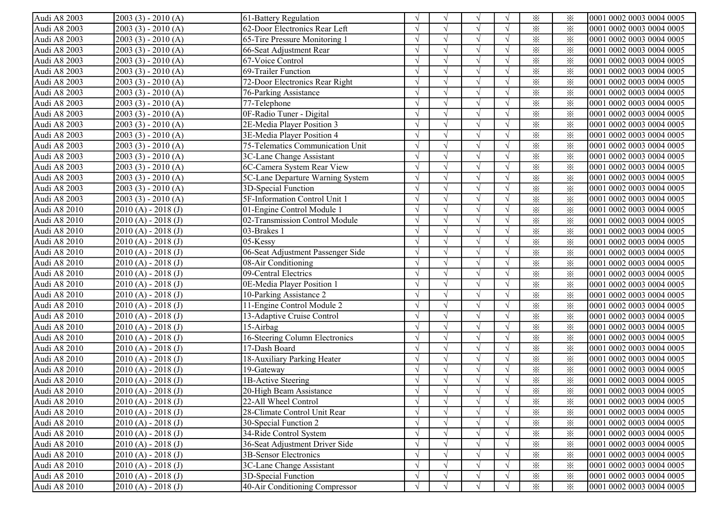| Audi A8 2003 | $2003(3) - 2010(A)$   | 61-Battery Regulation             |            | $\sqrt{ }$    | $\sqrt{ }$ |            | $\times$ | ፠        | 0001 0002 0003 0004 0005 |
|--------------|-----------------------|-----------------------------------|------------|---------------|------------|------------|----------|----------|--------------------------|
| Audi A8 2003 | $2003(3) - 2010(A)$   | 62-Door Electronics Rear Left     |            |               |            |            | $\times$ | $\times$ | 0001 0002 0003 0004 0005 |
| Audi A8 2003 | $2003(3) - 2010(A)$   | 65-Tire Pressure Monitoring 1     |            |               |            |            | $\times$ | $\times$ | 0001 0002 0003 0004 0005 |
| Audi A8 2003 | $2003(3) - 2010(A)$   | 66-Seat Adjustment Rear           |            |               |            |            | $\times$ | $\times$ | 0001 0002 0003 0004 0005 |
| Audi A8 2003 | $2003(3) - 2010(A)$   | 67-Voice Control                  |            |               |            |            | $\times$ | $\times$ | 0001 0002 0003 0004 0005 |
| Audi A8 2003 | $2003(3) - 2010(A)$   | 69-Trailer Function               |            |               |            |            | $\times$ | $\times$ | 0001 0002 0003 0004 0005 |
| Audi A8 2003 | $2003(3) - 2010(A)$   | 72-Door Electronics Rear Right    |            |               |            |            | $\times$ | $\times$ | 0001 0002 0003 0004 0005 |
| Audi A8 2003 | $2003(3) - 2010(A)$   | 76-Parking Assistance             |            |               | $\sqrt{ }$ |            | $\times$ | $\times$ | 0001 0002 0003 0004 0005 |
| Audi A8 2003 | $2003(3) - 2010(A)$   | 77-Telephone                      |            |               | $\sqrt{ }$ |            | $\times$ | $\times$ | 0001 0002 0003 0004 0005 |
| Audi A8 2003 | $2003(3) - 2010(A)$   | 0F-Radio Tuner - Digital          |            |               |            |            | $\times$ | $\times$ | 0001 0002 0003 0004 0005 |
| Audi A8 2003 | $2003(3) - 2010(A)$   | 2E-Media Player Position 3        |            |               |            |            | $\times$ | $\times$ | 0001 0002 0003 0004 0005 |
| Audi A8 2003 | $2003(3) - 2010(A)$   | 3E-Media Player Position 4        |            |               |            |            | $\times$ | $\times$ | 0001 0002 0003 0004 0005 |
| Audi A8 2003 | $2003(3) - 2010(A)$   | 75-Telematics Communication Unit  | $\sqrt{ }$ | $\gamma$      |            | $\sqrt{ }$ | $\times$ | $\times$ | 0001 0002 0003 0004 0005 |
| Audi A8 2003 | $2003(3) - 2010(A)$   | 3C-Lane Change Assistant          | $\sqrt{ }$ | $\mathcal{N}$ |            | $\sqrt{ }$ | $\times$ | $\times$ | 0001 0002 0003 0004 0005 |
| Audi A8 2003 | $2003(3) - 2010(A)$   | 6C-Camera System Rear View        | $\sqrt{ }$ | $\gamma$      |            | $\sqrt{ }$ | $\times$ | $\times$ | 0001 0002 0003 0004 0005 |
| Audi A8 2003 | $2003(3) - 2010(A)$   | 5C-Lane Departure Warning System  | $\sqrt{ }$ |               | $\sqrt{ }$ |            | $\times$ | $\times$ | 0001 0002 0003 0004 0005 |
| Audi A8 2003 | $2003(3) - 2010(A)$   | 3D-Special Function               | $\sqrt{ }$ | $\gamma$      | $\sqrt{ }$ | $\sqrt{ }$ | $\times$ | $\times$ | 0001 0002 0003 0004 0005 |
| Audi A8 2003 | $2003(3) - 2010(A)$   | 5F-Information Control Unit 1     |            |               |            |            | $\times$ | ⋇        | 0001 0002 0003 0004 0005 |
| Audi A8 2010 | $2010(A) - 2018(J)$   | 01-Engine Control Module 1        |            |               |            |            | $\times$ | $\times$ | 0001 0002 0003 0004 0005 |
| Audi A8 2010 | $2010(A) - 2018(J)$   | 02-Transmission Control Module    |            |               |            |            | $\times$ | $\times$ | 0001 0002 0003 0004 0005 |
| Audi A8 2010 | $2010(A) - 2018(J)$   | 03-Brakes 1                       |            |               |            |            | $\times$ | $\times$ | 0001 0002 0003 0004 0005 |
| Audi A8 2010 | $2010(A) - 2018(J)$   | 05-Kessy                          |            |               | $\sqrt{ }$ |            | $\times$ | $\times$ | 0001 0002 0003 0004 0005 |
| Audi A8 2010 | $2010(A) - 2018(J)$   | 06-Seat Adjustment Passenger Side |            | $\gamma$      |            |            | $\times$ | $\times$ | 0001 0002 0003 0004 0005 |
| Audi A8 2010 | $2010(A) - 2018(J)$   | 08-Air Conditioning               |            | $\gamma$      | $\sqrt{ }$ |            | $\times$ | $\times$ | 0001 0002 0003 0004 0005 |
| Audi A8 2010 | $2010(A) - 2018(J)$   | 09-Central Electrics              |            | $\gamma$      | $\sqrt{ }$ |            | $\times$ | $\times$ | 0001 0002 0003 0004 0005 |
| Audi A8 2010 | $2010(A) - 2018(J)$   | 0E-Media Player Position 1        |            |               |            |            | $\times$ | $\times$ | 0001 0002 0003 0004 0005 |
| Audi A8 2010 | $2010(A) - 2018(J)$   | 10-Parking Assistance 2           |            |               |            |            | $\times$ | $\times$ | 0001 0002 0003 0004 0005 |
| Audi A8 2010 | $2010(A) - 2018(J)$   | 11-Engine Control Module 2        | $\sqrt{ }$ | $\gamma$      |            | $\sqrt{ }$ | $\times$ | $\times$ | 0001 0002 0003 0004 0005 |
| Audi A8 2010 | $2010(A) - 2018(J)$   | 13-Adaptive Cruise Control        | $\sqrt{ }$ | $\gamma$      |            | $\sqrt{ }$ | $\times$ | $\times$ | 0001 0002 0003 0004 0005 |
| Audi A8 2010 | $2010(A) - 2018(J)$   | 15-Airbag                         | $\sqrt{ }$ | $\gamma$      |            | $\sqrt{ }$ | $\times$ | $\times$ | 0001 0002 0003 0004 0005 |
| Audi A8 2010 | $2010(A) - 2018(J)$   | 16-Steering Column Electronics    |            | $\mathcal{N}$ |            | $\sqrt{ }$ | $\times$ | $\times$ | 0001 0002 0003 0004 0005 |
| Audi A8 2010 | $2010(A) - 2018(J)$   | 17-Dash Board                     | $\sqrt{ }$ | $\gamma$      |            |            | $\times$ | $\times$ | 0001 0002 0003 0004 0005 |
| Audi A8 2010 | $2010(A) - 2018(J)$   | 18-Auxiliary Parking Heater       | $\sqrt{ }$ | $\mathcal{N}$ | $\sqrt{ }$ | $\sqrt{ }$ | $\times$ | $\times$ | 0001 0002 0003 0004 0005 |
| Audi A8 2010 | $2010(A) - 2018(J)$   | 19-Gateway                        | $\sqrt{ }$ | $\gamma$      | $\sqrt{ }$ | $\sqrt{ }$ | $\times$ | $\times$ | 0001 0002 0003 0004 0005 |
| Audi A8 2010 | $2010(A) - 2018(J)$   | 1B-Active Steering                |            |               |            |            | $\times$ | ⋇        | 0001 0002 0003 0004 0005 |
| Audi A8 2010 | $2010(A) - 2018(J)$   | 20-High Beam Assistance           |            |               |            |            | $\times$ | $\times$ | 0001 0002 0003 0004 0005 |
| Audi A8 2010 | $[2010(A) - 2018(J)]$ | 22-All Wheel Control              | V          | V             | V          | $\sqrt{}$  | $\times$ | ⋇        | 0001 0002 0003 0004 0005 |
| Audi A8 2010 | $2010(A) - 2018(J)$   | 28-Climate Control Unit Rear      | $\sqrt{}$  |               |            | $\sqrt{ }$ | $\times$ | ⋇        | 0001 0002 0003 0004 0005 |
| Audi A8 2010 | $2010(A) - 2018(J)$   | 30-Special Function 2             |            |               |            |            | $\times$ | ⋇        | 0001 0002 0003 0004 0005 |
| Audi A8 2010 | $2010(A) - 2018(J)$   | 34-Ride Control System            |            |               |            |            | $\times$ | ⋇        | 0001 0002 0003 0004 0005 |
| Audi A8 2010 | $2010(A) - 2018(J)$   | 36-Seat Adjustment Driver Side    |            |               |            |            | $\times$ | $\times$ | 0001 0002 0003 0004 0005 |
| Audi A8 2010 | $2010(A) - 2018(J)$   | 3B-Sensor Electronics             | $\sqrt{ }$ |               | $\sqrt{}$  |            | $\times$ | $\times$ | 0001 0002 0003 0004 0005 |
| Audi A8 2010 | $2010(A) - 2018(J)$   | 3C-Lane Change Assistant          |            |               |            |            | $\times$ | ⋇        | 0001 0002 0003 0004 0005 |
| Audi A8 2010 | $2010(A) - 2018(J)$   | 3D-Special Function               |            |               |            |            | $\times$ | $\times$ | 0001 0002 0003 0004 0005 |
| Audi A8 2010 | $2010(A) - 2018(J)$   | 40-Air Conditioning Compressor    | $\sqrt{ }$ |               | $\sqrt{ }$ | $\sqrt{ }$ | $\times$ | $\times$ | 0001 0002 0003 0004 0005 |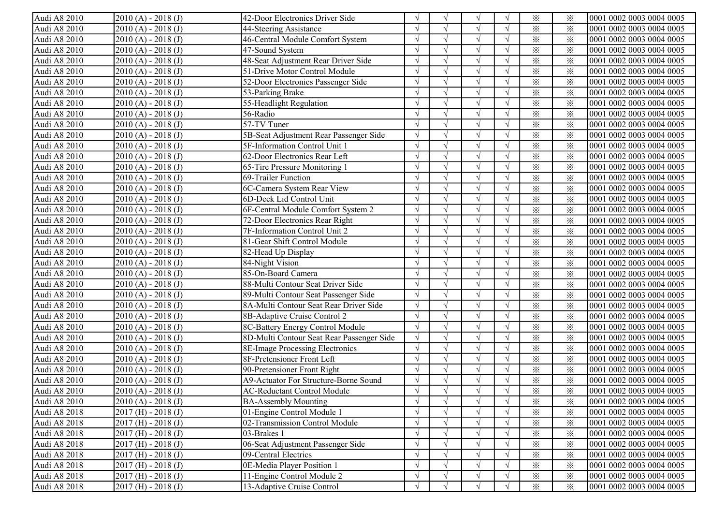| Audi A8 2010 | $2010(A) - 2018(J)$     | 42-Door Electronics Driver Side           |            | $\sqrt{ }$    | $\sqrt{ }$ |            | $\times$ | ፠        | 0001 0002 0003 0004 0005 |
|--------------|-------------------------|-------------------------------------------|------------|---------------|------------|------------|----------|----------|--------------------------|
| Audi A8 2010 | $2010(A) - 2018(J)$     | 44-Steering Assistance                    |            |               |            |            | $\times$ | $\times$ | 0001 0002 0003 0004 0005 |
| Audi A8 2010 | $2010(A) - 2018(J)$     | 46-Central Module Comfort System          |            |               |            | $\sqrt{ }$ | $\times$ | $\times$ | 0001 0002 0003 0004 0005 |
| Audi A8 2010 | $2010(A) - 2018(J)$     | 47-Sound System                           |            |               |            |            | $\times$ | $\times$ | 0001 0002 0003 0004 0005 |
| Audi A8 2010 | $2010(A) - 2018(J)$     | 48-Seat Adjustment Rear Driver Side       |            |               |            | $\sqrt{ }$ | $\times$ | $\times$ | 0001 0002 0003 0004 0005 |
| Audi A8 2010 | $2010(A) - 2018(J)$     | 51-Drive Motor Control Module             |            |               |            |            | $\times$ | $\times$ | 0001 0002 0003 0004 0005 |
| Audi A8 2010 | $2010(A) - 2018(J)$     | 52-Door Electronics Passenger Side        |            |               | $\sqrt{ }$ |            | $\times$ | $\times$ | 0001 0002 0003 0004 0005 |
| Audi A8 2010 | $2010(A) - 2018(J)$     | 53-Parking Brake                          |            |               | $\sqrt{ }$ |            | $\times$ | $\times$ | 0001 0002 0003 0004 0005 |
| Audi A8 2010 | $2010(A) - 2018(J)$     | 55-Headlight Regulation                   |            | $\sqrt{2}$    | $\sqrt{}$  |            | $\times$ | $\times$ | 0001 0002 0003 0004 0005 |
| Audi A8 2010 | $2010(A) - 2018(J)$     | 56-Radio                                  |            |               |            |            | $\times$ | $\times$ | 0001 0002 0003 0004 0005 |
| Audi A8 2010 | $2010(A) - 2018(J)$     | 57-TV Tuner                               |            |               |            |            | $\times$ | $\times$ | 0001 0002 0003 0004 0005 |
| Audi A8 2010 | $2010(A) - 2018(J)$     | 5B-Seat Adjustment Rear Passenger Side    | $\sqrt{ }$ |               |            | $\sqrt{ }$ | $\times$ | $\times$ | 0001 0002 0003 0004 0005 |
| Audi A8 2010 | $2010(A) - 2018(J)$     | 5F-Information Control Unit 1             | $\sqrt{ }$ | $\gamma$      |            | $\sqrt{ }$ | $\times$ | $\times$ | 0001 0002 0003 0004 0005 |
| Audi A8 2010 | $2010(A) - 2018(J)$     | 62-Door Electronics Rear Left             | $\sqrt{ }$ | $\gamma$      |            | $\sqrt{ }$ | $\times$ | $\times$ | 0001 0002 0003 0004 0005 |
| Audi A8 2010 | $2010(A) - 2018(J)$     | 65-Tire Pressure Monitoring 1             |            | $\gamma$      | $\sqrt{ }$ | $\sqrt{ }$ | $\times$ | $\times$ | 0001 0002 0003 0004 0005 |
| Audi A8 2010 | $2010(A) - 2018(J)$     | 69-Trailer Function                       | $\sqrt{ }$ | $\sqrt{2}$    | $\sqrt{ }$ | $\sqrt{ }$ | $\times$ | $\times$ | 0001 0002 0003 0004 0005 |
| Audi A8 2010 | $2010(A) - 2018(J)$     | 6C-Camera System Rear View                | $\sqrt{ }$ | $\sqrt{ }$    | $\sqrt{ }$ | $\sqrt{ }$ | $\times$ | $\times$ | 0001 0002 0003 0004 0005 |
| Audi A8 2010 | $2010(A) - 2018(J)$     | 6D-Deck Lid Control Unit                  |            |               |            | $\sqrt{ }$ | $\times$ | ⋇        | 0001 0002 0003 0004 0005 |
| Audi A8 2010 | $2010(A) - 2018(J)$     | 6F-Central Module Comfort System 2        |            |               |            |            | $\times$ | $\times$ | 0001 0002 0003 0004 0005 |
| Audi A8 2010 | $2010(A) - 2018(J)$     | 72-Door Electronics Rear Right            |            | $\gamma$      |            |            | $\times$ | $\times$ | 0001 0002 0003 0004 0005 |
| Audi A8 2010 | $2010(A) - 2018(J)$     | 7F-Information Control Unit 2             |            |               |            |            | $\times$ | $\times$ | 0001 0002 0003 0004 0005 |
| Audi A8 2010 | $2010(A) - 2018(J)$     | 81-Gear Shift Control Module              |            | $\gamma$      | $\sqrt{ }$ |            | $\times$ | $\times$ | 0001 0002 0003 0004 0005 |
| Audi A8 2010 | $2010(A) - 2018(J)$     | 82-Head Up Display                        |            | $\mathcal{N}$ | $\sqrt{ }$ |            | $\times$ | $\times$ | 0001 0002 0003 0004 0005 |
| Audi A8 2010 | $2010(A) - 2018(J)$     | 84-Night Vision                           |            | $\gamma$      | $\sqrt{ }$ |            | $\times$ | $\times$ | 0001 0002 0003 0004 0005 |
| Audi A8 2010 | $2010(A) - 2018(J)$     | 85-On-Board Camera                        |            | $\gamma$      | $\sqrt{ }$ |            | $\times$ | $\times$ | 0001 0002 0003 0004 0005 |
| Audi A8 2010 | $2010(A) - 2018(J)$     | 88-Multi Contour Seat Driver Side         |            |               |            |            | $\times$ | $\times$ | 0001 0002 0003 0004 0005 |
| Audi A8 2010 | $2010(A) - 2018(J)$     | 89-Multi Contour Seat Passenger Side      |            |               |            |            | $\times$ | $\times$ | 0001 0002 0003 0004 0005 |
| Audi A8 2010 | $2010(A) - 2018(J)$     | 8A-Multi Contour Seat Rear Driver Side    | $\sqrt{ }$ | $\sqrt{ }$    |            | $\sqrt{ }$ | $\times$ | $\times$ | 0001 0002 0003 0004 0005 |
| Audi A8 2010 | $2010(A) - 2018(J)$     | 8B-Adaptive Cruise Control 2              | $\sqrt{ }$ | $\gamma$      |            | $\sqrt{ }$ | $\times$ | $\times$ | 0001 0002 0003 0004 0005 |
| Audi A8 2010 | $2010(A) - 2018(J)$     | 8C-Battery Energy Control Module          | $\sqrt{ }$ | $\gamma$      | $\sqrt{ }$ | $\sqrt{ }$ | $\times$ | $\times$ | 0001 0002 0003 0004 0005 |
| Audi A8 2010 | $2010(A) - 2018(J)$     | 8D-Multi Contour Seat Rear Passenger Side |            | $\gamma$      |            | $\sqrt{ }$ | $\times$ | $\times$ | 0001 0002 0003 0004 0005 |
| Audi A8 2010 | $2010(A) - 2018(J)$     | 8E-Image Processing Electronics           | $\sqrt{ }$ | $\sqrt{ }$    | $\sqrt{ }$ | $\sqrt{ }$ | $\times$ | $\times$ | 0001 0002 0003 0004 0005 |
| Audi A8 2010 | $2010(A) - 2018(J)$     | 8F-Pretensioner Front Left                | $\sqrt{ }$ | $\gamma$      | $\sqrt{ }$ | $\sqrt{ }$ | $\times$ | $\times$ | 0001 0002 0003 0004 0005 |
| Audi A8 2010 | $2010(A) - 2018(J)$     | 90-Pretensioner Front Right               | $\sqrt{ }$ | $\sqrt{ }$    | $\sqrt{}$  | $\sqrt{ }$ | $\times$ | $\times$ | 0001 0002 0003 0004 0005 |
| Audi A8 2010 | $2010(A) - 2018(J)$     | A9-Actuator For Structure-Borne Sound     |            |               | $\sqrt{ }$ |            | $\times$ | $\times$ | 0001 0002 0003 0004 0005 |
| Audi A8 2010 | $2010(A) - 2018(J)$     | <b>AC-Reductant Control Module</b>        |            |               |            |            | $\times$ | $\times$ | 0001 0002 0003 0004 0005 |
| Audi A8 2010 | $[2010(A) - 2018(J)]$   | <b>BA-Assembly Mounting</b>               | V          | V             | V          | $\sqrt{}$  | $\times$ | ⋇        | 0001 0002 0003 0004 0005 |
| Audi A8 2018 | $2017$ (H) - $2018$ (J) | 01-Engine Control Module 1                | $\sqrt{ }$ |               |            | $\sqrt{ }$ | $\times$ | ⋇        | 0001 0002 0003 0004 0005 |
| Audi A8 2018 | $2017$ (H) - $2018$ (J) | 02-Transmission Control Module            |            |               |            |            | $\times$ | ⋇        | 0001 0002 0003 0004 0005 |
| Audi A8 2018 | $2017$ (H) - $2018$ (J) | 03-Brakes 1                               |            |               |            |            | $\times$ | ⋇        | 0001 0002 0003 0004 0005 |
| Audi A8 2018 | $2017$ (H) - 2018 (J)   | 06-Seat Adjustment Passenger Side         |            |               |            |            | $\times$ | $\times$ | 0001 0002 0003 0004 0005 |
| Audi A8 2018 | $2017$ (H) - 2018 (J)   | 09-Central Electrics                      |            |               | $\sqrt{}$  |            | $\times$ | $\times$ | 0001 0002 0003 0004 0005 |
| Audi A8 2018 | $2017$ (H) - $2018$ (J) | 0E-Media Player Position 1                |            |               |            |            | $\times$ | ⋇        | 0001 0002 0003 0004 0005 |
| Audi A8 2018 | $2017$ (H) - 2018 (J)   | 11-Engine Control Module 2                |            |               |            |            | $\times$ | $\times$ | 0001 0002 0003 0004 0005 |
| Audi A8 2018 | $2017$ (H) - 2018 (J)   | 13-Adaptive Cruise Control                | $\sqrt{ }$ |               | $\sqrt{ }$ | $\sqrt{ }$ | $\times$ | $\times$ | 0001 0002 0003 0004 0005 |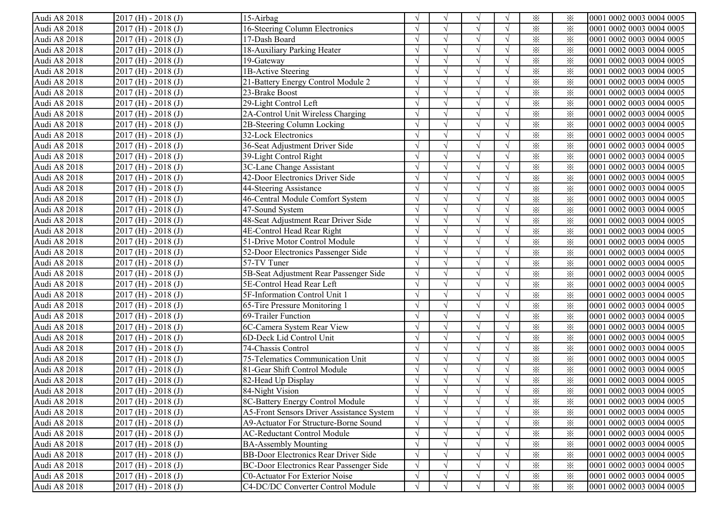| Audi A8 2018 | $2017$ (H) - $2018$ (J) | 15-Airbag                                   |               | $\sqrt{ }$    | N             |            | $\times$                | ⋇        | 0001 0002 0003 0004 0005 |
|--------------|-------------------------|---------------------------------------------|---------------|---------------|---------------|------------|-------------------------|----------|--------------------------|
| Audi A8 2018 | $2017$ (H) - $2018$ (J) | 16-Steering Column Electronics              |               |               |               |            | $\times$                | $\times$ | 0001 0002 0003 0004 0005 |
| Audi A8 2018 | $2017$ (H) - $2018$ (J) | 17-Dash Board                               |               |               |               |            | $\times$                | $\times$ | 0001 0002 0003 0004 0005 |
| Audi A8 2018 | $2017$ (H) - 2018 (J)   | 18-Auxiliary Parking Heater                 |               |               |               |            | $\times$                | $\times$ | 0001 0002 0003 0004 0005 |
| Audi A8 2018 | $2017$ (H) - $2018$ (J) | 19-Gateway                                  |               |               | $\mathcal{N}$ |            | $\times$                | $\times$ | 0001 0002 0003 0004 0005 |
| Audi A8 2018 | $2017$ (H) - $2018$ (J) | 1B-Active Steering                          |               |               |               |            | $\times$                | $\times$ | 0001 0002 0003 0004 0005 |
| Audi A8 2018 | $2017$ (H) - 2018 (J)   | 21-Battery Energy Control Module 2          |               |               |               |            | $\times$                | $\times$ | 0001 0002 0003 0004 0005 |
| Audi A8 2018 | $2017$ (H) - 2018 (J)   | 23-Brake Boost                              |               | $\mathcal{L}$ | $\sim$        |            | $\times$                | $\times$ | 0001 0002 0003 0004 0005 |
| Audi A8 2018 | $2017$ (H) - 2018 (J)   | 29-Light Control Left                       |               | $\sqrt{ }$    | $\sqrt{ }$    |            | $\times$                | $\times$ | 0001 0002 0003 0004 0005 |
| Audi A8 2018 | $2017$ (H) - 2018 (J)   | 2A-Control Unit Wireless Charging           |               |               |               |            | $\times$                | $\times$ | 0001 0002 0003 0004 0005 |
| Audi A8 2018 | $2017$ (H) - 2018 (J)   | 2B-Steering Column Locking                  |               | $\sqrt{ }$    |               |            | $\times$                | $\times$ | 0001 0002 0003 0004 0005 |
| Audi A8 2018 | $2017$ (H) - 2018 (J)   | 32-Lock Electronics                         |               | $\sqrt{ }$    |               |            | $\times$                | $\times$ | 0001 0002 0003 0004 0005 |
| Audi A8 2018 | $2017$ (H) - $2018$ (J) | 36-Seat Adjustment Driver Side              |               | $\sqrt{ }$    |               | $\sqrt{ }$ | $\times$                | ⋇        | 0001 0002 0003 0004 0005 |
| Audi A8 2018 | $2017$ (H) - $2018$ (J) | 39-Light Control Right                      |               | $\sqrt{ }$    |               | $\sqrt{ }$ | $\times$                | $\times$ | 0001 0002 0003 0004 0005 |
| Audi A8 2018 | $2017$ (H) - $2018$ (J) | 3C-Lane Change Assistant                    |               | $\sqrt{ }$    |               |            | $\times$                | $\times$ | 0001 0002 0003 0004 0005 |
| Audi A8 2018 | $2017$ (H) - $2018$ (J) | 42-Door Electronics Driver Side             |               | $\sqrt{ }$    |               |            | $\times$                | $\times$ | 0001 0002 0003 0004 0005 |
| Audi A8 2018 | $2017$ (H) - $2018$ (J) | 44-Steering Assistance                      |               | $\sqrt{ }$    | $\sqrt{ }$    | $\sqrt{ }$ | $\times$                | $\times$ | 0001 0002 0003 0004 0005 |
| Audi A8 2018 | $2017$ (H) - $2018$ (J) | 46-Central Module Comfort System            |               | $\sqrt{2}$    |               |            | $\times$                | $\times$ | 0001 0002 0003 0004 0005 |
| Audi A8 2018 | $2017$ (H) - $2018$ (J) | 47-Sound System                             |               |               |               |            | $\times$                | $\times$ | 0001 0002 0003 0004 0005 |
| Audi A8 2018 | $2017$ (H) - $2018$ (J) | 48-Seat Adjustment Rear Driver Side         |               | $\sqrt{ }$    |               |            | $\times$                | $\times$ | 0001 0002 0003 0004 0005 |
| Audi A8 2018 | $2017$ (H) - $2018$ (J) | 4E-Control Head Rear Right                  |               |               |               |            | $\times$                | $\times$ | 0001 0002 0003 0004 0005 |
| Audi A8 2018 | $2017$ (H) - $2018$ (J) | 51-Drive Motor Control Module               |               | $\sqrt{ }$    | $\mathcal{N}$ |            | $\times$                | $\times$ | 0001 0002 0003 0004 0005 |
| Audi A8 2018 | $2017$ (H) - $2018$ (J) | 52-Door Electronics Passenger Side          |               | $\mathcal{L}$ |               |            | $\times$                | $\times$ | 0001 0002 0003 0004 0005 |
| Audi A8 2018 | $2017$ (H) - 2018 (J)   | 57-TV Tuner                                 |               | $\sqrt{ }$    | $\sqrt{ }$    |            | $\times$                | $\times$ | 0001 0002 0003 0004 0005 |
| Audi A8 2018 | $2017$ (H) - 2018 (J)   | 5B-Seat Adjustment Rear Passenger Side      |               | $\sqrt{ }$    | $\sqrt{ }$    |            | $\times$                | $\times$ | 0001 0002 0003 0004 0005 |
| Audi A8 2018 | $2017$ (H) - 2018 (J)   | 5E-Control Head Rear Left                   |               |               |               |            | $\times$                | $\times$ | 0001 0002 0003 0004 0005 |
| Audi A8 2018 | $2017$ (H) - $2018$ (J) | 5F-Information Control Unit 1               |               |               |               |            | $\times$                | $\times$ | 0001 0002 0003 0004 0005 |
| Audi A8 2018 | $2017$ (H) - 2018 (J)   | 65-Tire Pressure Monitoring 1               |               | $\sqrt{ }$    |               |            | $\overline{\mathbf{x}}$ | $\times$ | 0001 0002 0003 0004 0005 |
| Audi A8 2018 | $2017$ (H) - $2018$ (J) | 69-Trailer Function                         | $\sqrt{ }$    | $\sqrt{ }$    |               | $\sqrt{ }$ | $\times$                | $\times$ | 0001 0002 0003 0004 0005 |
| Audi A8 2018 | $2017$ (H) - $2018$ (J) | 6C-Camera System Rear View                  | $\mathcal{L}$ | $\sqrt{ }$    |               | $\sqrt{ }$ | $\times$                | $\times$ | 0001 0002 0003 0004 0005 |
| Audi A8 2018 | $2017$ (H) - 2018 (J)   | 6D-Deck Lid Control Unit                    |               | $\sqrt{ }$    |               |            | $\times$                | $\times$ | 0001 0002 0003 0004 0005 |
| Audi A8 2018 | $2017$ (H) - $2018$ (J) | 74-Chassis Control                          |               | $\sqrt{ }$    |               |            | $\times$                | $\times$ | 0001 0002 0003 0004 0005 |
| Audi A8 2018 | $2017$ (H) - $2018$ (J) | 75-Telematics Communication Unit            |               | $\sqrt{ }$    | $\sqrt{ }$    |            | $\times$                | $\times$ | 0001 0002 0003 0004 0005 |
| Audi A8 2018 | $2017$ (H) - $2018$ (J) | 81-Gear Shift Control Module                |               | $\sqrt{ }$    | $\sqrt{ }$    |            | $\times$                | $\times$ | 0001 0002 0003 0004 0005 |
| Audi A8 2018 | $2017$ (H) - $2018$ (J) | 82-Head Up Display                          |               |               |               |            | $\times$                | $\times$ | 0001 0002 0003 0004 0005 |
| Audi A8 2018 | $2017$ (H) - 2018 (J)   | 84-Night Vision                             |               |               |               |            | $\times$                | $\times$ | 0001 0002 0003 0004 0005 |
| Audi A8 2018 | $[2017(H) - 2018(J)]$   | 8C-Battery Energy Control Module            | $\sqrt{ }$    | V             | V             | V          | $\times$                | ፠        | 0001 0002 0003 0004 0005 |
| Audi A8 2018 | $2017$ (H) - $2018$ (J) | A5-Front Sensors Driver Assistance System   |               | $\sqrt{ }$    |               |            | $\times$                | ⋇        | 0001 0002 0003 0004 0005 |
| Audi A8 2018 | $2017$ (H) - $2018$ (J) | A9-Actuator For Structure-Borne Sound       |               |               |               |            | $\times$                | $\times$ | 0001 0002 0003 0004 0005 |
| Audi A8 2018 | $2017$ (H) - 2018 (J)   | <b>AC-Reductant Control Module</b>          |               |               |               |            | $\times$                | $\times$ | 0001 0002 0003 0004 0005 |
| Audi A8 2018 | $2017$ (H) - 2018 (J)   | <b>BA-Assembly Mounting</b>                 |               |               |               |            | $\times$                | $\times$ | 0001 0002 0003 0004 0005 |
| Audi A8 2018 | $2017$ (H) - 2018 (J)   | <b>BB-Door Electronics Rear Driver Side</b> |               | $\sqrt{ }$    |               |            | $\times$                | $\times$ | 0001 0002 0003 0004 0005 |
| Audi A8 2018 | $2017$ (H) - 2018 (J)   | BC-Door Electronics Rear Passenger Side     |               |               |               |            | $\times$                | $\times$ | 0001 0002 0003 0004 0005 |
| Audi A8 2018 | $2017$ (H) - 2018 (J)   | C0-Actuator For Exterior Noise              | $\gamma$      | $\sqrt{ }$    |               |            | $\times$                | $\times$ | 0001 0002 0003 0004 0005 |
| Audi A8 2018 | $2017$ (H) - 2018 (J)   | C4-DC/DC Converter Control Module           |               | $\sqrt{ }$    |               | $\sqrt{ }$ | $\times$                | $\times$ | 0001 0002 0003 0004 0005 |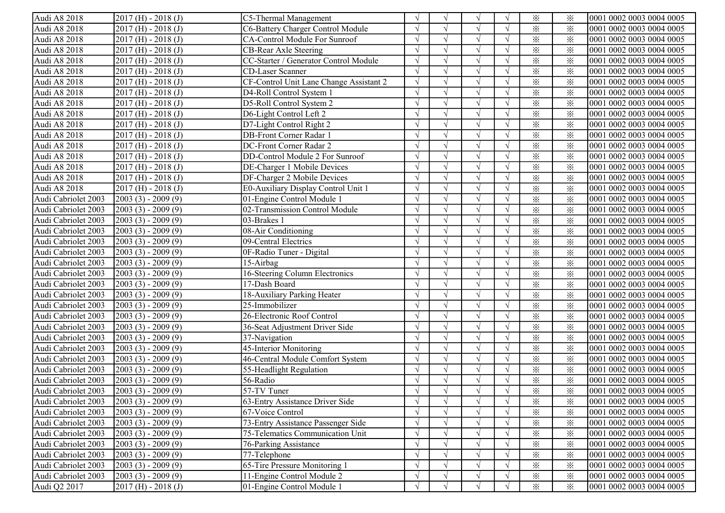| Audi A8 2018        | $2017$ (H) - $2018$ (J) | C5-Thermal Management                   |               | $\sqrt{ }$   | $\mathcal{N}$ |            | $\times$ | $\times$ | 0001 0002 0003 0004 0005  |
|---------------------|-------------------------|-----------------------------------------|---------------|--------------|---------------|------------|----------|----------|---------------------------|
| Audi A8 2018        | $2017$ (H) - $2018$ (J) | C6-Battery Charger Control Module       |               |              |               |            | $\times$ | $\times$ | 0001 0002 0003 0004 0005  |
| Audi A8 2018        | $2017$ (H) - $2018$ (J) | CA-Control Module For Sunroof           |               |              |               |            | $\times$ | $\times$ | 0001 0002 0003 0004 0005  |
| Audi A8 2018        | $2017$ (H) - 2018 (J)   | CB-Rear Axle Steering                   |               |              |               |            | $\times$ | $\times$ | 0001 0002 0003 0004 0005  |
| Audi A8 2018        | $2017$ (H) - 2018 (J)   | CC-Starter / Generator Control Module   |               |              |               |            | $\times$ | $\times$ | 0001 0002 0003 0004 0005  |
| Audi A8 2018        | $2017$ (H) - $2018$ (J) | CD-Laser Scanner                        |               |              | $\mathcal{N}$ |            | $\times$ | $\times$ | 0001 0002 0003 0004 0005  |
| Audi A8 2018        | $2017$ (H) - $2018$ (J) | CF-Control Unit Lane Change Assistant 2 |               |              |               |            | $\times$ | $\times$ | 0001 0002 0003 0004 0005  |
| Audi A8 2018        | $2017$ (H) - 2018 (J)   | D4-Roll Control System 1                |               | $\sqrt{ }$   | $\sqrt{ }$    |            | $\times$ | $\times$ | 0001 0002 0003 0004 0005  |
| Audi A8 2018        | $2017$ (H) - 2018 (J)   | D5-Roll Control System 2                |               | $\sqrt{ }$   | $\sqrt{ }$    |            | $\times$ | $\times$ | 0001 0002 0003 0004 0005  |
| Audi A8 2018        | $2017$ (H) - 2018 (J)   | D6-Light Control Left 2                 |               | $\sqrt{ }$   | $\sqrt{ }$    |            | $\times$ | $\times$ | 0001 0002 0003 0004 0005  |
| Audi A8 2018        | $2017$ (H) - $2018$ (J) | D7-Light Control Right 2                |               |              |               |            | $\times$ | $\times$ | 0001 0002 0003 0004 0005  |
| Audi A8 2018        | $2017$ (H) - 2018 (J)   | <b>DB-Front Corner Radar 1</b>          |               | $\sqrt{ }$   |               |            | $\times$ | $\times$ | 0001 0002 0003 0004 0005  |
| Audi A8 2018        | $2017$ (H) - $2018$ (J) | DC-Front Corner Radar 2                 |               | $\sqrt{ }$   |               |            | $\times$ | $\times$ | 0001 0002 0003 0004 0005  |
| Audi A8 2018        | $2017$ (H) - $2018$ (J) | DD-Control Module 2 For Sunroof         | $\gamma$      | $\sqrt{ }$   |               |            | $\times$ | ⋇        | 0001 0002 0003 0004 0005  |
| Audi A8 2018        | $2017$ (H) - $2018$ (J) | DE-Charger 1 Mobile Devices             |               | $\sqrt{ }$   |               |            | $\times$ | $\times$ | 0001 0002 0003 0004 0005  |
| Audi A8 2018        | $2017$ (H) - $2018$ (J) | DF-Charger 2 Mobile Devices             |               | $\sqrt{ }$   |               |            | $\times$ | $\times$ | 0001 0002 0003 0004 0005  |
| Audi A8 2018        | $2017$ (H) - $2018$ (J) | E0-Auxiliary Display Control Unit 1     |               | $\sqrt{ }$   |               |            | $\times$ | $\times$ | 0001 0002 0003 0004 0005  |
| Audi Cabriolet 2003 | $2003(3) - 2009(9)$     | 01-Engine Control Module 1              |               | $\sqrt{ }$   | $\sqrt{ }$    | $\Delta$   | $\times$ | $\times$ | 0001 0002 0003 0004 0005  |
| Audi Cabriolet 2003 | $[2003 (3) - 2009 (9)]$ | 02-Transmission Control Module          |               | $\sqrt{ }$   | $\sqrt{ }$    |            | $\times$ | $\times$ | 0001 0002 0003 0004 0005  |
| Audi Cabriolet 2003 | $[2003 (3) - 2009 (9)]$ | 03-Brakes 1                             |               | $\sqrt{ }$   | $\sqrt{ }$    |            | $\times$ | $\times$ | 0001 0002 0003 0004 0005  |
| Audi Cabriolet 2003 | $2003(3) - 2009(9)$     | 08-Air Conditioning                     |               | $\sqrt{ }$   |               |            | $\times$ | $\times$ | 0001 0002 0003 0004 0005  |
| Audi Cabriolet 2003 | $2003(3) - 2009(9)$     | 09-Central Electrics                    |               |              |               |            | $\times$ | $\times$ | 0001 0002 0003 0004 0005  |
| Audi Cabriolet 2003 | $2003(3) - 2009(9)$     | 0F-Radio Tuner - Digital                |               |              |               |            | $\times$ | $\times$ | 0001 0002 0003 0004 0005  |
| Audi Cabriolet 2003 | $[2003 (3) - 2009 (9)]$ | 15-Airbag                               |               |              |               |            | $\times$ | $\times$ | 0001 0002 0003 0004 0005  |
| Audi Cabriolet 2003 | $[2003 (3) - 2009 (9)]$ | 16-Steering Column Electronics          |               | $\sqrt{ }$   | $\sqrt{ }$    |            | $\times$ | $\times$ | 0001 0002 0003 0004 0005  |
| Audi Cabriolet 2003 | $[2003 (3) - 2009 (9)]$ | 17-Dash Board                           |               | $\sqrt{ }$   | $\sqrt{ }$    |            | $\times$ | $\times$ | 0001 0002 0003 0004 0005  |
| Audi Cabriolet 2003 | $[2003 (3) - 2009 (9)]$ | 18-Auxiliary Parking Heater             |               | $\lambda$    | $\sqrt{ }$    |            | $\times$ | $\times$ | 0001 0002 0003 0004 0005  |
| Audi Cabriolet 2003 | $[2003 (3) - 2009 (9)]$ | 25-Immobilizer                          |               |              |               |            | $\times$ | $\times$ | 0001 0002 0003 0004 0005  |
| Audi Cabriolet 2003 | $[2003 (3) - 2009 (9)]$ | 26-Electronic Roof Control              |               | $\sqrt{ }$   |               |            | $\times$ | $\times$ | 0001 0002 0003 0004 0005  |
| Audi Cabriolet 2003 | $[2003 (3) - 2009 (9)]$ | 36-Seat Adjustment Driver Side          |               | $\sqrt{ }$   |               | $\sqrt{ }$ | $\times$ | $\times$ | 0001 0002 0003 0004 0005  |
| Audi Cabriolet 2003 | $[2003 (3) - 2009 (9)]$ | 37-Navigation                           | $\sqrt{ }$    | $\sqrt{ }$   |               | $\sqrt{ }$ | $\times$ | $\times$ | 0001 0002 0003 0004 0005  |
| Audi Cabriolet 2003 | $[2003 (3) - 2009 (9)]$ | 45-Interior Monitoring                  |               | $\sqrt{ }$   |               | $\sqrt{ }$ | $\times$ | $\times$ | 0001 0002 0003 0004 0005  |
| Audi Cabriolet 2003 | $[2003 (3) - 2009 (9)]$ | 46-Central Module Comfort System        | $\mathcal{L}$ | $\sqrt{ }$   | $\sqrt{ }$    | $\sqrt{ }$ | $\times$ | $\times$ | 0001 0002 0003 0004 0005  |
| Audi Cabriolet 2003 | $2003(3) - 2009(9)$     | 55-Headlight Regulation                 |               | $\sqrt{ }$   | $\sqrt{ }$    | $\sqrt{ }$ | $\times$ | $\times$ | 0001 0002 0003 0004 0005  |
| Audi Cabriolet 2003 | $2003(3) - 2009(9)$     | 56-Radio                                |               | $\sqrt{ }$   |               |            | $\times$ | $\times$ | 0001 0002 0003 0004 0005  |
| Audi Cabriolet 2003 | $[2003 (3) - 2009 (9)]$ | 57-TV Tuner                             |               |              |               |            | $\times$ | $\times$ | 0001 0002 0003 0004 0005  |
| Audi Cabriolet 2003 | $[2003 (3) - 2009 (9)]$ | [63-Entry Assistance Driver Side        | V             | $\sqrt{ }$   | $\sqrt{ }$    | V          | ⋇        | ፠        | 10001 0002 0003 0004 0005 |
| Audi Cabriolet 2003 | $[2003 (3) - 2009 (9)]$ | 67-Voice Control                        |               | $\sqrt{ }$   |               |            | $\times$ | $\times$ | 0001 0002 0003 0004 0005  |
| Audi Cabriolet 2003 | $[2003 (3) - 2009 (9)]$ | 73-Entry Assistance Passenger Side      |               | $\sqrt{ }$   |               |            | $\times$ | $\times$ | 0001 0002 0003 0004 0005  |
| Audi Cabriolet 2003 | $[2003 (3) - 2009 (9)]$ | 75-Telematics Communication Unit        |               |              |               |            | $\times$ | $\times$ | 0001 0002 0003 0004 0005  |
| Audi Cabriolet 2003 | $[2003 (3) - 2009 (9)]$ | 76-Parking Assistance                   |               | $\sqrt{ }$   |               |            | $\times$ | $\times$ | 0001 0002 0003 0004 0005  |
| Audi Cabriolet 2003 | $2003(3) - 2009(9)$     | 77-Telephone                            |               | $\sqrt{ }$   |               |            | $\times$ | $\times$ | 0001 0002 0003 0004 0005  |
| Audi Cabriolet 2003 | $[2003 (3) - 2009 (9)]$ | 65-Tire Pressure Monitoring 1           |               | $\sqrt{ }$   |               |            | $\times$ | $\times$ | 0001 0002 0003 0004 0005  |
| Audi Cabriolet 2003 | $[2003 (3) - 2009 (9)]$ | 11-Engine Control Module 2              |               | $\mathcal N$ |               |            | $\times$ | $\times$ | 0001 0002 0003 0004 0005  |
| Audi Q2 2017        | $2017$ (H) - 2018 (J)   | 01-Engine Control Module 1              | $\sqrt{ }$    | $\sqrt{ }$   | $\mathcal{N}$ |            | $\times$ | $\times$ | 0001 0002 0003 0004 0005  |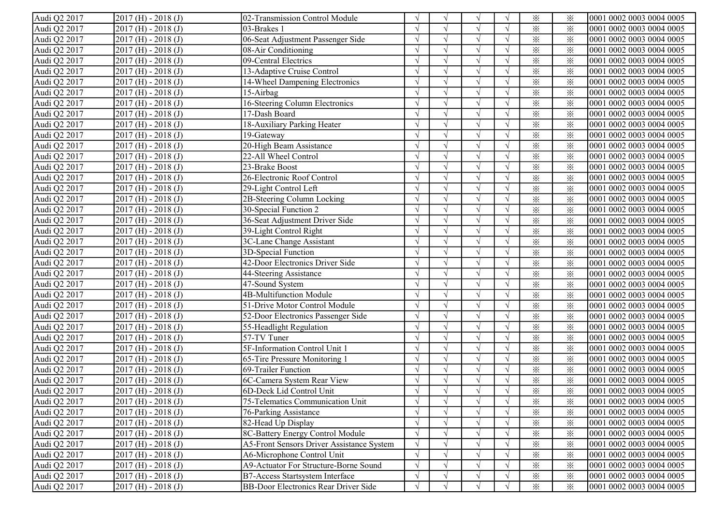| Audi Q2 2017 | $2017$ (H) - 2018 (J)   | 02-Transmission Control Module            |               | $\sqrt{ }$    | N             |            | $\times$                | ⋇        | 0001 0002 0003 0004 0005 |
|--------------|-------------------------|-------------------------------------------|---------------|---------------|---------------|------------|-------------------------|----------|--------------------------|
| Audi Q2 2017 | $2017$ (H) - $2018$ (J) | 03-Brakes 1                               |               |               |               |            | $\times$                | $\times$ | 0001 0002 0003 0004 0005 |
| Audi Q2 2017 | $2017$ (H) - $2018$ (J) | 06-Seat Adjustment Passenger Side         |               |               |               |            | $\times$                | $\times$ | 0001 0002 0003 0004 0005 |
| Audi Q2 2017 | $2017$ (H) - 2018 (J)   | 08-Air Conditioning                       |               |               |               |            | $\times$                | $\times$ | 0001 0002 0003 0004 0005 |
| Audi Q2 2017 | $2017$ (H) - $2018$ (J) | 09-Central Electrics                      |               |               | $\mathcal{N}$ |            | $\times$                | $\times$ | 0001 0002 0003 0004 0005 |
| Audi Q2 2017 | $2017$ (H) - 2018 (J)   | 13-Adaptive Cruise Control                |               |               |               |            | $\times$                | $\times$ | 0001 0002 0003 0004 0005 |
| Audi Q2 2017 | $2017$ (H) - 2018 (J)   | 14-Wheel Dampening Electronics            |               |               | $\sqrt{ }$    |            | $\times$                | $\times$ | 0001 0002 0003 0004 0005 |
| Audi Q2 2017 | $2017$ (H) - 2018 (J)   | 15-Airbag                                 |               | $\sqrt{2}$    | $\sqrt{ }$    |            | $\times$                | $\times$ | 0001 0002 0003 0004 0005 |
| Audi Q2 2017 | $2017$ (H) - 2018 (J)   | 16-Steering Column Electronics            |               | $\sqrt{ }$    | $\sqrt{ }$    |            | $\times$                | $\times$ | 0001 0002 0003 0004 0005 |
| Audi Q2 2017 | $2017$ (H) - 2018 (J)   | 17-Dash Board                             |               |               |               |            | $\times$                | $\times$ | 0001 0002 0003 0004 0005 |
| Audi Q2 2017 | $2017$ (H) - 2018 (J)   | 18-Auxiliary Parking Heater               |               | $\sqrt{ }$    |               |            | $\times$                | $\times$ | 0001 0002 0003 0004 0005 |
| Audi Q2 2017 | $2017$ (H) - $2018$ (J) | 19-Gateway                                |               | $\sqrt{ }$    |               |            | $\times$                | $\times$ | 0001 0002 0003 0004 0005 |
| Audi Q2 2017 | $2017$ (H) - $2018$ (J) | 20-High Beam Assistance                   |               | $\sqrt{ }$    |               |            | $\times$                | ⋇        | 0001 0002 0003 0004 0005 |
| Audi Q2 2017 | $2017$ (H) - 2018 (J)   | 22-All Wheel Control                      |               | $\sqrt{ }$    |               | $\sqrt{ }$ | $\times$                | $\times$ | 0001 0002 0003 0004 0005 |
| Audi Q2 2017 | $2017$ (H) - $2018$ (J) | 23-Brake Boost                            |               | $\sqrt{ }$    |               |            | $\times$                | $\times$ | 0001 0002 0003 0004 0005 |
| Audi Q2 2017 | $2017$ (H) - 2018 (J)   | 26-Electronic Roof Control                |               | $\sqrt{ }$    |               |            | $\times$                | $\times$ | 0001 0002 0003 0004 0005 |
| Audi Q2 2017 | $2017$ (H) - $2018$ (J) | 29-Light Control Left                     | $\Delta$      | $\sqrt{ }$    | $\sqrt{ }$    | $\sqrt{ }$ | $\times$                | $\times$ | 0001 0002 0003 0004 0005 |
| Audi Q2 2017 | $2017$ (H) - $2018$ (J) | 2B-Steering Column Locking                |               | $\sqrt{2}$    |               |            | $\times$                | $\times$ | 0001 0002 0003 0004 0005 |
| Audi Q2 2017 | $2017$ (H) - $2018$ (J) | 30-Special Function 2                     |               |               |               |            | $\times$                | $\times$ | 0001 0002 0003 0004 0005 |
| Audi Q2 2017 | $2017$ (H) - $2018$ (J) | 36-Seat Adjustment Driver Side            |               | $\sqrt{ }$    |               |            | $\times$                | $\times$ | 0001 0002 0003 0004 0005 |
| Audi Q2 2017 | $2017$ (H) - $2018$ (J) | 39-Light Control Right                    |               |               |               |            | $\times$                | $\times$ | 0001 0002 0003 0004 0005 |
| Audi Q2 2017 | $2017$ (H) - $2018$ (J) | 3C-Lane Change Assistant                  |               | $\sqrt{ }$    | $\mathcal{N}$ |            | $\times$                | $\times$ | 0001 0002 0003 0004 0005 |
| Audi Q2 2017 | $2017$ (H) - 2018 (J)   | 3D-Special Function                       |               | $\mathcal{L}$ |               |            | $\times$                | $\times$ | 0001 0002 0003 0004 0005 |
| Audi Q2 2017 | $2017$ (H) - 2018 (J)   | 42-Door Electronics Driver Side           |               | $\sqrt{ }$    | $\sqrt{ }$    |            | $\times$                | $\times$ | 0001 0002 0003 0004 0005 |
| Audi Q2 2017 | $2017$ (H) - 2018 (J)   | 44-Steering Assistance                    |               | $\sqrt{ }$    | $\sqrt{ }$    |            | $\times$                | $\times$ | 0001 0002 0003 0004 0005 |
| Audi Q2 2017 | $2017$ (H) - $2018$ (J) | 47-Sound System                           |               |               |               |            | $\times$                | $\times$ | 0001 0002 0003 0004 0005 |
| Audi Q2 2017 | $2017$ (H) - 2018 (J)   | 4B-Multifunction Module                   |               |               |               |            | $\times$                | $\times$ | 0001 0002 0003 0004 0005 |
| Audi Q2 2017 | $2017$ (H) - 2018 (J)   | 51-Drive Motor Control Module             |               | $\sqrt{ }$    |               |            | $\overline{\mathbf{x}}$ | $\times$ | 0001 0002 0003 0004 0005 |
| Audi Q2 2017 | $2017$ (H) - $2018$ (J) | 52-Door Electronics Passenger Side        | $\sqrt{ }$    | $\sqrt{ }$    |               | $\sqrt{ }$ | $\times$                | $\times$ | 0001 0002 0003 0004 0005 |
| Audi Q2 2017 | $2017$ (H) - 2018 (J)   | 55-Headlight Regulation                   | $\mathcal{L}$ | $\sqrt{ }$    |               | $\sqrt{ }$ | $\times$                | $\times$ | 0001 0002 0003 0004 0005 |
| Audi Q2 2017 | $2017$ (H) - 2018 (J)   | 57-TV Tuner                               |               | $\sqrt{ }$    |               |            | $\times$                | $\times$ | 0001 0002 0003 0004 0005 |
| Audi Q2 2017 | $2017$ (H) - 2018 (J)   | 5F-Information Control Unit 1             |               | $\sqrt{ }$    |               |            | $\times$                | $\times$ | 0001 0002 0003 0004 0005 |
| Audi Q2 2017 | $2017$ (H) - $2018$ (J) | 65-Tire Pressure Monitoring 1             |               | $\sqrt{ }$    | $\sqrt{ }$    |            | $\times$                | $\times$ | 0001 0002 0003 0004 0005 |
| Audi Q2 2017 | $2017$ (H) - $2018$ (J) | 69-Trailer Function                       |               | $\sqrt{ }$    | $\sqrt{ }$    |            | $\times$                | $\times$ | 0001 0002 0003 0004 0005 |
| Audi Q2 2017 | $2017$ (H) - $2018$ (J) | 6C-Camera System Rear View                |               |               |               |            | $\times$                | $\times$ | 0001 0002 0003 0004 0005 |
| Audi Q2 2017 | $2017$ (H) - $2018$ (J) | 6D-Deck Lid Control Unit                  |               |               |               |            | $\times$                | $\times$ | 0001 0002 0003 0004 0005 |
| Audi Q2 2017 | $[2017(H) - 2018(J)]$   | 75-Telematics Communication Unit          | V             | V             | V             | V          | $\times$                | ፠        | 0001 0002 0003 0004 0005 |
| Audi Q2 2017 | $2017$ (H) - $2018$ (J) | 76-Parking Assistance                     |               | $\sqrt{ }$    |               |            | $\times$                | $\times$ | 0001 0002 0003 0004 0005 |
| Audi Q2 2017 | $2017$ (H) - $2018$ (J) | 82-Head Up Display                        |               |               |               |            | $\times$                | $\times$ | 0001 0002 0003 0004 0005 |
| Audi Q2 2017 | $2017$ (H) - 2018 (J)   | 8C-Battery Energy Control Module          |               |               |               |            | $\times$                | $\times$ | 0001 0002 0003 0004 0005 |
| Audi Q2 2017 | $2017$ (H) - 2018 (J)   | A5-Front Sensors Driver Assistance System |               | $\sqrt{ }$    |               |            | $\times$                | $\times$ | 0001 0002 0003 0004 0005 |
| Audi Q2 2017 | $2017$ (H) - 2018 (J)   | A6-Microphone Control Unit                |               | $\sqrt{ }$    | $\sqrt{ }$    |            | $\times$                | $\times$ | 0001 0002 0003 0004 0005 |
| Audi Q2 2017 | $2017$ (H) - 2018 (J)   | A9-Actuator For Structure-Borne Sound     |               |               |               |            | $\times$                | $\times$ | 0001 0002 0003 0004 0005 |
| Audi Q2 2017 | $2017$ (H) - 2018 (J)   | B7-Access Startsystem Interface           | $\gamma$      | $\sqrt{ }$    |               |            | $\times$                | $\times$ | 0001 0002 0003 0004 0005 |
| Audi Q2 2017 | $2017$ (H) - 2018 (J)   | BB-Door Electronics Rear Driver Side      | $\sqrt{ }$    | $\sqrt{ }$    |               |            | $\times$                | $\times$ | 0001 0002 0003 0004 0005 |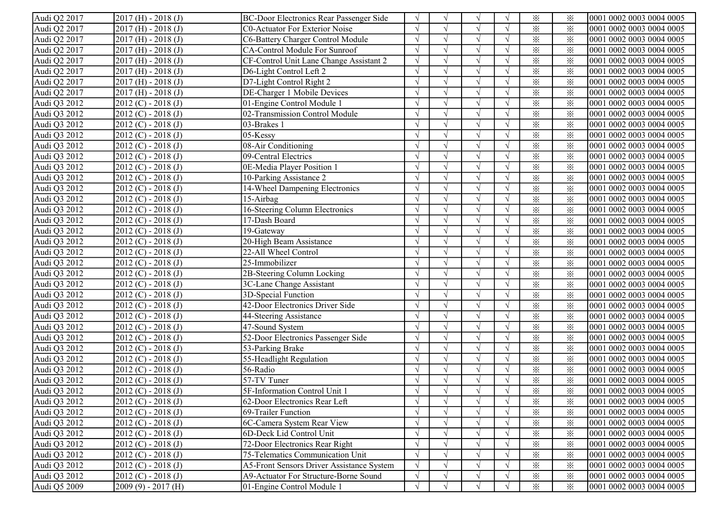| Audi Q2 2017 | $2017$ (H) - 2018 (J)   | BC-Door Electronics Rear Passenger Side   | $\sqrt{ }$ | $\sqrt{ }$    | N             |            | $\times$                | ⋇        | 0001 0002 0003 0004 0005 |
|--------------|-------------------------|-------------------------------------------|------------|---------------|---------------|------------|-------------------------|----------|--------------------------|
| Audi Q2 2017 | $2017$ (H) - $2018$ (J) | <b>C0-Actuator For Exterior Noise</b>     |            |               |               |            | $\times$                | $\times$ | 0001 0002 0003 0004 0005 |
| Audi Q2 2017 | $2017$ (H) - 2018 (J)   | C6-Battery Charger Control Module         |            |               |               |            | $\times$                | $\times$ | 0001 0002 0003 0004 0005 |
| Audi Q2 2017 | $2017$ (H) - 2018 (J)   | CA-Control Module For Sunroof             |            |               |               |            | $\times$                | $\times$ | 0001 0002 0003 0004 0005 |
| Audi Q2 2017 | $2017$ (H) - $2018$ (J) | CF-Control Unit Lane Change Assistant 2   |            |               | N             |            | $\times$                | $\times$ | 0001 0002 0003 0004 0005 |
| Audi Q2 2017 | $2017$ (H) - 2018 (J)   | D6-Light Control Left 2                   |            |               |               |            | $\times$                | $\times$ | 0001 0002 0003 0004 0005 |
| Audi Q2 2017 | $2017$ (H) - 2018 (J)   | D7-Light Control Right 2                  |            | $\mathcal{L}$ | $\sqrt{ }$    |            | $\times$                | $\times$ | 0001 0002 0003 0004 0005 |
| Audi Q2 2017 | $2017$ (H) - 2018 (J)   | DE-Charger 1 Mobile Devices               |            | $\sqrt{ }$    | $\sqrt{ }$    |            | $\times$                | $\times$ | 0001 0002 0003 0004 0005 |
| Audi Q3 2012 | $2012 (C) - 2018 (J)$   | 01-Engine Control Module 1                |            | $\sqrt{ }$    | $\sqrt{ }$    |            | $\times$                | $\times$ | 0001 0002 0003 0004 0005 |
| Audi Q3 2012 | $2012 (C) - 2018 (J)$   | 02-Transmission Control Module            |            |               |               |            | $\times$                | $\times$ | 0001 0002 0003 0004 0005 |
| Audi Q3 2012 | $2012 (C) - 2018 (J)$   | 03-Brakes 1                               |            | $\sqrt{ }$    |               |            | $\times$                | $\times$ | 0001 0002 0003 0004 0005 |
| Audi Q3 2012 | $2012 (C) - 2018 (J)$   | 05-Kessy                                  |            | $\sqrt{ }$    |               |            | $\times$                | $\times$ | 0001 0002 0003 0004 0005 |
| Audi Q3 2012 | $2012 (C) - 2018 (J)$   | 08-Air Conditioning                       |            | $\sqrt{ }$    |               |            | $\times$                | ⋇        | 0001 0002 0003 0004 0005 |
| Audi Q3 2012 | $2012 (C) - 2018 (J)$   | 09-Central Electrics                      |            | $\sqrt{ }$    |               |            | $\times$                | $\times$ | 0001 0002 0003 0004 0005 |
| Audi Q3 2012 | $2012 (C) - 2018 (J)$   | 0E-Media Player Position 1                |            | $\sqrt{ }$    |               |            | $\times$                | $\times$ | 0001 0002 0003 0004 0005 |
| Audi Q3 2012 | $2012 (C) - 2018 (J)$   | 10-Parking Assistance 2                   |            | $\sqrt{ }$    |               |            | $\times$                | $\times$ | 0001 0002 0003 0004 0005 |
| Audi Q3 2012 | $2012 (C) - 2018 (J)$   | 14-Wheel Dampening Electronics            |            | $\sqrt{ }$    | $\sqrt{ }$    | $\Delta$   | $\times$                | $\times$ | 0001 0002 0003 0004 0005 |
| Audi Q3 2012 | $2012 (C) - 2018 (J)$   | 15-Airbag                                 |            | $\sqrt{ }$    |               |            | $\times$                | $\times$ | 0001 0002 0003 0004 0005 |
| Audi Q3 2012 | $2012 (C) - 2018 (J)$   | 16-Steering Column Electronics            |            |               |               |            | $\times$                | $\times$ | 0001 0002 0003 0004 0005 |
| Audi Q3 2012 | $2012 (C) - 2018 (J)$   | 17-Dash Board                             |            | $\sqrt{ }$    |               |            | $\times$                | $\times$ | 0001 0002 0003 0004 0005 |
| Audi Q3 2012 | $2012 (C) - 2018 (J)$   | 19-Gateway                                |            |               |               |            | $\times$                | $\times$ | 0001 0002 0003 0004 0005 |
| Audi Q3 2012 | $2012 (C) - 2018 (J)$   | 20-High Beam Assistance                   |            | $\sqrt{ }$    | $\mathcal{N}$ |            | $\times$                | $\times$ | 0001 0002 0003 0004 0005 |
| Audi Q3 2012 | $2012 (C) - 2018 (J)$   | 22-All Wheel Control                      |            |               |               |            | $\times$                | $\times$ | 0001 0002 0003 0004 0005 |
| Audi Q3 2012 | $2012 (C) - 2018 (J)$   | 25-Immobilizer                            |            | $\sqrt{ }$    | $\sqrt{ }$    |            | $\times$                | $\times$ | 0001 0002 0003 0004 0005 |
| Audi Q3 2012 | $2012 (C) - 2018 (J)$   | 2B-Steering Column Locking                |            | $\sqrt{ }$    | $\sqrt{ }$    |            | $\times$                | $\times$ | 0001 0002 0003 0004 0005 |
| Audi Q3 2012 | $2012 (C) - 2018 (J)$   | 3C-Lane Change Assistant                  |            | $\lambda$     |               |            | $\times$                | $\times$ | 0001 0002 0003 0004 0005 |
| Audi Q3 2012 | $2012 (C) - 2018 (J)$   | 3D-Special Function                       |            |               |               |            | $\times$                | $\times$ | 0001 0002 0003 0004 0005 |
| Audi Q3 2012 | $2012 (C) - 2018 (J)$   | 42-Door Electronics Driver Side           |            | $\sqrt{ }$    |               |            | $\overline{\mathbf{x}}$ | $\times$ | 0001 0002 0003 0004 0005 |
| Audi Q3 2012 | $2012 (C) - 2018 (J)$   | 44-Steering Assistance                    | $\sqrt{ }$ | $\sqrt{ }$    |               | $\sqrt{ }$ | $\times$                | $\times$ | 0001 0002 0003 0004 0005 |
| Audi Q3 2012 | $2012 (C) - 2018 (J)$   | 47-Sound System                           | $\Delta$   | $\sqrt{ }$    |               | $\sqrt{ }$ | $\times$                | $\times$ | 0001 0002 0003 0004 0005 |
| Audi Q3 2012 | $2012 (C) - 2018 (J)$   | 52-Door Electronics Passenger Side        |            | $\sqrt{ }$    |               |            | $\times$                | $\times$ | 0001 0002 0003 0004 0005 |
| Audi Q3 2012 | $2012 (C) - 2018 (J)$   | 53-Parking Brake                          |            | $\sqrt{ }$    |               |            | $\times$                | $\times$ | 0001 0002 0003 0004 0005 |
| Audi Q3 2012 | $2012 (C) - 2018 (J)$   | 55-Headlight Regulation                   |            | $\sqrt{ }$    | $\sqrt{ }$    | $\Delta$   | $\times$                | $\times$ | 0001 0002 0003 0004 0005 |
| Audi Q3 2012 | $2012 (C) - 2018 (J)$   | 56-Radio                                  |            | $\sqrt{ }$    | $\sqrt{ }$    |            | $\times$                | $\times$ | 0001 0002 0003 0004 0005 |
| Audi Q3 2012 | $2012 (C) - 2018 (J)$   | 57-TV Tuner                               |            |               |               |            | $\times$                | $\times$ | 0001 0002 0003 0004 0005 |
| Audi Q3 2012 | $2012 (C) - 2018 (J)$   | 5F-Information Control Unit 1             |            |               |               |            | $\times$                | $\times$ | 0001 0002 0003 0004 0005 |
| Audi Q3 2012 | $[2012 (C) - 2018 (J)]$ | [62-Door Electronics Rear Left]           | V          | V             | V             | $\sqrt{ }$ | $\times$                | ፠        | 0001 0002 0003 0004 0005 |
| Audi Q3 2012 | $2012 (C) - 2018 (J)$   | 69-Trailer Function                       |            | $\sqrt{ }$    |               |            | $\times$                | ⋇        | 0001 0002 0003 0004 0005 |
| Audi Q3 2012 | $2012 (C) - 2018 (J)$   | 6C-Camera System Rear View                |            |               |               |            | $\times$                | $\times$ | 0001 0002 0003 0004 0005 |
| Audi Q3 2012 | $2012 (C) - 2018 (J)$   | 6D-Deck Lid Control Unit                  |            |               |               |            | $\times$                | $\times$ | 0001 0002 0003 0004 0005 |
| Audi Q3 2012 | $2012 (C) - 2018 (J)$   | 72-Door Electronics Rear Right            |            |               |               |            | $\times$                | $\times$ | 0001 0002 0003 0004 0005 |
| Audi Q3 2012 | $2012 (C) - 2018 (J)$   | 75-Telematics Communication Unit          |            | $\sqrt{ }$    | $\sqrt{ }$    |            | $\times$                | $\times$ | 0001 0002 0003 0004 0005 |
| Audi Q3 2012 | $2012 (C) - 2018 (J)$   | A5-Front Sensors Driver Assistance System |            |               |               |            | $\times$                | $\times$ | 0001 0002 0003 0004 0005 |
| Audi Q3 2012 | $2012 (C) - 2018 (J)$   | A9-Actuator For Structure-Borne Sound     |            | $\sqrt{ }$    |               |            | $\times$                | $\times$ | 0001 0002 0003 0004 0005 |
| Audi Q5 2009 | $2009(9) - 2017(H)$     | 01-Engine Control Module 1                | $\sqrt{ }$ | $\sqrt{ }$    |               |            | $\times$                | $\times$ | 0001 0002 0003 0004 0005 |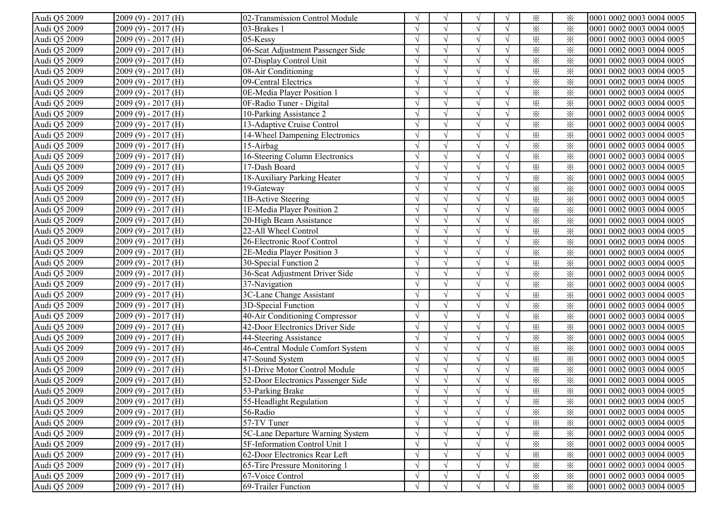| Audi Q5 2009 | $2009(9) - 2017(H)$ | 02-Transmission Control Module     |               |               |               |            | $\times$                | ⋇        | 0001 0002 0003 0004 0005 |
|--------------|---------------------|------------------------------------|---------------|---------------|---------------|------------|-------------------------|----------|--------------------------|
| Audi Q5 2009 | $2009(9) - 2017(H)$ | 03-Brakes 1                        |               | $\sqrt{ }$    |               |            | $\times$                | $\times$ | 0001 0002 0003 0004 0005 |
| Audi Q5 2009 | $2009(9) - 2017(H)$ | 05-Kessy                           |               |               |               |            | $\times$                | $\times$ | 0001 0002 0003 0004 0005 |
| Audi Q5 2009 | $2009(9) - 2017(H)$ | 06-Seat Adjustment Passenger Side  |               | $\mathcal{L}$ | $\mathcal{L}$ |            | $\times$                | $\times$ | 0001 0002 0003 0004 0005 |
| Audi Q5 2009 | $2009(9) - 2017(H)$ | 07-Display Control Unit            |               |               |               |            | $\times$                | $\times$ | 0001 0002 0003 0004 0005 |
| Audi Q5 2009 | $2009(9) - 2017(H)$ | 08-Air Conditioning                |               | $\sqrt{ }$    | $\sqrt{ }$    |            | $\times$                | $\times$ | 0001 0002 0003 0004 0005 |
| Audi Q5 2009 | $2009(9) - 2017(H)$ | 09-Central Electrics               |               | $\sqrt{ }$    | $\sqrt{ }$    |            | $\times$                | $\times$ | 0001 0002 0003 0004 0005 |
| Audi Q5 2009 | $2009(9) - 2017(H)$ | 0E-Media Player Position 1         |               | $\sqrt{ }$    | $\sqrt{ }$    |            | $\times$                | $\times$ | 0001 0002 0003 0004 0005 |
| Audi Q5 2009 | $2009(9) - 2017(H)$ | 0F-Radio Tuner - Digital           |               |               |               |            | $\times$                | $\times$ | 0001 0002 0003 0004 0005 |
| Audi Q5 2009 | $2009(9) - 2017(H)$ | 10-Parking Assistance 2            |               | $\sqrt{ }$    |               |            | $\times$                | $\times$ | 0001 0002 0003 0004 0005 |
| Audi Q5 2009 | $2009(9) - 2017(H)$ | 13-Adaptive Cruise Control         | $\gamma$      |               |               | $\sqrt{ }$ | $\times$                | $\times$ | 0001 0002 0003 0004 0005 |
| Audi Q5 2009 | $2009(9) - 2017(H)$ | 14-Wheel Dampening Electronics     | $\sqrt{ }$    | $\sqrt{ }$    |               |            | $\times$                | $\times$ | 0001 0002 0003 0004 0005 |
| Audi Q5 2009 | $2009(9) - 2017(H)$ | 15-Airbag                          |               | $\sqrt{ }$    |               |            | $\times$                | $\times$ | 0001 0002 0003 0004 0005 |
| Audi Q5 2009 | $2009(9) - 2017(H)$ | 16-Steering Column Electronics     | $\mathcal{L}$ | $\sqrt{ }$    |               |            | $\times$                | $\times$ | 0001 0002 0003 0004 0005 |
| Audi Q5 2009 | $2009(9) - 2017(H)$ | 17-Dash Board                      |               | $\sqrt{ }$    |               |            | $\overline{\mathbf{x}}$ | $\times$ | 0001 0002 0003 0004 0005 |
| Audi Q5 2009 | $2009(9) - 2017(H)$ | 18-Auxiliary Parking Heater        |               | $\sqrt{ }$    | $\sqrt{ }$    |            | $\times$                | $\times$ | 0001 0002 0003 0004 0005 |
| Audi Q5 2009 | $2009(9) - 2017(H)$ | 19-Gateway                         |               | $\sqrt{ }$    | $\sqrt{ }$    |            | $\times$                | $\times$ | 0001 0002 0003 0004 0005 |
| Audi Q5 2009 | $2009(9) - 2017(H)$ | 1B-Active Steering                 |               | $\sqrt{ }$    | $\sqrt{ }$    |            | $\times$                | $\times$ | 0001 0002 0003 0004 0005 |
| Audi Q5 2009 | $2009(9) - 2017(H)$ | 1E-Media Player Position 2         |               | $\sqrt{ }$    | $\sqrt{ }$    |            | $\times$                | $\times$ | 0001 0002 0003 0004 0005 |
| Audi Q5 2009 | $2009(9) - 2017(H)$ | 20-High Beam Assistance            |               |               | $\mathbf{v}$  |            | $\times$                | $\times$ | 0001 0002 0003 0004 0005 |
| Audi Q5 2009 | $2009(9) - 2017(H)$ | 22-All Wheel Control               |               |               | $\mathcal{L}$ |            | $\times$                | $\times$ | 0001 0002 0003 0004 0005 |
| Audi Q5 2009 | $2009(9) - 2017(H)$ | 26-Electronic Roof Control         |               | $\sqrt{ }$    |               |            | $\times$                | $\times$ | 0001 0002 0003 0004 0005 |
| Audi Q5 2009 | $2009(9) - 2017(H)$ | 2E-Media Player Position 3         |               | $\sqrt{ }$    | $\sqrt{ }$    |            | $\times$                | $\times$ | 0001 0002 0003 0004 0005 |
| Audi Q5 2009 | $2009(9) - 2017(H)$ | 30-Special Function 2              |               | $\sqrt{ }$    | $\sqrt{ }$    |            | $\times$                | $\times$ | 0001 0002 0003 0004 0005 |
| Audi Q5 2009 | $2009(9) - 2017(H)$ | 36-Seat Adjustment Driver Side     |               | $\sqrt{ }$    | $\sqrt{}$     |            | $\times$                | $\times$ | 0001 0002 0003 0004 0005 |
| Audi Q5 2009 | $2009(9) - 2017(H)$ | 37-Navigation                      |               |               | $\lambda$     |            | $\times$                | $\times$ | 0001 0002 0003 0004 0005 |
| Audi Q5 2009 | $2009(9) - 2017(H)$ | 3C-Lane Change Assistant           |               | $\sqrt{ }$    |               |            | $\overline{\mathbf{x}}$ | $\times$ | 0001 0002 0003 0004 0005 |
| Audi Q5 2009 | $2009(9) - 2017(H)$ | 3D-Special Function                | $\sqrt{ }$    | $\sqrt{ }$    |               | $\sqrt{ }$ | $\times$                | $\times$ | 0001 0002 0003 0004 0005 |
| Audi Q5 2009 | $2009(9) - 2017(H)$ | 40-Air Conditioning Compressor     | $\sqrt{ }$    | $\sqrt{ }$    |               | $\sqrt{ }$ | $\times$                | $\times$ | 0001 0002 0003 0004 0005 |
| Audi Q5 2009 | $2009(9) - 2017(H)$ | 42-Door Electronics Driver Side    | $\sqrt{ }$    | $\sqrt{ }$    |               | $\sqrt{ }$ | $\times$                | $\times$ | 0001 0002 0003 0004 0005 |
| Audi Q5 2009 | $2009(9) - 2017(H)$ | 44-Steering Assistance             | $\sqrt{ }$    | $\sqrt{ }$    | $\sqrt{ }$    | $\sqrt{ }$ | $\times$                | $\times$ | 0001 0002 0003 0004 0005 |
| Audi Q5 2009 | $2009(9) - 2017(H)$ | 46-Central Module Comfort System   | $\sqrt{ }$    | $\sqrt{ }$    | $\sqrt{ }$    | $\sqrt{ }$ | $\times$                | $\times$ | 0001 0002 0003 0004 0005 |
| Audi Q5 2009 | $2009(9) - 2017(H)$ | 47-Sound System                    | $\sqrt{ }$    | $\sqrt{ }$    | $\sqrt{ }$    | $\sqrt{ }$ | $\times$                | $\times$ | 0001 0002 0003 0004 0005 |
| Audi Q5 2009 | $2009(9) - 2017(H)$ | 51-Drive Motor Control Module      |               |               |               |            | $\times$                | $\times$ | 0001 0002 0003 0004 0005 |
| Audi Q5 2009 | $2009(9) - 2017(H)$ | 52-Door Electronics Passenger Side |               |               |               |            | $\times$                | $\times$ | 0001 0002 0003 0004 0005 |
| Audi Q5 2009 | $2009(9) - 2017(H)$ | 53-Parking Brake                   |               |               |               |            | $\times$                | $\times$ | 0001 0002 0003 0004 0005 |
| Audi Q5 2009 | $2009(9) - 2017(H)$ | 55-Headlight Regulation            | $\sqrt{ }$    | $\sqrt{ }$    | V             | V          | $\times$                | ፠        | 0001 0002 0003 0004 0005 |
| Audi Q5 2009 | $2009(9) - 2017(H)$ | 56-Radio                           |               |               |               |            | $\times$                | $\times$ | 0001 0002 0003 0004 0005 |
| Audi Q5 2009 | $2009(9) - 2017(H)$ | 57-TV Tuner                        |               |               |               |            | $\times$                | $\times$ | 0001 0002 0003 0004 0005 |
| Audi Q5 2009 | $2009(9) - 2017(H)$ | 5C-Lane Departure Warning System   |               |               |               |            | $\times$                | $\times$ | 0001 0002 0003 0004 0005 |
| Audi Q5 2009 | $2009(9) - 2017(H)$ | 5F-Information Control Unit 1      |               |               |               |            | $\times$                | $\times$ | 0001 0002 0003 0004 0005 |
| Audi Q5 2009 | $2009(9) - 2017(H)$ | 62-Door Electronics Rear Left      |               |               |               |            | $\times$                | $\times$ | 0001 0002 0003 0004 0005 |
| Audi Q5 2009 | $2009(9) - 2017(H)$ | 65-Tire Pressure Monitoring 1      |               |               |               |            | $\times$                | $\times$ | 0001 0002 0003 0004 0005 |
| Audi Q5 2009 | $2009(9) - 2017(H)$ | 67-Voice Control                   | $\sqrt{ }$    |               |               |            | $\times$                | $\times$ | 0001 0002 0003 0004 0005 |
| Audi Q5 2009 | $2009(9) - 2017(H)$ | 69-Trailer Function                | $\sqrt{ }$    |               |               |            | $\times$                | $\times$ | 0001 0002 0003 0004 0005 |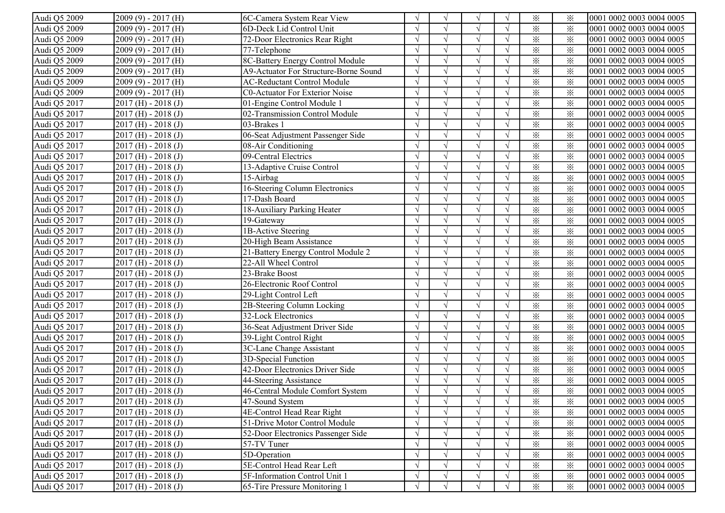| Audi Q5 2009 | $2009(9) - 2017(H)$     | 6C-Camera System Rear View            |            | $\sqrt{ }$ | V                 |            | $\times$                | ⋇        | 0001 0002 0003 0004 0005 |
|--------------|-------------------------|---------------------------------------|------------|------------|-------------------|------------|-------------------------|----------|--------------------------|
| Audi Q5 2009 | $2009(9) - 2017(H)$     | 6D-Deck Lid Control Unit              |            |            |                   |            | $\times$                | $\times$ | 0001 0002 0003 0004 0005 |
| Audi Q5 2009 | $2009(9) - 2017(H)$     | 72-Door Electronics Rear Right        |            |            |                   |            | $\times$                | $\times$ | 0001 0002 0003 0004 0005 |
| Audi Q5 2009 | $2009(9) - 2017(H)$     | 77-Telephone                          |            |            |                   |            | $\times$                | $\times$ | 0001 0002 0003 0004 0005 |
| Audi Q5 2009 | $2009(9) - 2017(H)$     | 8C-Battery Energy Control Module      |            |            | $\mathbf{\hat{}}$ |            | $\times$                | $\times$ | 0001 0002 0003 0004 0005 |
| Audi Q5 2009 | $2009(9) - 2017(H)$     | A9-Actuator For Structure-Borne Sound |            |            |                   |            | $\times$                | $\times$ | 0001 0002 0003 0004 0005 |
| Audi Q5 2009 | $2009(9) - 2017(H)$     | <b>AC-Reductant Control Module</b>    |            | $\sqrt{ }$ | $\sqrt{ }$        |            | $\times$                | $\times$ | 0001 0002 0003 0004 0005 |
| Audi Q5 2009 | $2009(9) - 2017(H)$     | C0-Actuator For Exterior Noise        |            | $\sqrt{ }$ | $\sqrt{ }$        |            | $\times$                | $\times$ | 0001 0002 0003 0004 0005 |
| Audi Q5 2017 | $2017$ (H) - $2018$ (J) | 01-Engine Control Module 1            |            | $\sqrt{ }$ | $\sqrt{ }$        |            | $\times$                | $\times$ | 0001 0002 0003 0004 0005 |
| Audi Q5 2017 | $2017$ (H) - $2018$ (J) | 02-Transmission Control Module        |            |            |                   |            | $\times$                | $\times$ | 0001 0002 0003 0004 0005 |
| Audi Q5 2017 | $2017$ (H) - $2018$ (J) | 03-Brakes 1                           |            | $\sqrt{ }$ |                   |            | $\times$                | $\times$ | 0001 0002 0003 0004 0005 |
| Audi Q5 2017 | $2017$ (H) - $2018$ (J) | 06-Seat Adjustment Passenger Side     |            | $\sqrt{ }$ |                   |            | $\times$                | $\times$ | 0001 0002 0003 0004 0005 |
| Audi Q5 2017 | $2017$ (H) - $2018$ (J) | 08-Air Conditioning                   | $\sqrt{ }$ | $\sqrt{ }$ |                   | $\sqrt{ }$ | $\times$                | $\times$ | 0001 0002 0003 0004 0005 |
| Audi Q5 2017 | $2017$ (H) - $2018$ (J) | 09-Central Electrics                  |            | $\sqrt{ }$ |                   | $\sqrt{ }$ | $\times$                | $\times$ | 0001 0002 0003 0004 0005 |
| Audi Q5 2017 | $2017$ (H) - $2018$ (J) | 13-Adaptive Cruise Control            |            | $\sqrt{ }$ |                   |            | $\times$                | $\times$ | 0001 0002 0003 0004 0005 |
| Audi Q5 2017 | $2017$ (H) - $2018$ (J) | 15-Airbag                             |            | $\sqrt{ }$ |                   |            | $\times$                | $\times$ | 0001 0002 0003 0004 0005 |
| Audi Q5 2017 | $2017$ (H) - $2018$ (J) | 16-Steering Column Electronics        | $\sqrt{ }$ | $\sqrt{ }$ | $\sqrt{ }$        | $\sqrt{ }$ | $\times$                | $\times$ | 0001 0002 0003 0004 0005 |
| Audi Q5 2017 | $2017$ (H) - $2018$ (J) | 17-Dash Board                         |            |            |                   |            | $\times$                | $\times$ | 0001 0002 0003 0004 0005 |
| Audi Q5 2017 | $2017$ (H) - $2018$ (J) | 18-Auxiliary Parking Heater           |            |            |                   |            | $\times$                | $\times$ | 0001 0002 0003 0004 0005 |
| Audi Q5 2017 | $2017$ (H) - $2018$ (J) | 19-Gateway                            |            | $\sqrt{ }$ |                   |            | $\times$                | $\times$ | 0001 0002 0003 0004 0005 |
| Audi Q5 2017 | $2017$ (H) - $2018$ (J) | 1B-Active Steering                    |            |            |                   |            | $\times$                | $\times$ | 0001 0002 0003 0004 0005 |
| Audi Q5 2017 | $2017$ (H) - $2018$ (J) | 20-High Beam Assistance               |            | $\sqrt{ }$ | $\mathcal{L}$     |            | $\times$                | $\times$ | 0001 0002 0003 0004 0005 |
| Audi Q5 2017 | $2017$ (H) - $2018$ (J) | 21-Battery Energy Control Module 2    |            | $\sqrt{ }$ |                   |            | $\times$                | $\times$ | 0001 0002 0003 0004 0005 |
| Audi Q5 2017 | $2017$ (H) - $2018$ (J) | 22-All Wheel Control                  |            | $\sqrt{ }$ | $\sqrt{ }$        |            | $\times$                | $\times$ | 0001 0002 0003 0004 0005 |
| Audi Q5 2017 | $2017$ (H) - $2018$ (J) | 23-Brake Boost                        |            | $\sqrt{ }$ | $\sqrt{ }$        |            | $\times$                | $\times$ | 0001 0002 0003 0004 0005 |
| Audi Q5 2017 | $2017$ (H) - $2018$ (J) | 26-Electronic Roof Control            |            |            | $\mathbf{v}$      |            | $\times$                | $\times$ | 0001 0002 0003 0004 0005 |
| Audi Q5 2017 | $2017$ (H) - $2018$ (J) | 29-Light Control Left                 |            |            |                   |            | $\times$                | $\times$ | 0001 0002 0003 0004 0005 |
| Audi Q5 2017 | $2017$ (H) - $2018$ (J) | 2B-Steering Column Locking            | $\sqrt{ }$ | $\sqrt{ }$ | $\sqrt{ }$        |            | $\overline{\mathbf{x}}$ | $\times$ | 0001 0002 0003 0004 0005 |
| Audi Q5 2017 | $2017$ (H) - $2018$ (J) | 32-Lock Electronics                   | $\sqrt{ }$ | $\sqrt{ }$ |                   | $\sqrt{ }$ | $\times$                | $\times$ | 0001 0002 0003 0004 0005 |
| Audi Q5 2017 | $2017$ (H) - $2018$ (J) | 36-Seat Adjustment Driver Side        | $\sqrt{ }$ | $\sqrt{ }$ | $\sqrt{ }$        | $\sqrt{ }$ | $\times$                | $\times$ | 0001 0002 0003 0004 0005 |
| Audi Q5 2017 | $2017$ (H) - $2018$ (J) | 39-Light Control Right                |            | $\sqrt{ }$ |                   | $\sqrt{ }$ | $\times$                | $\times$ | 0001 0002 0003 0004 0005 |
| Audi Q5 2017 | $2017$ (H) - $2018$ (J) | 3C-Lane Change Assistant              | $\sqrt{ }$ | $\sqrt{ }$ |                   |            | $\times$                | $\times$ | 0001 0002 0003 0004 0005 |
| Audi Q5 2017 | $2017$ (H) - $2018$ (J) | 3D-Special Function                   | $\sqrt{ }$ | $\sqrt{ }$ | $\sqrt{ }$        | $\sqrt{ }$ | $\times$                | $\times$ | 0001 0002 0003 0004 0005 |
| Audi Q5 2017 | $2017$ (H) - $2018$ (J) | 42-Door Electronics Driver Side       |            | $\sqrt{ }$ | $\sqrt{ }$        | $\sqrt{ }$ | $\times$                | $\times$ | 0001 0002 0003 0004 0005 |
| Audi Q5 2017 | $2017$ (H) - $2018$ (J) | 44-Steering Assistance                |            |            |                   |            | $\times$                | $\times$ | 0001 0002 0003 0004 0005 |
| Audi Q5 2017 | $2017$ (H) - $2018$ (J) | 46-Central Module Comfort System      |            |            |                   |            | $\times$                | $\times$ | 0001 0002 0003 0004 0005 |
| Audi Q5 2017 | $2017$ (H) - $2018$ (J) | 47-Sound System                       | V          | $\gamma$   | V                 | $\sqrt{}$  | $\times$                | ⋇        | 0001 0002 0003 0004 0005 |
| Audi Q5 2017 | $2017$ (H) - $2018$ (J) | 4E-Control Head Rear Right            | $\sqrt{ }$ | $\sqrt{ }$ | $\sqrt{ }$        |            | $\times$                | $\times$ | 0001 0002 0003 0004 0005 |
| Audi Q5 2017 | $2017$ (H) - $2018$ (J) | 51-Drive Motor Control Module         |            |            |                   |            | $\times$                | $\times$ | 0001 0002 0003 0004 0005 |
| Audi Q5 2017 | $2017$ (H) - $2018$ (J) | 52-Door Electronics Passenger Side    |            | $\sqrt{ }$ |                   |            | $\times$                | $\times$ | 0001 0002 0003 0004 0005 |
| Audi Q5 2017 | $2017$ (H) - $2018$ (J) | 57-TV Tuner                           |            | $\sqrt{ }$ |                   |            | $\times$                | $\times$ | 0001 0002 0003 0004 0005 |
| Audi Q5 2017 | $2017$ (H) - $2018$ (J) | 5D-Operation                          |            | $\sqrt{ }$ | $\sqrt{ }$        |            | $\times$                | $\times$ | 0001 0002 0003 0004 0005 |
| Audi Q5 2017 | $2017$ (H) - $2018$ (J) | 5E-Control Head Rear Left             |            |            |                   |            | $\times$                | $\times$ | 0001 0002 0003 0004 0005 |
| Audi Q5 2017 | $2017$ (H) - $2018$ (J) | 5F-Information Control Unit 1         |            |            |                   |            | $\times$                | $\times$ | 0001 0002 0003 0004 0005 |
| Audi Q5 2017 | $2017$ (H) - $2018$ (J) | 65-Tire Pressure Monitoring 1         | $\sqrt{ }$ | $\sqrt{ }$ | $\sqrt{ }$        | $\sqrt{ }$ | $\times$                | $\times$ | 0001 0002 0003 0004 0005 |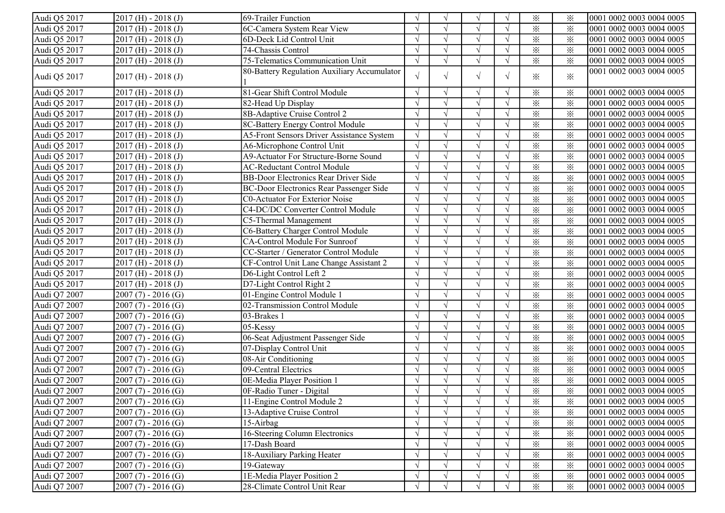| Audi Q5 2017 | $2017$ (H) - 2018 (J)   | 69-Trailer Function                            |            | $\mathcal{N}$ | $\sqrt{ }$ | $\sqrt{ }$               | $\times$                | ⋇               | 0001 0002 0003 0004 0005 |
|--------------|-------------------------|------------------------------------------------|------------|---------------|------------|--------------------------|-------------------------|-----------------|--------------------------|
| Audi Q5 2017 | $2017$ (H) - $2018$ (J) | 6C-Camera System Rear View                     |            |               |            |                          | $\times$                | $\times$        | 0001 0002 0003 0004 0005 |
| Audi Q5 2017 | $2017$ (H) - $2018$ (J) | 6D-Deck Lid Control Unit                       |            |               |            |                          | $\times$                | $\times$        | 0001 0002 0003 0004 0005 |
| Audi Q5 2017 | $2017$ (H) - $2018$ (J) | 74-Chassis Control                             |            | $\gamma$      | $\sqrt{ }$ | $\sqrt{ }$               | $\times$                | $\times$        | 0001 0002 0003 0004 0005 |
| Audi Q5 2017 | $2017$ (H) - $2018$ (J) | 75-Telematics Communication Unit               |            |               |            | $\sqrt{ }$               | $\times$                | $\times$        | 0001 0002 0003 0004 0005 |
| Audi Q5 2017 | $2017$ (H) - 2018 (J)   | 80-Battery Regulation Auxiliary Accumulator    | $\sqrt{ }$ | $\sqrt{ }$    | $\sqrt{ }$ | $\sqrt{ }$               | ⋇                       | $\times$        | 0001 0002 0003 0004 0005 |
| Audi Q5 2017 | $2017$ (H) - 2018 (J)   | 81-Gear Shift Control Module                   |            | $\sqrt{ }$    | $\sqrt{ }$ |                          | $\times$                | $\times$        | 0001 0002 0003 0004 0005 |
| Audi Q5 2017 | $2017$ (H) - 2018 (J)   | 82-Head Up Display                             |            | $\gamma$      | $\sqrt{}$  |                          | $\times$                | $\times$        | 0001 0002 0003 0004 0005 |
| Audi Q5 2017 | $2017$ (H) - 2018 (J)   | 8B-Adaptive Cruise Control 2                   |            | $\gamma$      | $\sqrt{}$  |                          | $\times$                | $\times$        | 0001 0002 0003 0004 0005 |
| Audi Q5 2017 | $2017$ (H) - 2018 (J)   | 8C-Battery Energy Control Module               |            |               |            |                          | $\times$                | $\times$        | 0001 0002 0003 0004 0005 |
| Audi Q5 2017 | $2017$ (H) - 2018 (J)   | A5-Front Sensors Driver Assistance System      |            | $\sqrt{2}$    |            |                          | $\times$                | $\times$        | 0001 0002 0003 0004 0005 |
| Audi Q5 2017 | $2017$ (H) - 2018 (J)   | A6-Microphone Control Unit                     | $\sqrt{ }$ |               |            | $\sqrt{ }$               | $\times$                | $\times$        | 0001 0002 0003 0004 0005 |
| Audi Q5 2017 | $2017$ (H) - $2018$ (J) | A9-Actuator For Structure-Borne Sound          | $\sqrt{ }$ |               |            | $\sqrt{ }$               | $\times$                | $\times$        | 0001 0002 0003 0004 0005 |
| Audi Q5 2017 | $2017$ (H) - 2018 (J)   | <b>AC-Reductant Control Module</b>             |            |               |            | $\sqrt{ }$               | $\times$                | $\times$        | 0001 0002 0003 0004 0005 |
| Audi Q5 2017 | $2017$ (H) - $2018$ (J) | <b>BB-Door Electronics Rear Driver Side</b>    |            | $\gamma$      |            | $\sqrt{ }$               | $\times$                | $\times$        | 0001 0002 0003 0004 0005 |
| Audi Q5 2017 | $2017$ (H) - $2018$ (J) | <b>BC-Door Electronics Rear Passenger Side</b> |            | $\gamma$      | $\sqrt{ }$ | $\sqrt{ }$               | $\overline{\mathbf{x}}$ | $\times$        | 0001 0002 0003 0004 0005 |
| Audi Q5 2017 | $2017$ (H) - $2018$ (J) | <b>C0-Actuator For Exterior Noise</b>          | $\sqrt{ }$ | $\sqrt{ }$    | $\sqrt{ }$ | $\sqrt{ }$               | $\times$                | $\times$        | 0001 0002 0003 0004 0005 |
| Audi Q5 2017 | $2017$ (H) - $2018$ (J) | C4-DC/DC Converter Control Module              |            | $\sqrt{ }$    | $\sqrt{ }$ | $\sqrt{ }$               | $\times$                | $\times$        | 0001 0002 0003 0004 0005 |
| Audi Q5 2017 | $2017$ (H) - $2018$ (J) | C5-Thermal Management                          | $\sqrt{ }$ |               | $\sqrt{ }$ | $\overline{\mathcal{N}}$ | $\times$                | ⋇               | 0001 0002 0003 0004 0005 |
| Audi Q5 2017 | $2017$ (H) - $2018$ (J) | C6-Battery Charger Control Module              |            | $\gamma$      |            |                          | $\times$                | $\times$        | 0001 0002 0003 0004 0005 |
| Audi Q5 2017 | $2017$ (H) - $2018$ (J) | CA-Control Module For Sunroof                  |            |               |            |                          | $\times$                | $\times$        | 0001 0002 0003 0004 0005 |
| Audi Q5 2017 | $2017$ (H) - $2018$ (J) | CC-Starter / Generator Control Module          |            |               |            |                          | $\times$                | $\times$        | 0001 0002 0003 0004 0005 |
| Audi Q5 2017 | $2017$ (H) - $2018$ (J) | CF-Control Unit Lane Change Assistant 2        |            |               |            |                          | $\times$                | $\times$        | 0001 0002 0003 0004 0005 |
| Audi Q5 2017 | $2017$ (H) - 2018 (J)   | D6-Light Control Left 2                        |            | $\gamma$      | $\sqrt{ }$ |                          | $\times$                | $\times$        | 0001 0002 0003 0004 0005 |
| Audi Q5 2017 | $2017$ (H) - 2018 (J)   | D7-Light Control Right 2                       |            | $\gamma$      | $\sqrt{ }$ | $\sqrt{ }$               | $\times$                | $\times$        | 0001 0002 0003 0004 0005 |
| Audi Q7 2007 | $2007(7) - 2016(G)$     | 01-Engine Control Module 1                     |            |               | $\sqrt{ }$ |                          | $\times$                | $\times$        | 0001 0002 0003 0004 0005 |
| Audi Q7 2007 | $2007(7) - 2016(G)$     | 02-Transmission Control Module                 |            |               | $\sqrt{ }$ |                          | $\times$                | $\times$        | 0001 0002 0003 0004 0005 |
| Audi Q7 2007 | $2007(7) - 2016(G)$     | 03-Brakes 1                                    |            | $\sqrt{ }$    |            |                          | $\overline{\mathbb{X}}$ | $\times$        | 0001 0002 0003 0004 0005 |
| Audi Q7 2007 | $2007(7) - 2016(G)$     | 05-Kessy                                       | $\sqrt{ }$ |               |            | $\sqrt{ }$               | $\times$                | $\times$        | 0001 0002 0003 0004 0005 |
| Audi Q7 2007 | $2007(7) - 2016(G)$     | 06-Seat Adjustment Passenger Side              | $\sqrt{ }$ | $\sqrt{ }$    |            | $\sqrt{ }$               | $\times$                | $\times$        | 0001 0002 0003 0004 0005 |
| Audi Q7 2007 | $2007(7) - 2016(G)$     | 07-Display Control Unit                        | $\sqrt{ }$ | $\gamma$      |            | $\sqrt{ }$               | $\times$                | $\times$        | 0001 0002 0003 0004 0005 |
| Audi Q7 2007 | $2007(7) - 2016(G)$     | 08-Air Conditioning                            | $\sqrt{ }$ | $\sqrt{ }$    | $\sqrt{ }$ | $\sqrt{ }$               | $\times$                | $\times$        | 0001 0002 0003 0004 0005 |
| Audi Q7 2007 | $2007(7) - 2016(G)$     | 09-Central Electrics                           | $\sqrt{ }$ | $\sqrt{2}$    | $\sqrt{}$  | $\sqrt{ }$               | $\times$                | $\times$        | 0001 0002 0003 0004 0005 |
| Audi Q7 2007 | $2007(7) - 2016(G)$     | 0E-Media Player Position 1                     |            |               | $\sqrt{}$  |                          | $\times$                | $\times$        | 0001 0002 0003 0004 0005 |
| Audi Q7 2007 | $2007(7) - 2016(G)$     | 0F-Radio Tuner - Digital                       |            |               |            |                          | $\times$                | $\times$        | 0001 0002 0003 0004 0005 |
| Audi Q7 2007 | $2007(7) - 2016(G)$     | 11-Engine Control Module 2                     | $\sqrt{}$  | $\gamma$      | $\sqrt{}$  | V                        | $\times$                | $\times$        | 0001 0002 0003 0004 0005 |
| Audi Q7 2007 | $2007(7) - 2016(G)$     | 13-Adaptive Cruise Control                     | $\sqrt{ }$ |               |            | $\sqrt{ }$               | $\times$                | $\times$        | 0001 0002 0003 0004 0005 |
| Audi Q7 2007 | $2007(7) - 2016(G)$     | 15-Airbag                                      |            |               |            | $\sqrt{ }$               | $\times$                | $\times$        | 0001 0002 0003 0004 0005 |
| Audi Q7 2007 | $2007(7) - 2016(G)$     | 16-Steering Column Electronics                 |            |               |            |                          | $\times$                | $\times$        | 0001 0002 0003 0004 0005 |
| Audi Q7 2007 | $2007(7) - 2016(G)$     | 17-Dash Board                                  |            |               |            |                          | $\times$                | ⋇               | 0001 0002 0003 0004 0005 |
| Audi Q7 2007 | $2007(7) - 2016(G)$     | 18-Auxiliary Parking Heater                    |            |               | $\sqrt{ }$ |                          | $\times$                | $\times$        | 0001 0002 0003 0004 0005 |
| Audi Q7 2007 | $2007(7) - 2016(G)$     | 19-Gateway                                     |            |               | $\sqrt{}$  |                          | $\times$                | $\times$        | 0001 0002 0003 0004 0005 |
| Audi Q7 2007 | $2007(7) - 2016(G)$     | 1E-Media Player Position 2                     |            |               | $\sqrt{ }$ |                          | $\times$                | ⋇               | 0001 0002 0003 0004 0005 |
| Audi Q7 2007 | $2007(7) - 2016(G)$     | 28-Climate Control Unit Rear                   | $\sqrt{ }$ | $\sqrt{ }$    | $\sqrt{ }$ | $\sqrt{ }$               | $\times$                | $\ddot{\times}$ | 0001 0002 0003 0004 0005 |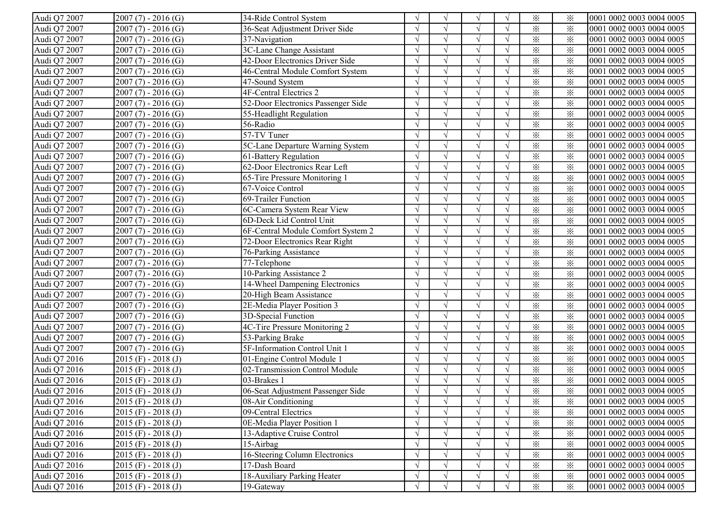| Audi Q7 2007 | $2007(7) - 2016(G)$     | 34-Ride Control System             | $\sqrt{ }$ |            | $\sqrt{ }$ |            | $\times$ | ፠        | 0001 0002 0003 0004 0005 |
|--------------|-------------------------|------------------------------------|------------|------------|------------|------------|----------|----------|--------------------------|
| Audi Q7 2007 | $2007(7) - 2016(G)$     | 36-Seat Adjustment Driver Side     |            |            |            |            | $\times$ | $\times$ | 0001 0002 0003 0004 0005 |
| Audi Q7 2007 | $2007(7) - 2016(G)$     | 37-Navigation                      |            |            |            |            | $\times$ | $\times$ | 0001 0002 0003 0004 0005 |
| Audi Q7 2007 | $2007(7) - 2016(G)$     | 3C-Lane Change Assistant           |            |            |            |            | $\times$ | $\times$ | 0001 0002 0003 0004 0005 |
| Audi Q7 2007 | $2007(7) - 2016(G)$     | 42-Door Electronics Driver Side    |            |            |            |            | $\times$ | $\times$ | 0001 0002 0003 0004 0005 |
| Audi Q7 2007 | $2007(7) - 2016(G)$     | 46-Central Module Comfort System   |            |            |            |            | $\times$ | $\times$ | 0001 0002 0003 0004 0005 |
| Audi Q7 2007 | $2007(7) - 2016(G)$     | 47-Sound System                    |            |            | $\sqrt{ }$ |            | $\times$ | $\times$ | 0001 0002 0003 0004 0005 |
| Audi Q7 2007 | $2007(7) - 2016(G)$     | 4F-Central Electrics 2             |            |            | $\sqrt{ }$ |            | $\times$ | $\times$ | 0001 0002 0003 0004 0005 |
| Audi Q7 2007 | $2007(7) - 2016(G)$     | 52-Door Electronics Passenger Side |            |            | $\sqrt{}$  |            | $\times$ | $\times$ | 0001 0002 0003 0004 0005 |
| Audi Q7 2007 | $2007(7) - 2016(G)$     | 55-Headlight Regulation            |            |            |            |            | $\times$ | $\times$ | 0001 0002 0003 0004 0005 |
| Audi Q7 2007 | $2007(7) - 2016(G)$     | 56-Radio                           |            |            |            |            | $\times$ | $\times$ | 0001 0002 0003 0004 0005 |
| Audi Q7 2007 | $2007(7) - 2016(G)$     | 57-TV Tuner                        |            |            |            | $\sqrt{ }$ | $\times$ | $\times$ | 0001 0002 0003 0004 0005 |
| Audi Q7 2007 | $2007(7) - 2016(G)$     | 5C-Lane Departure Warning System   | $\sqrt{ }$ |            |            | $\sqrt{ }$ | $\times$ | ⋇        | 0001 0002 0003 0004 0005 |
| Audi Q7 2007 | $2007(7) - 2016(G)$     | 61-Battery Regulation              | $\sqrt{ }$ |            |            | $\sqrt{ }$ | $\times$ | $\times$ | 0001 0002 0003 0004 0005 |
| Audi Q7 2007 | $2007(7) - 2016(G)$     | 62-Door Electronics Rear Left      |            |            | $\sqrt{ }$ | $\sqrt{ }$ | $\times$ | $\times$ | 0001 0002 0003 0004 0005 |
| Audi Q7 2007 | $2007(7) - 2016(G)$     | 65-Tire Pressure Monitoring 1      | $\sqrt{ }$ |            | $\sqrt{ }$ |            | $\times$ | $\times$ | 0001 0002 0003 0004 0005 |
| Audi Q7 2007 | $2007(7) - 2016(G)$     | 67-Voice Control                   | $\sqrt{ }$ | $\sim$     | $\sqrt{ }$ | $\sqrt{ }$ | $\times$ | $\times$ | 0001 0002 0003 0004 0005 |
| Audi Q7 2007 | $2007(7) - 2016(G)$     | 69-Trailer Function                | $\sqrt{ }$ |            | $\sqrt{ }$ |            | $\times$ | ⋇        | 0001 0002 0003 0004 0005 |
| Audi Q7 2007 | $2007(7) - 2016(G)$     | 6C-Camera System Rear View         |            |            |            |            | $\times$ | $\times$ | 0001 0002 0003 0004 0005 |
| Audi Q7 2007 | $2007(7) - 2016(G)$     | 6D-Deck Lid Control Unit           |            |            |            |            | $\times$ | $\times$ | 0001 0002 0003 0004 0005 |
| Audi Q7 2007 | $2007(7) - 2016(G)$     | 6F-Central Module Comfort System 2 |            |            |            |            | $\times$ | $\times$ | 0001 0002 0003 0004 0005 |
| Audi Q7 2007 | $2007(7) - 2016(G)$     | 72-Door Electronics Rear Right     |            |            | $\sqrt{ }$ |            | $\times$ | $\times$ | 0001 0002 0003 0004 0005 |
| Audi Q7 2007 | $2007(7) - 2016(G)$     | 76-Parking Assistance              |            |            | $\sqrt{ }$ |            | $\times$ | $\times$ | 0001 0002 0003 0004 0005 |
| Audi Q7 2007 | $2007(7) - 2016(G)$     | 77-Telephone                       |            |            | $\sqrt{ }$ |            | $\times$ | $\times$ | 0001 0002 0003 0004 0005 |
| Audi Q7 2007 | $2007(7) - 2016(G)$     | 10-Parking Assistance 2            |            |            | $\sqrt{ }$ |            | $\times$ | $\times$ | 0001 0002 0003 0004 0005 |
| Audi Q7 2007 | $2007(7) - 2016(G)$     | 14-Wheel Dampening Electronics     |            |            | $\sqrt{ }$ |            | $\times$ | $\times$ | 0001 0002 0003 0004 0005 |
| Audi Q7 2007 | $2007(7) - 2016(G)$     | 20-High Beam Assistance            |            |            |            |            | $\times$ | $\times$ | 0001 0002 0003 0004 0005 |
| Audi Q7 2007 | $2007(7) - 2016(G)$     | 2E-Media Player Position 3         | $\sqrt{ }$ | $\sqrt{ }$ | $\sqrt{ }$ | $\sqrt{ }$ | $\times$ | $\times$ | 0001 0002 0003 0004 0005 |
| Audi Q7 2007 | $2007(7) - 2016(G)$     | 3D-Special Function                | $\sqrt{ }$ | $\sim$     | $\sqrt{ }$ | $\sqrt{ }$ | $\times$ | $\times$ | 0001 0002 0003 0004 0005 |
| Audi Q7 2007 | $2007(7) - 2016(G)$     | 4C-Tire Pressure Monitoring 2      | $\sqrt{ }$ |            | $\sqrt{ }$ | $\sqrt{ }$ | $\times$ | $\times$ | 0001 0002 0003 0004 0005 |
| Audi Q7 2007 | $2007(7) - 2016(G)$     | 53-Parking Brake                   | $\sqrt{ }$ | $\gamma$   |            | $\sqrt{ }$ | $\times$ | $\times$ | 0001 0002 0003 0004 0005 |
| Audi Q7 2007 | $2007(7) - 2016(G)$     | 5F-Information Control Unit 1      | $\sqrt{ }$ | $\sim$     | $\sqrt{ }$ | $\sqrt{ }$ | $\times$ | $\times$ | 0001 0002 0003 0004 0005 |
| Audi Q7 2016 | $2015$ (F) - $2018$ (J) | 01-Engine Control Module 1         | $\sqrt{ }$ | $\gamma$   | $\sqrt{ }$ | $\sqrt{ }$ | $\times$ | $\times$ | 0001 0002 0003 0004 0005 |
| Audi Q7 2016 | $2015$ (F) - $2018$ (J) | 02-Transmission Control Module     | $\sqrt{ }$ |            | $\sqrt{}$  | $\sqrt{ }$ | $\times$ | $\times$ | 0001 0002 0003 0004 0005 |
| Audi Q7 2016 | $2015$ (F) - $2018$ (J) | 03-Brakes 1                        |            |            |            |            | $\times$ | ⋇        | 0001 0002 0003 0004 0005 |
| Audi Q7 2016 | $2015$ (F) - $2018$ (J) | 06-Seat Adjustment Passenger Side  |            |            |            |            | $\times$ | $\times$ | 0001 0002 0003 0004 0005 |
| Audi Q7 2016 | $2015$ (F) - 2018 (J)   | 08-Air Conditioning                | V          | $\sqrt{ }$ | V          | $\sqrt{}$  | $\times$ | $\times$ | 0001 0002 0003 0004 0005 |
| Audi Q7 2016 | $2015$ (F) - $2018$ (J) | 09-Central Electrics               | $\sqrt{ }$ |            | $\sqrt{ }$ | $\sqrt{ }$ | $\times$ | ⋇        | 0001 0002 0003 0004 0005 |
| Audi Q7 2016 | $2015$ (F) - $2018$ (J) | 0E-Media Player Position 1         |            |            |            |            | $\times$ | $\times$ | 0001 0002 0003 0004 0005 |
| Audi Q7 2016 | $2015$ (F) - $2018$ (J) | 13-Adaptive Cruise Control         |            |            |            |            | $\times$ | $\times$ | 0001 0002 0003 0004 0005 |
| Audi Q7 2016 | $2015$ (F) - $2018$ (J) | 15-Airbag                          |            |            | $\sqrt{ }$ |            | $\times$ | $\times$ | 0001 0002 0003 0004 0005 |
| Audi Q7 2016 | $2015$ (F) - $2018$ (J) | 16-Steering Column Electronics     | $\sqrt{}$  |            | $\sqrt{}$  |            | $\times$ | $\times$ | 0001 0002 0003 0004 0005 |
| Audi Q7 2016 | $2015$ (F) - $2018$ (J) | 17-Dash Board                      |            |            |            |            | $\times$ | $\times$ | 0001 0002 0003 0004 0005 |
| Audi Q7 2016 | $2015$ (F) - $2018$ (J) | 18-Auxiliary Parking Heater        |            |            |            |            | $\times$ | $\times$ | 0001 0002 0003 0004 0005 |
| Audi Q7 2016 | $2015$ (F) - $2018$ (J) | 19-Gateway                         | $\sqrt{ }$ |            | $\sqrt{ }$ | $\sqrt{ }$ | $\times$ | $\times$ | 0001 0002 0003 0004 0005 |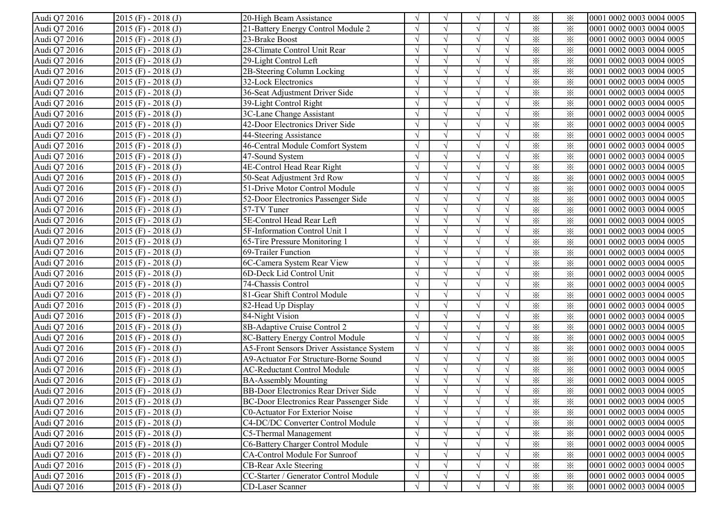| Audi Q7 2016 | $2015$ (F) - 2018 (J)   | 20-High Beam Assistance                     |               | $\sqrt{ }$    | N             |            | $\times$                | ⋇        | 0001 0002 0003 0004 0005 |
|--------------|-------------------------|---------------------------------------------|---------------|---------------|---------------|------------|-------------------------|----------|--------------------------|
| Audi Q7 2016 | $2015$ (F) - $2018$ (J) | 21-Battery Energy Control Module 2          |               |               |               |            | $\times$                | $\times$ | 0001 0002 0003 0004 0005 |
| Audi Q7 2016 | $2015$ (F) - 2018 (J)   | 23-Brake Boost                              |               |               |               |            | $\times$                | $\times$ | 0001 0002 0003 0004 0005 |
| Audi Q7 2016 | $2015$ (F) - 2018 (J)   | 28-Climate Control Unit Rear                |               |               |               |            | $\times$                | $\times$ | 0001 0002 0003 0004 0005 |
| Audi Q7 2016 | $2015$ (F) - $2018$ (J) | 29-Light Control Left                       |               |               | N             |            | $\times$                | $\times$ | 0001 0002 0003 0004 0005 |
| Audi Q7 2016 | $2015$ (F) - $2018$ (J) | 2B-Steering Column Locking                  |               |               |               |            | $\times$                | $\times$ | 0001 0002 0003 0004 0005 |
| Audi Q7 2016 | $2015$ (F) - 2018 (J)   | 32-Lock Electronics                         |               | $\Delta$      | $\sqrt{ }$    |            | $\times$                | $\times$ | 0001 0002 0003 0004 0005 |
| Audi Q7 2016 | $2015$ (F) - 2018 (J)   | 36-Seat Adjustment Driver Side              |               | $\sqrt{2}$    | $\sqrt{ }$    |            | $\times$                | $\times$ | 0001 0002 0003 0004 0005 |
| Audi Q7 2016 | $2015$ (F) - 2018 (J)   | 39-Light Control Right                      |               | $\sqrt{ }$    | $\sqrt{ }$    |            | $\times$                | $\times$ | 0001 0002 0003 0004 0005 |
| Audi Q7 2016 | $2015$ (F) - 2018 (J)   | 3C-Lane Change Assistant                    |               |               |               |            | $\times$                | $\times$ | 0001 0002 0003 0004 0005 |
| Audi Q7 2016 | $2015$ (F) - 2018 (J)   | 42-Door Electronics Driver Side             |               | $\sqrt{ }$    |               |            | $\times$                | $\times$ | 0001 0002 0003 0004 0005 |
| Audi Q7 2016 | $2015$ (F) - 2018 (J)   | 44-Steering Assistance                      |               | $\sqrt{ }$    |               |            | $\times$                | $\times$ | 0001 0002 0003 0004 0005 |
| Audi Q7 2016 | $2015$ (F) - 2018 (J)   | 46-Central Module Comfort System            | $\gamma$      | $\sqrt{ }$    |               | $\sqrt{ }$ | $\times$                | ⋇        | 0001 0002 0003 0004 0005 |
| Audi Q7 2016 | $2015$ (F) - 2018 (J)   | 47-Sound System                             |               | $\sqrt{ }$    |               | $\sqrt{ }$ | $\times$                | $\times$ | 0001 0002 0003 0004 0005 |
| Audi Q7 2016 | $2015$ (F) - $2018$ (J) | 4E-Control Head Rear Right                  |               | $\sqrt{ }$    |               |            | $\times$                | $\times$ | 0001 0002 0003 0004 0005 |
| Audi Q7 2016 | $2015$ (F) - $2018$ (J) | 50-Seat Adjustment 3rd Row                  |               | $\sqrt{ }$    |               |            | $\times$                | $\times$ | 0001 0002 0003 0004 0005 |
| Audi Q7 2016 | $2015$ (F) - 2018 (J)   | 51-Drive Motor Control Module               |               | $\sqrt{ }$    | $\sqrt{ }$    | $\Delta$   | $\times$                | $\times$ | 0001 0002 0003 0004 0005 |
| Audi Q7 2016 | $2015$ (F) - $2018$ (J) | 52-Door Electronics Passenger Side          |               | $\sqrt{ }$    |               |            | $\times$                | $\times$ | 0001 0002 0003 0004 0005 |
| Audi Q7 2016 | $2015$ (F) - 2018 (J)   | 57-TV Tuner                                 |               |               |               |            | $\times$                | $\times$ | 0001 0002 0003 0004 0005 |
| Audi Q7 2016 | $2015$ (F) - $2018$ (J) | 5E-Control Head Rear Left                   |               | $\sqrt{ }$    |               |            | $\times$                | $\times$ | 0001 0002 0003 0004 0005 |
| Audi Q7 2016 | $2015$ (F) - $2018$ (J) | 5F-Information Control Unit 1               |               | $\sqrt{ }$    |               |            | $\times$                | $\times$ | 0001 0002 0003 0004 0005 |
| Audi Q7 2016 | $2015$ (F) - $2018$ (J) | 65-Tire Pressure Monitoring 1               |               | $\sqrt{ }$    | N             |            | $\times$                | $\times$ | 0001 0002 0003 0004 0005 |
| Audi Q7 2016 | $2015$ (F) - 2018 (J)   | 69-Trailer Function                         |               | $\mathcal{L}$ | $\mathcal{N}$ |            | $\times$                | $\times$ | 0001 0002 0003 0004 0005 |
| Audi Q7 2016 | $2015$ (F) - 2018 (J)   | 6C-Camera System Rear View                  |               | $\sqrt{ }$    | $\sqrt{ }$    |            | $\times$                | $\times$ | 0001 0002 0003 0004 0005 |
| Audi Q7 2016 | $2015$ (F) - 2018 (J)   | 6D-Deck Lid Control Unit                    |               | $\sqrt{ }$    | $\sqrt{ }$    |            | $\times$                | $\times$ | 0001 0002 0003 0004 0005 |
| Audi Q7 2016 | $2015$ (F) - 2018 (J)   | 74-Chassis Control                          |               | $\mathcal{L}$ |               |            | $\times$                | $\times$ | 0001 0002 0003 0004 0005 |
| Audi Q7 2016 | $2015$ (F) - 2018 (J)   | 81-Gear Shift Control Module                |               |               |               |            | $\times$                | $\times$ | 0001 0002 0003 0004 0005 |
| Audi Q7 2016 | $2015$ (F) - 2018 (J)   | 82-Head Up Display                          |               | $\sqrt{ }$    |               |            | $\overline{\mathbf{x}}$ | $\times$ | 0001 0002 0003 0004 0005 |
| Audi Q7 2016 | $2015$ (F) - 2018 (J)   | 84-Night Vision                             | $\gamma$      | $\sqrt{ }$    |               | $\sqrt{ }$ | $\times$                | $\times$ | 0001 0002 0003 0004 0005 |
| Audi Q7 2016 | $2015$ (F) - 2018 (J)   | 8B-Adaptive Cruise Control 2                | $\sqrt{ }$    | $\sqrt{ }$    |               | $\sqrt{ }$ | $\times$                | $\times$ | 0001 0002 0003 0004 0005 |
| Audi Q7 2016 | $2015$ (F) - 2018 (J)   | 8C-Battery Energy Control Module            |               | $\sqrt{ }$    |               |            | $\times$                | $\times$ | 0001 0002 0003 0004 0005 |
| Audi Q7 2016 | $2015$ (F) - 2018 (J)   | A5-Front Sensors Driver Assistance System   |               | $\sqrt{ }$    |               |            | $\times$                | $\times$ | 0001 0002 0003 0004 0005 |
| Audi Q7 2016 | $2015$ (F) - $2018$ (J) | A9-Actuator For Structure-Borne Sound       | $\mathcal{L}$ | $\sqrt{ }$    | $\sqrt{ }$    |            | $\times$                | $\times$ | 0001 0002 0003 0004 0005 |
| Audi Q7 2016 | $2015$ (F) - $2018$ (J) | <b>AC-Reductant Control Module</b>          |               | $\sqrt{ }$    | $\sqrt{ }$    |            | $\times$                | $\times$ | 0001 0002 0003 0004 0005 |
| Audi Q7 2016 | $2015$ (F) - $2018$ (J) | <b>BA-Assembly Mounting</b>                 |               |               |               |            | $\times$                | $\times$ | 0001 0002 0003 0004 0005 |
| Audi Q7 2016 | $2015$ (F) - 2018 (J)   | <b>BB-Door Electronics Rear Driver Side</b> |               |               |               |            | $\times$                | $\times$ | 0001 0002 0003 0004 0005 |
| Audi Q7 2016 | $ 2015(F) - 2018(J) $   | BC-Door Electronics Rear Passenger Side     | V             | V             | V             | V          | $\times$                | ፠        | 0001 0002 0003 0004 0005 |
| Audi Q7 2016 | $2015$ (F) - $2018$ (J) | <b>C0-Actuator For Exterior Noise</b>       | $\sqrt{ }$    | $\sqrt{ }$    |               |            | $\times$                | $\times$ | 0001 0002 0003 0004 0005 |
| Audi Q7 2016 | $2015$ (F) - $2018$ (J) | C4-DC/DC Converter Control Module           |               |               |               |            | $\times$                | $\times$ | 0001 0002 0003 0004 0005 |
| Audi Q7 2016 | $2015$ (F) - 2018 (J)   | C5-Thermal Management                       |               |               |               |            | $\times$                | $\times$ | 0001 0002 0003 0004 0005 |
| Audi Q7 2016 | $2015$ (F) - 2018 (J)   | C6-Battery Charger Control Module           |               | $\sqrt{ }$    |               |            | $\times$                | $\times$ | 0001 0002 0003 0004 0005 |
| Audi Q7 2016 | $2015$ (F) - 2018 (J)   | CA-Control Module For Sunroof               |               | $\sqrt{ }$    |               |            | $\times$                | $\times$ | 0001 0002 0003 0004 0005 |
| Audi Q7 2016 | $2015$ (F) - 2018 (J)   | CB-Rear Axle Steering                       |               |               |               |            | $\times$                | $\times$ | 0001 0002 0003 0004 0005 |
| Audi Q7 2016 | $2015$ (F) - 2018 (J)   | CC-Starter / Generator Control Module       |               | $\sqrt{ }$    |               |            | $\times$                | $\times$ | 0001 0002 0003 0004 0005 |
| Audi Q7 2016 | $2015$ (F) - 2018 (J)   | CD-Laser Scanner                            | $\sqrt{ }$    |               |               |            | $\times$                | $\times$ | 0001 0002 0003 0004 0005 |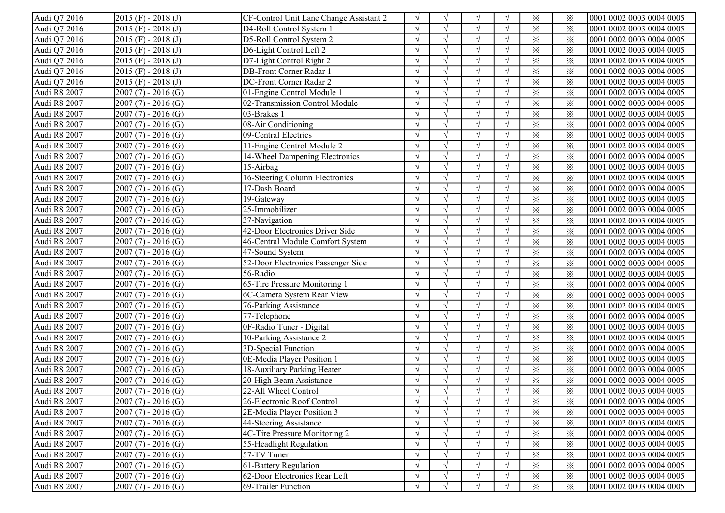| Audi Q7 2016 | $2015$ (F) - 2018 (J)   | CF-Control Unit Lane Change Assistant 2 |               | $\sqrt{ }$    | N             |            | $\times$                | ⋇        | 0001 0002 0003 0004 0005 |
|--------------|-------------------------|-----------------------------------------|---------------|---------------|---------------|------------|-------------------------|----------|--------------------------|
| Audi Q7 2016 | $2015$ (F) - $2018$ (J) | D4-Roll Control System 1                |               |               |               |            | $\times$                | $\times$ | 0001 0002 0003 0004 0005 |
| Audi Q7 2016 | $2015$ (F) - 2018 (J)   | D5-Roll Control System 2                |               |               |               |            | $\times$                | $\times$ | 0001 0002 0003 0004 0005 |
| Audi Q7 2016 | $2015$ (F) - 2018 (J)   | D6-Light Control Left 2                 |               |               |               |            | $\times$                | $\times$ | 0001 0002 0003 0004 0005 |
| Audi Q7 2016 | $2015$ (F) - $2018$ (J) | D7-Light Control Right 2                |               |               | $\mathcal{N}$ |            | $\times$                | $\times$ | 0001 0002 0003 0004 0005 |
| Audi Q7 2016 | $2015$ (F) - $2018$ (J) | DB-Front Corner Radar 1                 |               |               |               |            | $\times$                | $\times$ | 0001 0002 0003 0004 0005 |
| Audi Q7 2016 | $2015$ (F) - 2018 (J)   | DC-Front Corner Radar 2                 |               |               | $\sqrt{ }$    |            | $\times$                | $\times$ | 0001 0002 0003 0004 0005 |
| Audi R8 2007 | $2007(7) - 2016(G)$     | 01-Engine Control Module 1              |               |               | $\sim$        |            | $\times$                | $\times$ | 0001 0002 0003 0004 0005 |
| Audi R8 2007 | $2007(7) - 2016(G)$     | 02-Transmission Control Module          |               | $\sqrt{ }$    | $\sqrt{ }$    |            | $\times$                | $\times$ | 0001 0002 0003 0004 0005 |
| Audi R8 2007 | $2007(7) - 2016(G)$     | 03-Brakes 1                             |               |               |               |            | $\times$                | $\times$ | 0001 0002 0003 0004 0005 |
| Audi R8 2007 | $2007(7) - 2016(G)$     | 08-Air Conditioning                     |               | $\sqrt{ }$    |               |            | $\times$                | $\times$ | 0001 0002 0003 0004 0005 |
| Audi R8 2007 | $2007(7) - 2016(G)$     | 09-Central Electrics                    |               | $\sqrt{ }$    |               |            | $\times$                | $\times$ | 0001 0002 0003 0004 0005 |
| Audi R8 2007 | $2007(7) - 2016(G)$     | 11-Engine Control Module 2              |               | $\sqrt{ }$    |               |            | $\times$                | ⋇        | 0001 0002 0003 0004 0005 |
| Audi R8 2007 | $2007(7) - 2016(G)$     | 14-Wheel Dampening Electronics          |               | $\sqrt{ }$    |               |            | $\times$                | $\times$ | 0001 0002 0003 0004 0005 |
| Audi R8 2007 | $2007(7) - 2016(G)$     | 15-Airbag                               |               | $\sqrt{ }$    |               |            | $\times$                | $\times$ | 0001 0002 0003 0004 0005 |
| Audi R8 2007 | $2007(7) - 2016(G)$     | 16-Steering Column Electronics          |               | $\sqrt{ }$    |               |            | $\times$                | $\times$ | 0001 0002 0003 0004 0005 |
| Audi R8 2007 | $2007(7) - 2016(G)$     | 17-Dash Board                           |               | $\sqrt{ }$    | $\sqrt{ }$    | $\Delta$   | $\times$                | $\times$ | 0001 0002 0003 0004 0005 |
| Audi R8 2007 | $2007(7) - 2016(G)$     | 19-Gateway                              |               |               |               |            | $\times$                | $\times$ | 0001 0002 0003 0004 0005 |
| Audi R8 2007 | $2007(7) - 2016(G)$     | 25-Immobilizer                          |               |               |               |            | $\times$                | $\times$ | 0001 0002 0003 0004 0005 |
| Audi R8 2007 | $2007(7) - 2016(G)$     | 37-Navigation                           |               |               |               |            | $\times$                | $\times$ | 0001 0002 0003 0004 0005 |
| Audi R8 2007 | $2007(7) - 2016(G)$     | 42-Door Electronics Driver Side         |               |               |               |            | $\times$                | $\times$ | 0001 0002 0003 0004 0005 |
| Audi R8 2007 | $2007(7) - 2016(G)$     | 46-Central Module Comfort System        |               | $\mathcal{L}$ | $\mathcal{N}$ |            | $\times$                | $\times$ | 0001 0002 0003 0004 0005 |
| Audi R8 2007 | $2007(7) - 2016(G)$     | 47-Sound System                         |               | $\mathcal{L}$ |               |            | $\times$                | $\times$ | 0001 0002 0003 0004 0005 |
| Audi R8 2007 | $2007(7) - 2016(G)$     | 52-Door Electronics Passenger Side      |               | $\sqrt{ }$    | $\sqrt{ }$    |            | $\times$                | $\times$ | 0001 0002 0003 0004 0005 |
| Audi R8 2007 | $2007(7) - 2016(G)$     | 56-Radio                                |               | $\sqrt{ }$    | $\sqrt{ }$    |            | $\times$                | $\times$ | 0001 0002 0003 0004 0005 |
| Audi R8 2007 | $2007(7) - 2016(G)$     | 65-Tire Pressure Monitoring 1           |               |               |               |            | $\times$                | $\times$ | 0001 0002 0003 0004 0005 |
| Audi R8 2007 | $2007(7) - 2016(G)$     | 6C-Camera System Rear View              |               |               |               |            | $\times$                | $\times$ | 0001 0002 0003 0004 0005 |
| Audi R8 2007 | $2007(7) - 2016(G)$     | 76-Parking Assistance                   |               | $\sqrt{ }$    |               |            | $\overline{\mathbf{x}}$ | $\times$ | 0001 0002 0003 0004 0005 |
| Audi R8 2007 | $2007(7) - 2016(G)$     | 77-Telephone                            | $\gamma$      | $\sqrt{ }$    |               | $\sqrt{ }$ | $\times$                | $\times$ | 0001 0002 0003 0004 0005 |
| Audi R8 2007 | $2007(7) - 2016(G)$     | 0F-Radio Tuner - Digital                | $\mathcal{L}$ | $\sqrt{ }$    |               | $\sqrt{ }$ | $\times$                | $\times$ | 0001 0002 0003 0004 0005 |
| Audi R8 2007 | $2007(7) - 2016(G)$     | 10-Parking Assistance 2                 |               | $\sqrt{ }$    |               |            | $\times$                | $\times$ | 0001 0002 0003 0004 0005 |
| Audi R8 2007 | $2007(7) - 2016(G)$     | 3D-Special Function                     |               | $\sqrt{ }$    |               |            | $\times$                | $\times$ | 0001 0002 0003 0004 0005 |
| Audi R8 2007 | $2007(7) - 2016(G)$     | 0E-Media Player Position 1              |               | $\sqrt{ }$    | $\sqrt{ }$    |            | $\times$                | $\times$ | 0001 0002 0003 0004 0005 |
| Audi R8 2007 | $2007(7) - 2016(G)$     | 18-Auxiliary Parking Heater             |               | $\sqrt{ }$    | $\sqrt{ }$    |            | $\times$                | $\times$ | 0001 0002 0003 0004 0005 |
| Audi R8 2007 | $2007(7) - 2016(G)$     | 20-High Beam Assistance                 |               |               |               |            | $\times$                | $\times$ | 0001 0002 0003 0004 0005 |
| Audi R8 2007 | $2007(7) - 2016(G)$     | 22-All Wheel Control                    |               |               |               |            | $\times$                | $\times$ | 0001 0002 0003 0004 0005 |
| Audi R8 2007 | $[2007 (7) - 2016 (G)]$ | 26-Electronic Roof Control              | V             | V             | V             | V          | $\times$                | ፠        | 0001 0002 0003 0004 0005 |
| Audi R8 2007 | $2007(7) - 2016(G)$     | 2E-Media Player Position 3              |               | $\sqrt{ }$    |               |            | $\times$                | $\times$ | 0001 0002 0003 0004 0005 |
| Audi R8 2007 | $2007(7) - 2016(G)$     | 44-Steering Assistance                  |               |               |               |            | $\times$                | $\times$ | 0001 0002 0003 0004 0005 |
| Audi R8 2007 | $2007(7) - 2016(G)$     | 4C-Tire Pressure Monitoring 2           |               |               |               |            | $\times$                | $\times$ | 0001 0002 0003 0004 0005 |
| Audi R8 2007 | $2007(7) - 2016(G)$     | 55-Headlight Regulation                 |               | $\sqrt{ }$    |               |            | $\times$                | $\times$ | 0001 0002 0003 0004 0005 |
| Audi R8 2007 | $2007(7) - 2016(G)$     | 57-TV Tuner                             |               | $\sqrt{ }$    | $\sqrt{ }$    |            | $\times$                | $\times$ | 0001 0002 0003 0004 0005 |
| Audi R8 2007 | $2007(7) - 2016(G)$     | 61-Battery Regulation                   |               |               |               |            | $\times$                | $\times$ | 0001 0002 0003 0004 0005 |
| Audi R8 2007 | $2007(7) - 2016(G)$     | 62-Door Electronics Rear Left           |               | $\sqrt{ }$    |               |            | $\times$                | $\times$ | 0001 0002 0003 0004 0005 |
| Audi R8 2007 | $2007(7) - 2016(G)$     | 69-Trailer Function                     | $\sqrt{ }$    |               |               |            | $\times$                | $\times$ | 0001 0002 0003 0004 0005 |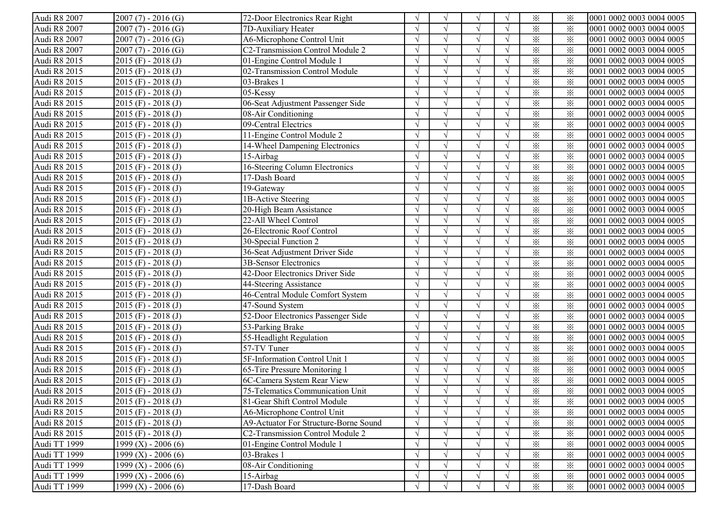| Audi R8 2007 | $2007(7) - 2016(G)$     | 72-Door Electronics Rear Right        |               | $\sqrt{ }$ | $\sqrt{ }$    |            | $\times$                | ⋇        | 0001 0002 0003 0004 0005 |
|--------------|-------------------------|---------------------------------------|---------------|------------|---------------|------------|-------------------------|----------|--------------------------|
| Audi R8 2007 | $2007(7) - 2016(G)$     | 7D-Auxiliary Heater                   |               |            |               |            | $\times$                | $\times$ | 0001 0002 0003 0004 0005 |
| Audi R8 2007 | $2007(7) - 2016(G)$     | A6-Microphone Control Unit            |               |            |               |            | $\times$                | $\times$ | 0001 0002 0003 0004 0005 |
| Audi R8 2007 | $2007(7) - 2016(G)$     | C2-Transmission Control Module 2      |               |            |               |            | $\times$                | $\times$ | 0001 0002 0003 0004 0005 |
| Audi R8 2015 | $2015$ (F) - $2018$ (J) | 01-Engine Control Module 1            |               |            | $\mathcal{N}$ |            | $\times$                | $\times$ | 0001 0002 0003 0004 0005 |
| Audi R8 2015 | $2015$ (F) - $2018$ (J) | 02-Transmission Control Module        |               |            |               |            | $\times$                | $\times$ | 0001 0002 0003 0004 0005 |
| Audi R8 2015 | $2015$ (F) - 2018 (J)   | 03-Brakes 1                           |               |            | $\sqrt{ }$    |            | $\times$                | $\times$ | 0001 0002 0003 0004 0005 |
| Audi R8 2015 | $2015$ (F) - 2018 (J)   | 05-Kessy                              |               |            | $\sim$        |            | $\times$                | $\times$ | 0001 0002 0003 0004 0005 |
| Audi R8 2015 | $2015$ (F) - 2018 (J)   | 06-Seat Adjustment Passenger Side     |               | $\sqrt{ }$ | $\sqrt{ }$    |            | $\times$                | $\times$ | 0001 0002 0003 0004 0005 |
| Audi R8 2015 | $2015$ (F) - 2018 (J)   | 08-Air Conditioning                   |               |            |               |            | $\times$                | $\times$ | 0001 0002 0003 0004 0005 |
| Audi R8 2015 | $2015$ (F) - 2018 (J)   | 09-Central Electrics                  |               | $\sqrt{ }$ |               |            | $\times$                | $\times$ | 0001 0002 0003 0004 0005 |
| Audi R8 2015 | $2015$ (F) - 2018 (J)   | 11-Engine Control Module 2            |               | $\sqrt{ }$ |               |            | $\times$                | $\times$ | 0001 0002 0003 0004 0005 |
| Audi R8 2015 | $2015$ (F) - $2018$ (J) | 14-Wheel Dampening Electronics        | $\mathcal{L}$ | $\sqrt{ }$ |               |            | $\times$                | ⋇        | 0001 0002 0003 0004 0005 |
| Audi R8 2015 | $2015$ (F) - $2018$ (J) | 15-Airbag                             |               | $\sqrt{ }$ |               | $\sqrt{ }$ | $\times$                | $\times$ | 0001 0002 0003 0004 0005 |
| Audi R8 2015 | $2015$ (F) - $2018$ (J) | 16-Steering Column Electronics        |               | $\sqrt{ }$ |               |            | $\times$                | $\times$ | 0001 0002 0003 0004 0005 |
| Audi R8 2015 | $2015$ (F) - $2018$ (J) | 17-Dash Board                         |               | $\sqrt{ }$ |               |            | $\times$                | $\times$ | 0001 0002 0003 0004 0005 |
| Audi R8 2015 | $2015$ (F) - $2018$ (J) | 19-Gateway                            |               | $\sqrt{ }$ | $\sqrt{ }$    | $\Delta$   | $\times$                | $\times$ | 0001 0002 0003 0004 0005 |
| Audi R8 2015 | $2015$ (F) - $2018$ (J) | 1B-Active Steering                    |               |            |               |            | $\times$                | $\times$ | 0001 0002 0003 0004 0005 |
| Audi R8 2015 | $2015$ (F) - $2018$ (J) | 20-High Beam Assistance               |               |            |               |            | $\times$                | $\times$ | 0001 0002 0003 0004 0005 |
| Audi R8 2015 | $2015$ (F) - $2018$ (J) | 22-All Wheel Control                  |               | $\sqrt{ }$ |               |            | $\times$                | $\times$ | 0001 0002 0003 0004 0005 |
| Audi R8 2015 | $2015$ (F) - $2018$ (J) | 26-Electronic Roof Control            |               |            |               |            | $\times$                | $\times$ | 0001 0002 0003 0004 0005 |
| Audi R8 2015 | $2015$ (F) - $2018$ (J) | 30-Special Function 2                 |               | $\sqrt{ }$ | $\mathcal{N}$ |            | $\times$                | $\times$ | 0001 0002 0003 0004 0005 |
| Audi R8 2015 | $2015$ (F) - 2018 (J)   | 36-Seat Adjustment Driver Side        |               |            |               |            | $\times$                | $\times$ | 0001 0002 0003 0004 0005 |
| Audi R8 2015 | $2015$ (F) - 2018 (J)   | 3B-Sensor Electronics                 |               | $\sqrt{ }$ | $\sqrt{ }$    |            | $\times$                | $\times$ | 0001 0002 0003 0004 0005 |
| Audi R8 2015 | $2015$ (F) - 2018 (J)   | 42-Door Electronics Driver Side       |               | $\sqrt{ }$ | $\sqrt{ }$    |            | $\times$                | $\times$ | 0001 0002 0003 0004 0005 |
| Audi R8 2015 | $2015$ (F) - 2018 (J)   | 44-Steering Assistance                |               |            |               |            | $\times$                | $\times$ | 0001 0002 0003 0004 0005 |
| Audi R8 2015 | $2015$ (F) - 2018 (J)   | 46-Central Module Comfort System      |               |            |               |            | $\times$                | $\times$ | 0001 0002 0003 0004 0005 |
| Audi R8 2015 | $2015$ (F) - 2018 (J)   | 47-Sound System                       | $\mathcal{L}$ | $\sqrt{ }$ |               |            | $\overline{\mathbf{x}}$ | $\times$ | 0001 0002 0003 0004 0005 |
| Audi R8 2015 | $2015$ (F) - 2018 (J)   | 52-Door Electronics Passenger Side    | $\sqrt{ }$    | $\sqrt{ }$ |               | $\sqrt{ }$ | $\times$                | $\times$ | 0001 0002 0003 0004 0005 |
| Audi R8 2015 | $2015$ (F) - 2018 (J)   | 53-Parking Brake                      | $\mathcal{L}$ | $\sqrt{ }$ |               | $\sqrt{ }$ | $\times$                | $\times$ | 0001 0002 0003 0004 0005 |
| Audi R8 2015 | $2015$ (F) - 2018 (J)   | 55-Headlight Regulation               |               | $\sqrt{ }$ |               |            | $\times$                | $\times$ | 0001 0002 0003 0004 0005 |
| Audi R8 2015 | $2015$ (F) - $2018$ (J) | 57-TV Tuner                           |               | $\sqrt{ }$ |               |            | $\times$                | $\times$ | 0001 0002 0003 0004 0005 |
| Audi R8 2015 | $2015$ (F) - $2018$ (J) | 5F-Information Control Unit 1         |               | $\sqrt{ }$ | $\sqrt{ }$    |            | $\times$                | $\times$ | 0001 0002 0003 0004 0005 |
| Audi R8 2015 | $2015$ (F) - $2018$ (J) | 65-Tire Pressure Monitoring 1         |               | $\sqrt{ }$ | $\sqrt{ }$    |            | $\times$                | $\times$ | 0001 0002 0003 0004 0005 |
| Audi R8 2015 | $2015$ (F) - $2018$ (J) | 6C-Camera System Rear View            |               |            |               |            | $\times$                | $\times$ | 0001 0002 0003 0004 0005 |
| Audi R8 2015 | $2015$ (F) - $2018$ (J) | 75-Telematics Communication Unit      |               |            |               |            | $\times$                | $\times$ | 0001 0002 0003 0004 0005 |
| Audi R8 2015 | $ 2015(F) - 2018(J) $   | [81-Gear Shift Control Module         | V             | V          | V             | V          | $\times$                | ፠        | 0001 0002 0003 0004 0005 |
| Audi R8 2015 | $2015$ (F) - $2018$ (J) | A6-Microphone Control Unit            | $\sqrt{ }$    | $\sqrt{ }$ |               |            | $\times$                | ⋇        | 0001 0002 0003 0004 0005 |
| Audi R8 2015 | $2015$ (F) - $2018$ (J) | A9-Actuator For Structure-Borne Sound |               |            |               |            | $\times$                | $\times$ | 0001 0002 0003 0004 0005 |
| Audi R8 2015 | $2015$ (F) - $2018$ (J) | C2-Transmission Control Module 2      |               |            |               |            | $\times$                | $\times$ | 0001 0002 0003 0004 0005 |
| Audi TT 1999 | 1999 $(X)$ - 2006 $(6)$ | 01-Engine Control Module 1            |               | $\sqrt{ }$ |               |            | $\times$                | $\times$ | 0001 0002 0003 0004 0005 |
| Audi TT 1999 | 1999 $(X)$ - 2006 $(6)$ | 03-Brakes 1                           |               | $\sqrt{ }$ |               |            | $\times$                | $\times$ | 0001 0002 0003 0004 0005 |
| Audi TT 1999 | 1999 $(X)$ - 2006 $(6)$ | 08-Air Conditioning                   |               |            |               |            | $\times$                | $\times$ | 0001 0002 0003 0004 0005 |
| Audi TT 1999 | 1999 $(X)$ - 2006 $(6)$ | 15-Airbag                             |               |            |               |            | $\times$                | $\times$ | 0001 0002 0003 0004 0005 |
| Audi TT 1999 | 1999 $(X)$ - 2006 $(6)$ | 17-Dash Board                         |               |            |               |            | $\times$                | $\times$ | 0001 0002 0003 0004 0005 |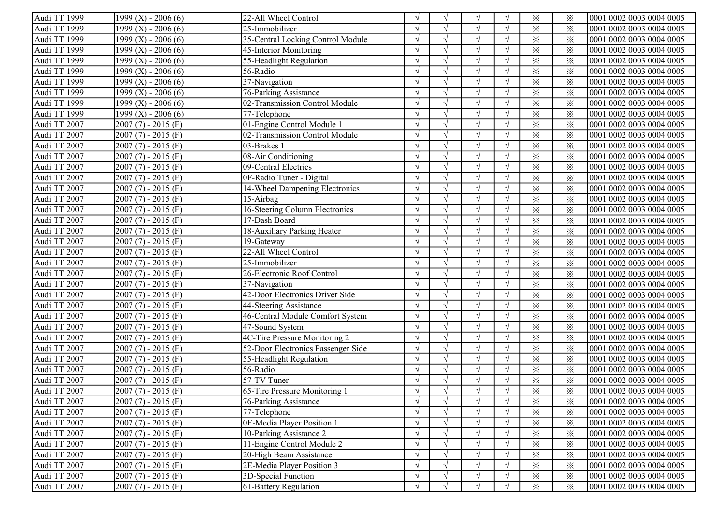| Audi TT 1999 | $1999$ (X) - 2006 (6)   | 22-All Wheel Control               |            | $\sqrt{ }$    | V             |            | $\times$                | ⋇        | 0001 0002 0003 0004 0005 |
|--------------|-------------------------|------------------------------------|------------|---------------|---------------|------------|-------------------------|----------|--------------------------|
| Audi TT 1999 | 1999 (X) - 2006 (6)     | 25-Immobilizer                     |            |               |               |            | $\times$                | $\times$ | 0001 0002 0003 0004 0005 |
| Audi TT 1999 | $1999 (X) - 2006 (6)$   | 35-Central Locking Control Module  |            |               |               |            | $\times$                | $\times$ | 0001 0002 0003 0004 0005 |
| Audi TT 1999 | 1999 $(X)$ - 2006 $(6)$ | 45-Interior Monitoring             |            |               |               |            | $\times$                | $\times$ | 0001 0002 0003 0004 0005 |
| Audi TT 1999 | $1999$ (X) - 2006 (6)   | 55-Headlight Regulation            |            |               | $\mathcal{L}$ |            | $\times$                | $\times$ | 0001 0002 0003 0004 0005 |
| Audi TT 1999 | $1999$ (X) - 2006 (6)   | 56-Radio                           |            |               |               |            | $\times$                | $\times$ | 0001 0002 0003 0004 0005 |
| Audi TT 1999 | $1999 (X) - 2006 (6)$   | 37-Navigation                      |            |               |               |            | $\times$                | $\times$ | 0001 0002 0003 0004 0005 |
| Audi TT 1999 | 1999 $(X)$ - 2006 $(6)$ | 76-Parking Assistance              |            |               | $\sqrt{ }$    |            | $\times$                | $\times$ | 0001 0002 0003 0004 0005 |
| Audi TT 1999 | 1999 $(X)$ - 2006 $(6)$ | 02-Transmission Control Module     |            |               | $\sqrt{ }$    |            | $\times$                | $\times$ | 0001 0002 0003 0004 0005 |
| Audi TT 1999 | $1999$ (X) - 2006 (6)   | 77-Telephone                       |            |               |               |            | $\times$                | $\times$ | 0001 0002 0003 0004 0005 |
| Audi TT 2007 | $2007(7) - 2015(F)$     | 01-Engine Control Module 1         |            |               |               |            | $\times$                | $\times$ | 0001 0002 0003 0004 0005 |
| Audi TT 2007 | $2007(7) - 2015(F)$     | 02-Transmission Control Module     |            |               |               |            | $\times$                | $\times$ | 0001 0002 0003 0004 0005 |
| Audi TT 2007 | $2007(7) - 2015(F)$     | 03-Brakes 1                        |            | $\sqrt{ }$    |               |            | $\times$                | $\times$ | 0001 0002 0003 0004 0005 |
| Audi TT 2007 | $2007(7) - 2015(F)$     | 08-Air Conditioning                |            | $\sqrt{ }$    |               | $\sqrt{ }$ | $\times$                | $\times$ | 0001 0002 0003 0004 0005 |
| Audi TT 2007 | $2007(7) - 2015(F)$     | 09-Central Electrics               |            | $\sqrt{ }$    |               |            | $\times$                | $\times$ | 0001 0002 0003 0004 0005 |
| Audi TT 2007 | $2007(7) - 2015(F)$     | 0F-Radio Tuner - Digital           |            |               |               |            | $\times$                | $\times$ | 0001 0002 0003 0004 0005 |
| Audi TT 2007 | $2007(7) - 2015(F)$     | 14-Wheel Dampening Electronics     | $\sqrt{ }$ | $\sqrt{ }$    | $\sqrt{ }$    | $\sqrt{ }$ | $\times$                | $\times$ | 0001 0002 0003 0004 0005 |
| Audi TT 2007 | $2007(7) - 2015(F)$     | 15-Airbag                          |            |               |               |            | $\times$                | $\times$ | 0001 0002 0003 0004 0005 |
| Audi TT 2007 | $2007(7) - 2015(F)$     | 16-Steering Column Electronics     |            |               |               |            | $\times$                | $\times$ | 0001 0002 0003 0004 0005 |
| Audi TT 2007 | $2007(7) - 2015(F)$     | 17-Dash Board                      |            |               |               |            | $\times$                | $\times$ | 0001 0002 0003 0004 0005 |
| Audi TT 2007 | $2007(7) - 2015(F)$     | 18-Auxiliary Parking Heater        |            |               |               |            | $\times$                | $\times$ | 0001 0002 0003 0004 0005 |
| Audi TT 2007 | $2007(7) - 2015(F)$     | 19-Gateway                         |            | $\mathcal{L}$ | $\mathcal{L}$ |            | $\times$                | $\times$ | 0001 0002 0003 0004 0005 |
| Audi TT 2007 | $2007(7) - 2015(F)$     | 22-All Wheel Control               |            |               |               |            | $\times$                | $\times$ | 0001 0002 0003 0004 0005 |
| Audi TT 2007 | $2007(7) - 2015(F)$     | 25-Immobilizer                     |            | $\sqrt{ }$    | $\sqrt{ }$    |            | $\times$                | $\times$ | 0001 0002 0003 0004 0005 |
| Audi TT 2007 | $2007(7) - 2015(F)$     | 26-Electronic Roof Control         |            | $\sqrt{ }$    | $\sqrt{ }$    |            | $\times$                | $\times$ | 0001 0002 0003 0004 0005 |
| Audi TT 2007 | $2007(7) - 2015(F)$     | 37-Navigation                      |            |               |               |            | $\times$                | $\times$ | 0001 0002 0003 0004 0005 |
| Audi TT 2007 | $2007(7) - 2015(F)$     | 42-Door Electronics Driver Side    |            |               |               |            | $\times$                | $\times$ | 0001 0002 0003 0004 0005 |
| Audi TT 2007 | $2007(7) - 2015(F)$     | 44-Steering Assistance             | $\sqrt{ }$ | $\sqrt{ }$    |               |            | $\overline{\mathbf{x}}$ | $\times$ | 0001 0002 0003 0004 0005 |
| Audi TT 2007 | $2007(7) - 2015(F)$     | 46-Central Module Comfort System   | $\sqrt{ }$ | $\sqrt{ }$    |               | $\sqrt{ }$ | $\times$                | $\times$ | 0001 0002 0003 0004 0005 |
| Audi TT 2007 | $2007(7) - 2015(F)$     | 47-Sound System                    | $\sqrt{ }$ | $\sqrt{ }$    |               | $\sqrt{ }$ | $\times$                | $\times$ | 0001 0002 0003 0004 0005 |
| Audi TT 2007 | $2007(7) - 2015(F)$     | 4C-Tire Pressure Monitoring 2      |            | $\sqrt{ }$    |               | $\sqrt{ }$ | $\times$                | $\times$ | 0001 0002 0003 0004 0005 |
| Audi TT 2007 | $2007(7) - 2015(F)$     | 52-Door Electronics Passenger Side |            | $\sqrt{ }$    |               |            | $\times$                | $\times$ | 0001 0002 0003 0004 0005 |
| Audi TT 2007 | $2007(7) - 2015(F)$     | 55-Headlight Regulation            |            | $\sqrt{ }$    | $\sqrt{ }$    | $\sqrt{ }$ | $\times$                | $\times$ | 0001 0002 0003 0004 0005 |
| Audi TT 2007 | $2007(7) - 2015(F)$     | 56-Radio                           |            | $\sqrt{ }$    | $\sqrt{ }$    | $\sqrt{ }$ | $\times$                | $\times$ | 0001 0002 0003 0004 0005 |
| Audi TT 2007 | $2007(7) - 2015(F)$     | 57-TV Tuner                        |            |               |               |            | $\times$                | $\times$ | 0001 0002 0003 0004 0005 |
| Audi TT 2007 | $2007(7) - 2015(F)$     | 65-Tire Pressure Monitoring 1      |            |               |               |            | $\times$                | $\times$ | 0001 0002 0003 0004 0005 |
| Audi TT 2007 | $2007(7) - 2015(F)$     | 76-Parking Assistance              | V          | V             | V             | $\sqrt{}$  | $\times$                | ⋇        | 0001 0002 0003 0004 0005 |
| Audi TT 2007 | $2007(7) - 2015(F)$     | 77-Telephone                       | $\sqrt{ }$ |               |               |            | $\times$                | $\times$ | 0001 0002 0003 0004 0005 |
| Audi TT 2007 | $2007(7) - 2015(F)$     | 0E-Media Player Position 1         |            |               |               |            | $\times$                | $\times$ | 0001 0002 0003 0004 0005 |
| Audi TT 2007 | $2007(7) - 2015(F)$     | 10-Parking Assistance 2            |            |               |               |            | $\times$                | $\times$ | 0001 0002 0003 0004 0005 |
| Audi TT 2007 | $2007(7) - 2015(F)$     | 11-Engine Control Module 2         |            |               |               |            | $\times$                | $\times$ | 0001 0002 0003 0004 0005 |
| Audi TT 2007 | $2007(7) - 2015(F)$     | 20-High Beam Assistance            |            |               | $\sqrt{ }$    |            | $\times$                | $\times$ | 0001 0002 0003 0004 0005 |
| Audi TT 2007 | $2007(7) - 2015(F)$     | 2E-Media Player Position 3         |            |               |               |            | $\times$                | $\times$ | 0001 0002 0003 0004 0005 |
| Audi TT 2007 | $2007(7) - 2015(F)$     | 3D-Special Function                |            |               |               |            | $\times$                | $\times$ | 0001 0002 0003 0004 0005 |
| Audi TT 2007 | $2007(7) - 2015(F)$     | 61-Battery Regulation              | $\sqrt{ }$ |               | $\sqrt{ }$    | $\sqrt{ }$ | $\times$                | $\times$ | 0001 0002 0003 0004 0005 |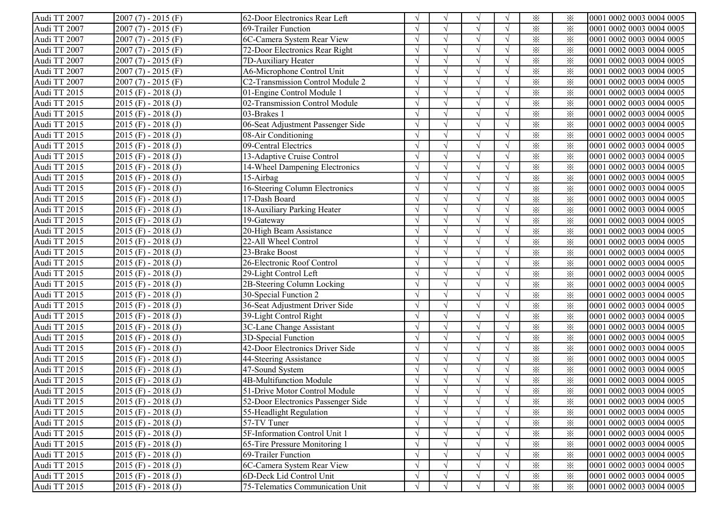| Audi TT 2007 | $2007(7) - 2015(F)$     | 62-Door Electronics Rear Left      |            | $\sqrt{ }$ | V             |            | $\times$                | ⋇        | 0001 0002 0003 0004 0005 |
|--------------|-------------------------|------------------------------------|------------|------------|---------------|------------|-------------------------|----------|--------------------------|
| Audi TT 2007 | $2007(7) - 2015(F)$     | 69-Trailer Function                |            |            |               |            | $\times$                | $\times$ | 0001 0002 0003 0004 0005 |
| Audi TT 2007 | $2007(7) - 2015(F)$     | 6C-Camera System Rear View         |            |            |               |            | $\times$                | $\times$ | 0001 0002 0003 0004 0005 |
| Audi TT 2007 | $2007(7) - 2015(F)$     | 72-Door Electronics Rear Right     |            |            |               |            | $\times$                | $\times$ | 0001 0002 0003 0004 0005 |
| Audi TT 2007 | $2007(7) - 2015(F)$     | 7D-Auxiliary Heater                |            |            | $\mathcal{L}$ |            | $\times$                | $\times$ | 0001 0002 0003 0004 0005 |
| Audi TT 2007 | $2007(7) - 2015(F)$     | A6-Microphone Control Unit         |            |            |               |            | $\times$                | $\times$ | 0001 0002 0003 0004 0005 |
| Audi TT 2007 | $2007(7) - 2015(F)$     | C2-Transmission Control Module 2   |            |            | $\sqrt{ }$    |            | $\times$                | $\times$ | 0001 0002 0003 0004 0005 |
| Audi TT 2015 | $2015$ (F) - $2018$ (J) | 01-Engine Control Module 1         |            |            | $\sqrt{ }$    |            | $\times$                | $\times$ | 0001 0002 0003 0004 0005 |
| Audi TT 2015 | $2015$ (F) - $2018$ (J) | 02-Transmission Control Module     |            | $\sqrt{ }$ | $\sqrt{ }$    |            | $\times$                | $\times$ | 0001 0002 0003 0004 0005 |
| Audi TT 2015 | $2015$ (F) - $2018$ (J) | 03-Brakes 1                        |            |            |               |            | $\times$                | $\times$ | 0001 0002 0003 0004 0005 |
| Audi TT 2015 | $2015$ (F) - $2018$ (J) | 06-Seat Adjustment Passenger Side  |            | $\sqrt{ }$ |               |            | $\times$                | $\times$ | 0001 0002 0003 0004 0005 |
| Audi TT 2015 | $2015$ (F) - $2018$ (J) | 08-Air Conditioning                |            |            |               |            | $\times$                | $\times$ | 0001 0002 0003 0004 0005 |
| Audi TT 2015 | $2015$ (F) - $2018$ (J) | 09-Central Electrics               | $\sqrt{ }$ | $\sqrt{ }$ |               | $\sqrt{ }$ | $\times$                | $\times$ | 0001 0002 0003 0004 0005 |
| Audi TT 2015 | $2015$ (F) - $2018$ (J) | 13-Adaptive Cruise Control         |            | $\sqrt{ }$ |               | $\sqrt{ }$ | $\times$                | $\times$ | 0001 0002 0003 0004 0005 |
| Audi TT 2015 | $2015$ (F) - $2018$ (J) | 14-Wheel Dampening Electronics     |            | $\sqrt{ }$ |               |            | $\times$                | $\times$ | 0001 0002 0003 0004 0005 |
| Audi TT 2015 | $2015$ (F) - $2018$ (J) | 15-Airbag                          |            | $\sqrt{ }$ |               |            | $\times$                | $\times$ | 0001 0002 0003 0004 0005 |
| Audi TT 2015 | $2015$ (F) - $2018$ (J) | 16-Steering Column Electronics     | $\sqrt{ }$ | $\sqrt{ }$ | $\sqrt{ }$    | $\sqrt{ }$ | $\times$                | $\times$ | 0001 0002 0003 0004 0005 |
| Audi TT 2015 | $2015$ (F) - $2018$ (J) | 17-Dash Board                      |            |            |               |            | $\times$                | $\times$ | 0001 0002 0003 0004 0005 |
| Audi TT 2015 | $2015$ (F) - $2018$ (J) | 18-Auxiliary Parking Heater        |            |            |               |            | $\times$                | $\times$ | 0001 0002 0003 0004 0005 |
| Audi TT 2015 | $2015$ (F) - $2018$ (J) | 19-Gateway                         |            |            |               |            | $\times$                | $\times$ | 0001 0002 0003 0004 0005 |
| Audi TT 2015 | $2015$ (F) - $2018$ (J) | 20-High Beam Assistance            |            |            |               |            | $\times$                | $\times$ | 0001 0002 0003 0004 0005 |
| Audi TT 2015 | $2015$ (F) - $2018$ (J) | 22-All Wheel Control               |            | $\sqrt{ }$ | $\mathcal{L}$ |            | $\times$                | $\times$ | 0001 0002 0003 0004 0005 |
| Audi TT 2015 | $2015$ (F) - $2018$ (J) | 23-Brake Boost                     |            |            |               |            | $\times$                | $\times$ | 0001 0002 0003 0004 0005 |
| Audi TT 2015 | $2015$ (F) - $2018$ (J) | 26-Electronic Roof Control         |            | $\sqrt{ }$ | $\sqrt{ }$    |            | $\times$                | $\times$ | 0001 0002 0003 0004 0005 |
| Audi TT 2015 | $2015$ (F) - $2018$ (J) | 29-Light Control Left              |            | $\sqrt{ }$ | $\sqrt{ }$    |            | $\times$                | $\times$ | 0001 0002 0003 0004 0005 |
| Audi TT 2015 | $2015$ (F) - $2018$ (J) | 2B-Steering Column Locking         |            |            |               |            | $\times$                | $\times$ | 0001 0002 0003 0004 0005 |
| Audi TT 2015 | $2015$ (F) - $2018$ (J) | 30-Special Function 2              |            |            |               |            | $\times$                | $\times$ | 0001 0002 0003 0004 0005 |
| Audi TT 2015 | $2015$ (F) - 2018 (J)   | 36-Seat Adjustment Driver Side     | $\sqrt{ }$ | $\sqrt{ }$ |               |            | $\overline{\mathbf{x}}$ | $\times$ | 0001 0002 0003 0004 0005 |
| Audi TT 2015 | $2015$ (F) - $2018$ (J) | 39-Light Control Right             | $\sqrt{ }$ | $\sqrt{ }$ |               | $\sqrt{ }$ | $\times$                | $\times$ | 0001 0002 0003 0004 0005 |
| Audi TT 2015 | $2015$ (F) - $2018$ (J) | 3C-Lane Change Assistant           | $\sqrt{ }$ | $\sqrt{ }$ |               | $\sqrt{ }$ | $\times$                | $\times$ | 0001 0002 0003 0004 0005 |
| Audi TT 2015 | $2015$ (F) - $2018$ (J) | 3D-Special Function                |            | $\sqrt{ }$ |               | $\sqrt{ }$ | $\times$                | $\times$ | 0001 0002 0003 0004 0005 |
| Audi TT 2015 | $2015$ (F) - $2018$ (J) | 42-Door Electronics Driver Side    |            | $\sqrt{ }$ |               |            | $\times$                | $\times$ | 0001 0002 0003 0004 0005 |
| Audi TT 2015 | $2015$ (F) - $2018$ (J) | 44-Steering Assistance             | $\sqrt{ }$ | $\sqrt{ }$ | $\sqrt{ }$    | $\sqrt{ }$ | $\times$                | $\times$ | 0001 0002 0003 0004 0005 |
| Audi TT 2015 | $2015$ (F) - $2018$ (J) | 47-Sound System                    |            | $\sqrt{ }$ | $\sqrt{ }$    | $\sqrt{ }$ | $\times$                | $\times$ | 0001 0002 0003 0004 0005 |
| Audi TT 2015 | $2015$ (F) - $2018$ (J) | 4B-Multifunction Module            |            |            |               |            | $\times$                | $\times$ | 0001 0002 0003 0004 0005 |
| Audi TT 2015 | $2015$ (F) - $2018$ (J) | 51-Drive Motor Control Module      |            |            |               |            | $\times$                | $\times$ | 0001 0002 0003 0004 0005 |
| Audi TT 2015 | $2015$ (F) - 2018 (J)   | 52-Door Electronics Passenger Side | V          | $\sqrt{ }$ | V             | $\sqrt{}$  | $\times$                | ⋇        | 0001 0002 0003 0004 0005 |
| Audi TT 2015 | $2015$ (F) - $2018$ (J) | 55-Headlight Regulation            |            | $\sqrt{ }$ |               |            | $\times$                | $\times$ | 0001 0002 0003 0004 0005 |
| Audi TT 2015 | $2015$ (F) - $2018$ (J) | 57-TV Tuner                        |            |            |               |            | $\times$                | $\times$ | 0001 0002 0003 0004 0005 |
| Audi TT 2015 | $2015$ (F) - $2018$ (J) | 5F-Information Control Unit 1      |            |            |               |            | $\times$                | $\times$ | 0001 0002 0003 0004 0005 |
| Audi TT 2015 | $2015$ (F) - 2018 (J)   | 65-Tire Pressure Monitoring 1      |            |            |               |            | $\times$                | $\times$ | 0001 0002 0003 0004 0005 |
| Audi TT 2015 | $2015$ (F) - 2018 (J)   | 69-Trailer Function                |            | $\sqrt{ }$ | $\sqrt{ }$    |            | $\times$                | $\times$ | 0001 0002 0003 0004 0005 |
| Audi TT 2015 | $2015$ (F) - $2018$ (J) | 6C-Camera System Rear View         |            |            |               |            | $\times$                | $\times$ | 0001 0002 0003 0004 0005 |
| Audi TT 2015 | $2015$ (F) - $2018$ (J) | 6D-Deck Lid Control Unit           |            |            |               |            | $\times$                | $\times$ | 0001 0002 0003 0004 0005 |
| Audi TT 2015 | $2015$ (F) - $2018$ (J) | 75-Telematics Communication Unit   | $\sqrt{ }$ |            | $\sqrt{ }$    | $\sqrt{ }$ | $\times$                | $\times$ | 0001 0002 0003 0004 0005 |